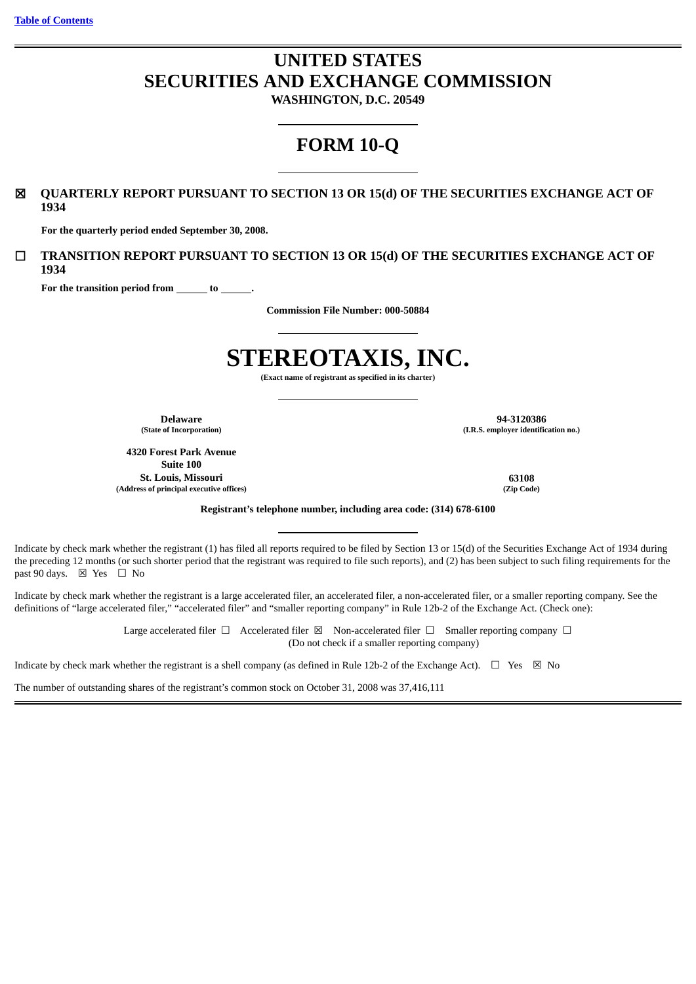# **UNITED STATES SECURITIES AND EXCHANGE COMMISSION**

**WASHINGTON, D.C. 20549**

# **FORM 10-Q**

# ☒ **QUARTERLY REPORT PURSUANT TO SECTION 13 OR 15(d) OF THE SECURITIES EXCHANGE ACT OF 1934**

**For the quarterly period ended September 30, 2008.**

# ☐ **TRANSITION REPORT PURSUANT TO SECTION 13 OR 15(d) OF THE SECURITIES EXCHANGE ACT OF 1934**

For the transition period from \_\_\_\_\_\_\_ to \_

**Commission File Number: 000-50884**

# **STEREOTAXIS, INC.**

**(Exact name of registrant as specified in its charter)**

**4320 Forest Park Avenue Suite 100 St. Louis, Missouri 63108 (Address of principal executive offices) (Zip Code)**

**Delaware 94-3120386**<br> **1.R.S. employer identification**<br> **1.R.S. employer identification (State of Incorporation) (I.R.S. employer identification no.)**

# **Registrant's telephone number, including area code: (314) 678-6100**

Indicate by check mark whether the registrant (1) has filed all reports required to be filed by Section 13 or 15(d) of the Securities Exchange Act of 1934 during the preceding 12 months (or such shorter period that the registrant was required to file such reports), and (2) has been subject to such filing requirements for the past 90 days.  $\boxtimes$  Yes  $\Box$  No

Indicate by check mark whether the registrant is a large accelerated filer, an accelerated filer, a non-accelerated filer, or a smaller reporting company. See the definitions of "large accelerated filer," "accelerated filer" and "smaller reporting company" in Rule 12b-2 of the Exchange Act. (Check one):

> Large accelerated filer □ Accelerated filer ⊠ Non-accelerated filer □ Smaller reporting company □ (Do not check if a smaller reporting company)

Indicate by check mark whether the registrant is a shell company (as defined in Rule 12b-2 of the Exchange Act).  $\Box$  Yes  $\boxtimes$  No

The number of outstanding shares of the registrant's common stock on October 31, 2008 was 37,416,111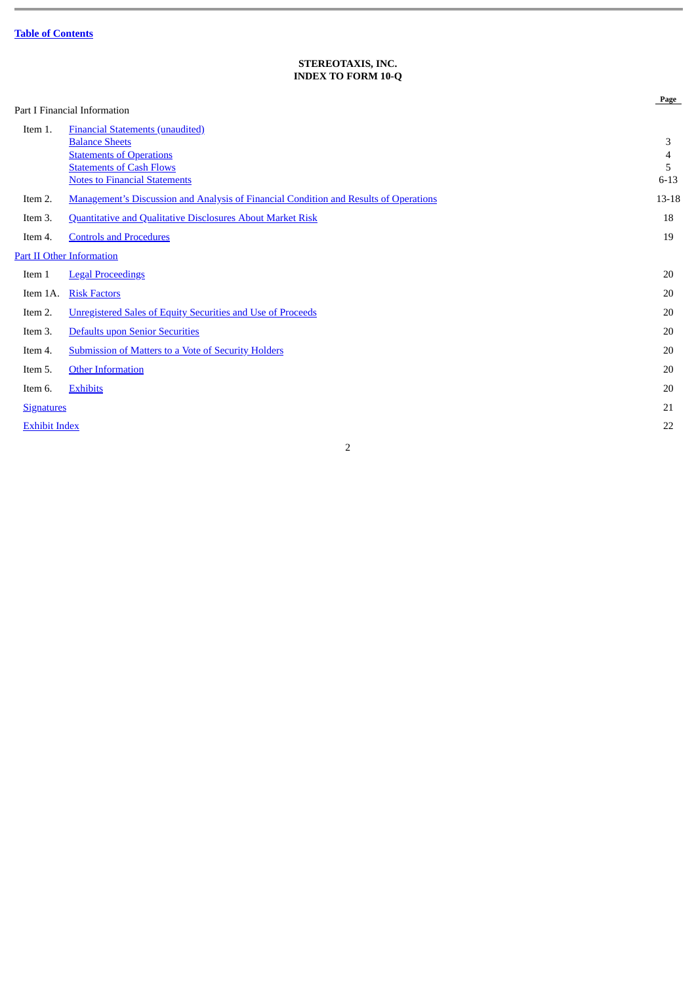# **STEREOTAXIS, INC. INDEX TO FORM 10-Q**

<span id="page-1-0"></span>

|                      |                                                                                       | Page     |
|----------------------|---------------------------------------------------------------------------------------|----------|
|                      | Part I Financial Information                                                          |          |
| Item 1.              | <b>Financial Statements (unaudited)</b>                                               |          |
|                      | <b>Balance Sheets</b>                                                                 | 3        |
|                      | <b>Statements of Operations</b>                                                       | 4        |
|                      | <b>Statements of Cash Flows</b>                                                       | 5        |
|                      | <b>Notes to Financial Statements</b>                                                  | $6 - 13$ |
| Item 2.              | Management's Discussion and Analysis of Financial Condition and Results of Operations | 13-18    |
| Item 3.              | <b>Quantitative and Qualitative Disclosures About Market Risk</b>                     | 18       |
| Item 4.              | <b>Controls and Procedures</b>                                                        | 19       |
|                      | <b>Part II Other Information</b>                                                      |          |
| Item 1               | <b>Legal Proceedings</b>                                                              | 20       |
| Item 1A.             | <b>Risk Factors</b>                                                                   | 20       |
| Item 2.              | <b>Unregistered Sales of Equity Securities and Use of Proceeds</b>                    | 20       |
| Item 3.              | Defaults upon Senior Securities                                                       | 20       |
| Item 4.              | <b>Submission of Matters to a Vote of Security Holders</b>                            | 20       |
| Item 5.              | <b>Other Information</b>                                                              | 20       |
| Item 6.              | <b>Exhibits</b>                                                                       | 20       |
| <b>Signatures</b>    |                                                                                       | 21       |
| <b>Exhibit Index</b> |                                                                                       | 22       |
|                      |                                                                                       |          |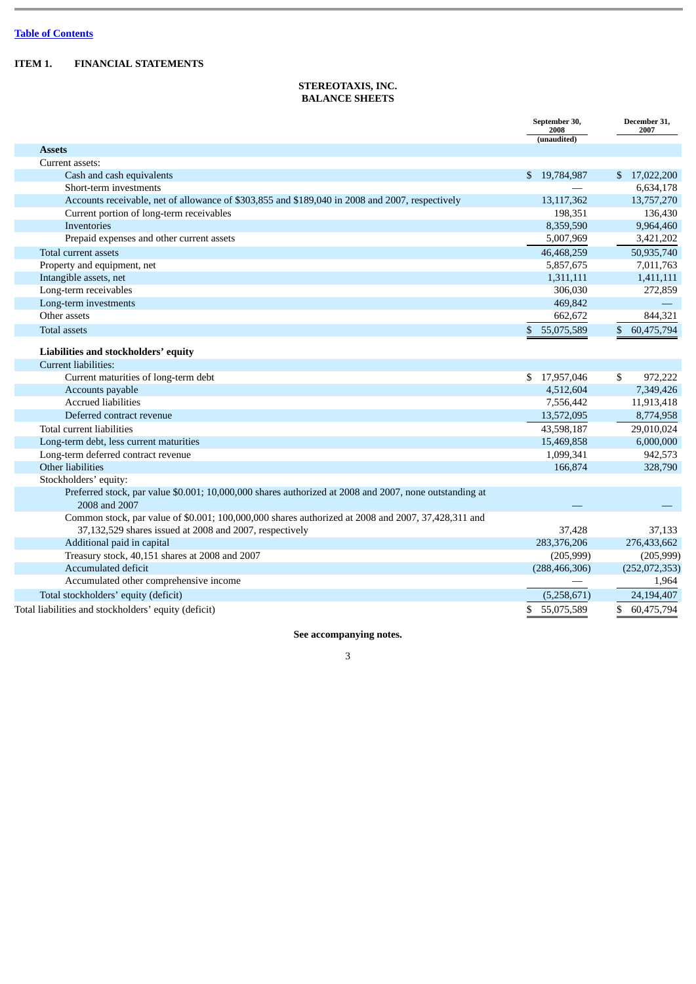# <span id="page-2-1"></span><span id="page-2-0"></span>**ITEM 1. FINANCIAL STATEMENTS**

# **STEREOTAXIS, INC. BALANCE SHEETS**

|                                                                                                                         | September 30,<br>2008<br>(unaudited) | December 31,<br>2007    |
|-------------------------------------------------------------------------------------------------------------------------|--------------------------------------|-------------------------|
| <b>Assets</b>                                                                                                           |                                      |                         |
| Current assets:                                                                                                         |                                      |                         |
| Cash and cash equivalents                                                                                               | \$<br>19,784,987                     | \$17,022,200            |
| Short-term investments                                                                                                  |                                      | 6,634,178               |
| Accounts receivable, net of allowance of \$303,855 and \$189,040 in 2008 and 2007, respectively                         | 13,117,362                           | 13,757,270              |
| Current portion of long-term receivables                                                                                | 198,351                              | 136,430                 |
| Inventories                                                                                                             | 8,359,590                            | 9,964,460               |
| Prepaid expenses and other current assets                                                                               | 5,007,969                            | 3,421,202               |
| Total current assets                                                                                                    | 46,468,259                           | 50,935,740              |
| Property and equipment, net                                                                                             | 5,857,675                            | 7,011,763               |
| Intangible assets, net                                                                                                  | 1,311,111                            | 1,411,111               |
| Long-term receivables                                                                                                   | 306,030                              | 272,859                 |
| Long-term investments                                                                                                   | 469,842                              |                         |
| Other assets                                                                                                            | 662,672                              | 844,321                 |
| <b>Total assets</b>                                                                                                     | \$<br>55,075,589                     | \$<br>60,475,794        |
|                                                                                                                         |                                      |                         |
| Liabilities and stockholders' equity                                                                                    |                                      |                         |
| Current liabilities:                                                                                                    |                                      |                         |
| Current maturities of long-term debt                                                                                    | 17,957,046<br>\$                     | \$<br>972,222           |
| Accounts payable                                                                                                        | 4,512,604                            | 7,349,426               |
| <b>Accrued liabilities</b><br>Deferred contract revenue                                                                 | 7,556,442<br>13,572,095              | 11,913,418<br>8,774,958 |
|                                                                                                                         |                                      |                         |
| Total current liabilities                                                                                               | 43,598,187                           | 29,010,024              |
| Long-term debt, less current maturities                                                                                 | 15,469,858                           | 6,000,000               |
| Long-term deferred contract revenue<br>Other liabilities                                                                | 1,099,341<br>166,874                 | 942,573<br>328,790      |
| Stockholders' equity:                                                                                                   |                                      |                         |
|                                                                                                                         |                                      |                         |
| Preferred stock, par value \$0.001; 10,000,000 shares authorized at 2008 and 2007, none outstanding at<br>2008 and 2007 |                                      |                         |
| Common stock, par value of \$0.001; 100,000,000 shares authorized at 2008 and 2007, 37,428,311 and                      |                                      |                         |
| 37,132,529 shares issued at 2008 and 2007, respectively                                                                 | 37,428                               | 37,133                  |
| Additional paid in capital                                                                                              | 283,376,206                          | 276,433,662             |
| Treasury stock, 40,151 shares at 2008 and 2007                                                                          | (205, 999)                           | (205, 999)              |
| Accumulated deficit                                                                                                     | (288, 466, 306)                      | (252,072,353)           |
| Accumulated other comprehensive income                                                                                  |                                      | 1,964                   |
| Total stockholders' equity (deficit)                                                                                    | (5,258,671)                          | 24,194,407              |
| Total liabilities and stockholders' equity (deficit)                                                                    | \$<br>55,075,589                     | \$<br>60,475,794        |

**See accompanying notes.**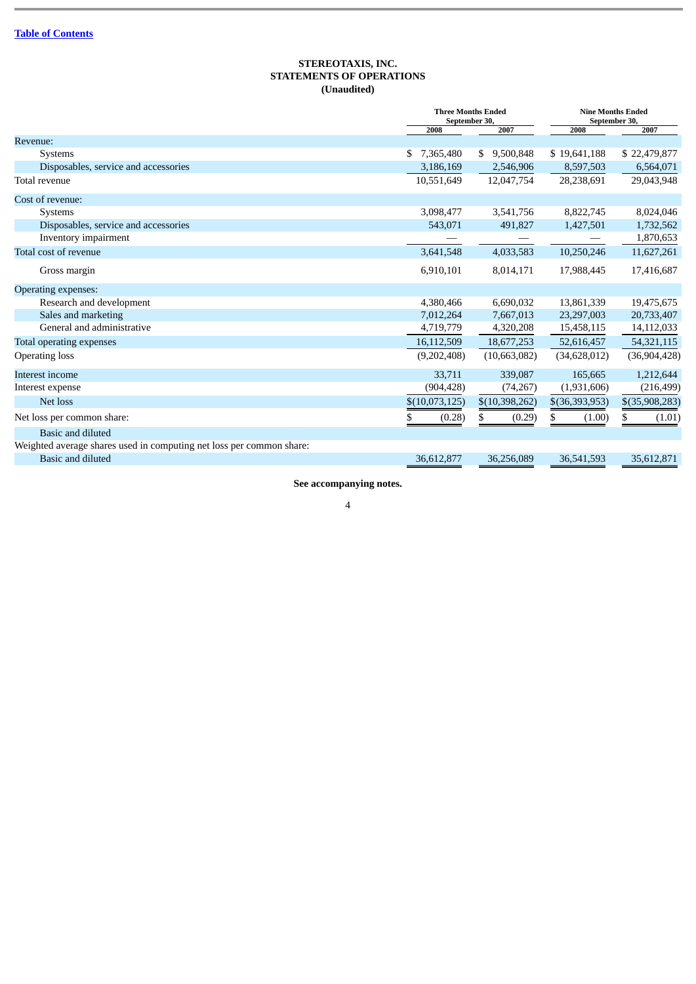# **STEREOTAXIS, INC. STATEMENTS OF OPERATIONS (Unaudited)**

<span id="page-3-0"></span>

|                                                                      |                 | <b>Three Months Ended</b><br>September 30, |                | <b>Nine Months Ended</b><br>September 30, |
|----------------------------------------------------------------------|-----------------|--------------------------------------------|----------------|-------------------------------------------|
|                                                                      | 2008            | 2007                                       | 2008           | 2007                                      |
| Revenue:                                                             |                 |                                            |                |                                           |
| <b>Systems</b>                                                       | 7,365,480<br>S. | 9,500,848<br>\$                            | \$19,641,188   | \$22,479,877                              |
| Disposables, service and accessories                                 | 3,186,169       | 2,546,906                                  | 8,597,503      | 6,564,071                                 |
| Total revenue                                                        | 10,551,649      | 12,047,754                                 | 28,238,691     | 29,043,948                                |
| Cost of revenue:                                                     |                 |                                            |                |                                           |
| <b>Systems</b>                                                       | 3,098,477       | 3,541,756                                  | 8,822,745      | 8,024,046                                 |
| Disposables, service and accessories                                 | 543,071         | 491,827                                    | 1,427,501      | 1,732,562                                 |
| Inventory impairment                                                 |                 |                                            |                | 1,870,653                                 |
| Total cost of revenue                                                | 3,641,548       | 4,033,583                                  | 10,250,246     | 11,627,261                                |
| Gross margin                                                         | 6,910,101       | 8,014,171                                  | 17,988,445     | 17,416,687                                |
| Operating expenses:                                                  |                 |                                            |                |                                           |
| Research and development                                             | 4,380,466       | 6,690,032                                  | 13,861,339     | 19,475,675                                |
| Sales and marketing                                                  | 7,012,264       | 7,667,013                                  | 23,297,003     | 20,733,407                                |
| General and administrative                                           | 4,719,779       | 4,320,208                                  | 15,458,115     | 14,112,033                                |
| Total operating expenses                                             | 16,112,509      | 18,677,253                                 | 52,616,457     | 54, 321, 115                              |
| <b>Operating loss</b>                                                | (9,202,408)     | (10,663,082)                               | (34, 628, 012) | (36, 904, 428)                            |
| Interest income                                                      | 33,711          | 339,087                                    | 165,665        | 1,212,644                                 |
| Interest expense                                                     | (904, 428)      | (74, 267)                                  | (1,931,606)    | (216, 499)                                |
| Net loss                                                             | \$(10,073,125)  | \$(10,398,262)                             | \$(36,393,953) | $$$ (35,908,283)                          |
| Net loss per common share:                                           | (0.28)          | (0.29)                                     | (1.00)         | (1.01)<br>S                               |
| Basic and diluted                                                    |                 |                                            |                |                                           |
| Weighted average shares used in computing net loss per common share: |                 |                                            |                |                                           |
| Basic and diluted                                                    | 36,612,877      | 36,256,089                                 | 36,541,593     | 35,612,871                                |

**See accompanying notes.**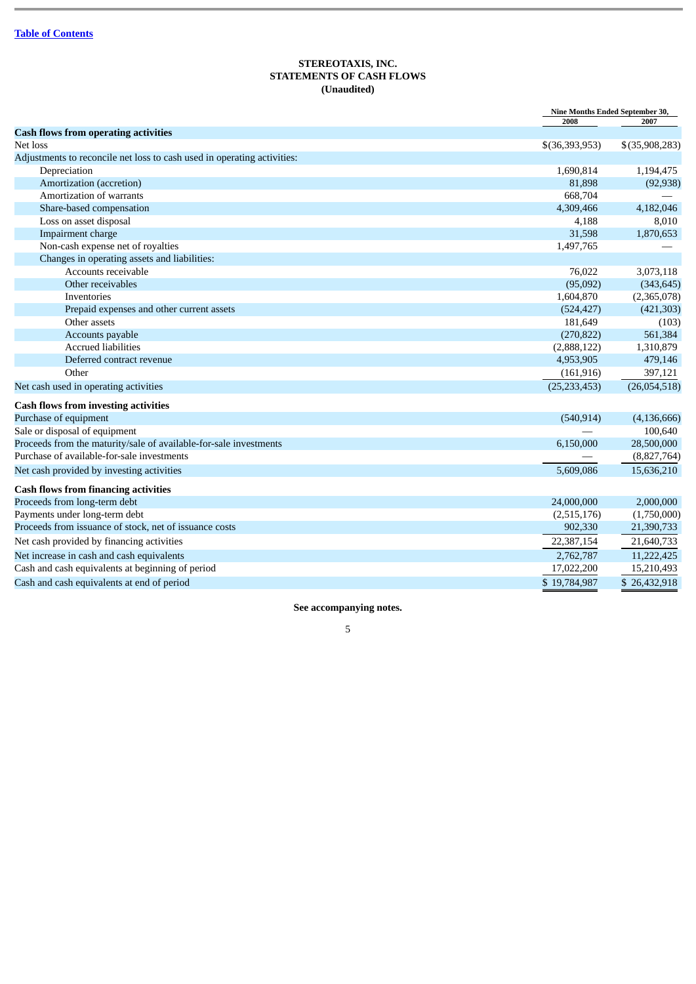# **STEREOTAXIS, INC. STATEMENTS OF CASH FLOWS (Unaudited)**

<span id="page-4-0"></span>

|                                                                         |                | Nine Months Ended September 30, |  |
|-------------------------------------------------------------------------|----------------|---------------------------------|--|
|                                                                         | 2008           | 2007                            |  |
| <b>Cash flows from operating activities</b><br>Net loss                 | \$(36,393,953) | $$$ (35,908,283)                |  |
| Adjustments to reconcile net loss to cash used in operating activities: |                |                                 |  |
| Depreciation                                                            | 1,690,814      | 1,194,475                       |  |
| Amortization (accretion)                                                | 81,898         | (92, 938)                       |  |
| Amortization of warrants                                                | 668,704        |                                 |  |
| Share-based compensation                                                | 4,309,466      | 4,182,046                       |  |
| Loss on asset disposal                                                  | 4,188          | 8,010                           |  |
| Impairment charge                                                       | 31,598         | 1,870,653                       |  |
| Non-cash expense net of royalties                                       | 1,497,765      |                                 |  |
| Changes in operating assets and liabilities:                            |                |                                 |  |
| Accounts receivable                                                     | 76,022         | 3,073,118                       |  |
| Other receivables                                                       | (95,092)       | (343, 645)                      |  |
| Inventories                                                             | 1,604,870      | (2,365,078)                     |  |
| Prepaid expenses and other current assets                               | (524, 427)     | (421, 303)                      |  |
| Other assets                                                            | 181,649        | (103)                           |  |
| Accounts payable                                                        | (270, 822)     | 561,384                         |  |
| <b>Accrued liabilities</b>                                              | (2,888,122)    | 1,310,879                       |  |
| Deferred contract revenue                                               | 4,953,905      | 479,146                         |  |
| Other                                                                   | (161, 916)     | 397,121                         |  |
| Net cash used in operating activities                                   | (25, 233, 453) | (26,054,518)                    |  |
| <b>Cash flows from investing activities</b>                             |                |                                 |  |
| Purchase of equipment                                                   | (540, 914)     | (4, 136, 666)                   |  |
| Sale or disposal of equipment                                           |                | 100,640                         |  |
| Proceeds from the maturity/sale of available-for-sale investments       | 6,150,000      | 28,500,000                      |  |
| Purchase of available-for-sale investments                              |                | (8,827,764)                     |  |
| Net cash provided by investing activities                               | 5,609,086      | 15,636,210                      |  |
| <b>Cash flows from financing activities</b>                             |                |                                 |  |
| Proceeds from long-term debt                                            | 24,000,000     | 2,000,000                       |  |
| Payments under long-term debt                                           | (2,515,176)    | (1,750,000)                     |  |
| Proceeds from issuance of stock, net of issuance costs                  | 902,330        | 21,390,733                      |  |
| Net cash provided by financing activities                               | 22,387,154     | 21,640,733                      |  |
| Net increase in cash and cash equivalents                               | 2,762,787      | 11,222,425                      |  |
| Cash and cash equivalents at beginning of period                        | 17,022,200     | 15,210,493                      |  |
| Cash and cash equivalents at end of period                              | \$19,784,987   | \$26,432,918                    |  |

**See accompanying notes.**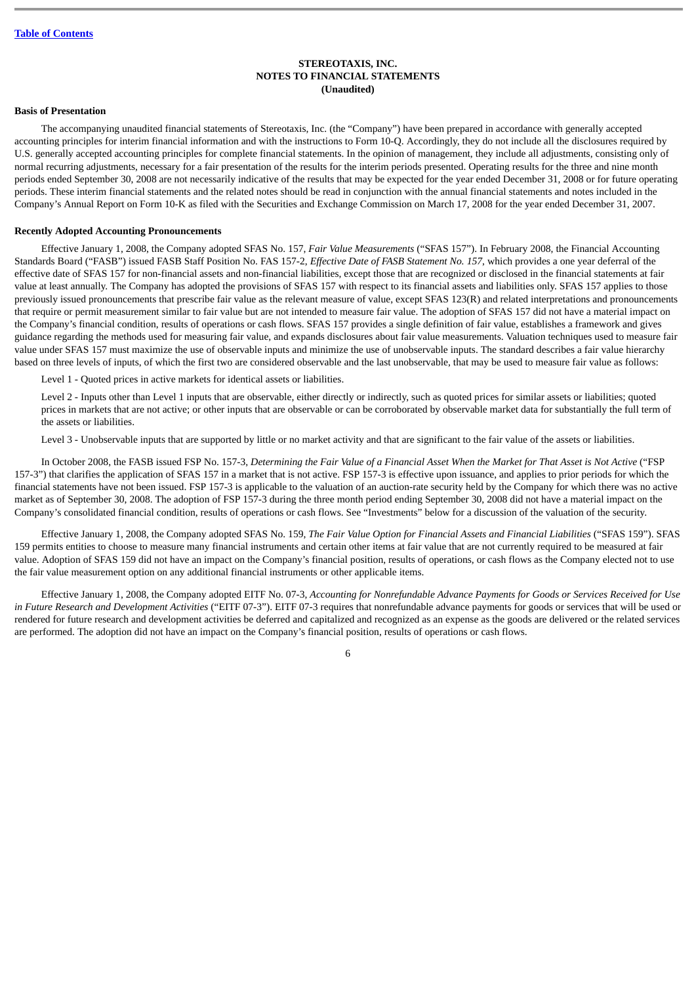# **STEREOTAXIS, INC. NOTES TO FINANCIAL STATEMENTS (Unaudited)**

# <span id="page-5-0"></span>**Basis of Presentation**

The accompanying unaudited financial statements of Stereotaxis, Inc. (the "Company") have been prepared in accordance with generally accepted accounting principles for interim financial information and with the instructions to Form 10-Q. Accordingly, they do not include all the disclosures required by U.S. generally accepted accounting principles for complete financial statements. In the opinion of management, they include all adjustments, consisting only of normal recurring adjustments, necessary for a fair presentation of the results for the interim periods presented. Operating results for the three and nine month periods ended September 30, 2008 are not necessarily indicative of the results that may be expected for the year ended December 31, 2008 or for future operating periods. These interim financial statements and the related notes should be read in conjunction with the annual financial statements and notes included in the Company's Annual Report on Form 10-K as filed with the Securities and Exchange Commission on March 17, 2008 for the year ended December 31, 2007.

#### **Recently Adopted Accounting Pronouncements**

Effective January 1, 2008, the Company adopted SFAS No. 157, *Fair Value Measurements* ("SFAS 157"). In February 2008, the Financial Accounting Standards Board ("FASB") issued FASB Staff Position No. FAS 157-2, *Effective Date of FASB Statement No. 157*, which provides a one year deferral of the effective date of SFAS 157 for non-financial assets and non-financial liabilities, except those that are recognized or disclosed in the financial statements at fair value at least annually. The Company has adopted the provisions of SFAS 157 with respect to its financial assets and liabilities only. SFAS 157 applies to those previously issued pronouncements that prescribe fair value as the relevant measure of value, except SFAS 123(R) and related interpretations and pronouncements that require or permit measurement similar to fair value but are not intended to measure fair value. The adoption of SFAS 157 did not have a material impact on the Company's financial condition, results of operations or cash flows. SFAS 157 provides a single definition of fair value, establishes a framework and gives guidance regarding the methods used for measuring fair value, and expands disclosures about fair value measurements. Valuation techniques used to measure fair value under SFAS 157 must maximize the use of observable inputs and minimize the use of unobservable inputs. The standard describes a fair value hierarchy based on three levels of inputs, of which the first two are considered observable and the last unobservable, that may be used to measure fair value as follows:

Level 1 - Quoted prices in active markets for identical assets or liabilities.

Level 2 - Inputs other than Level 1 inputs that are observable, either directly or indirectly, such as quoted prices for similar assets or liabilities; quoted prices in markets that are not active; or other inputs that are observable or can be corroborated by observable market data for substantially the full term of the assets or liabilities.

Level 3 - Unobservable inputs that are supported by little or no market activity and that are significant to the fair value of the assets or liabilities.

In October 2008, the FASB issued FSP No. 157-3, *Determining the Fair Value of a Financial Asset When the Market for That Asset is Not Active* ("FSP 157-3") that clarifies the application of SFAS 157 in a market that is not active. FSP 157-3 is effective upon issuance, and applies to prior periods for which the financial statements have not been issued. FSP 157-3 is applicable to the valuation of an auction-rate security held by the Company for which there was no active market as of September 30, 2008. The adoption of FSP 157-3 during the three month period ending September 30, 2008 did not have a material impact on the Company's consolidated financial condition, results of operations or cash flows. See "Investments" below for a discussion of the valuation of the security.

Effective January 1, 2008, the Company adopted SFAS No. 159, *The Fair Value Option for Financial Assets and Financial Liabilities* ("SFAS 159"). SFAS 159 permits entities to choose to measure many financial instruments and certain other items at fair value that are not currently required to be measured at fair value. Adoption of SFAS 159 did not have an impact on the Company's financial position, results of operations, or cash flows as the Company elected not to use the fair value measurement option on any additional financial instruments or other applicable items.

Effective January 1, 2008, the Company adopted EITF No. 07-3, *Accounting for Nonrefundable Advance Payments for Goods or Services Received for Use in Future Research and Development Activities* ("EITF 07-3"). EITF 07-3 requires that nonrefundable advance payments for goods or services that will be used or rendered for future research and development activities be deferred and capitalized and recognized as an expense as the goods are delivered or the related services are performed. The adoption did not have an impact on the Company's financial position, results of operations or cash flows.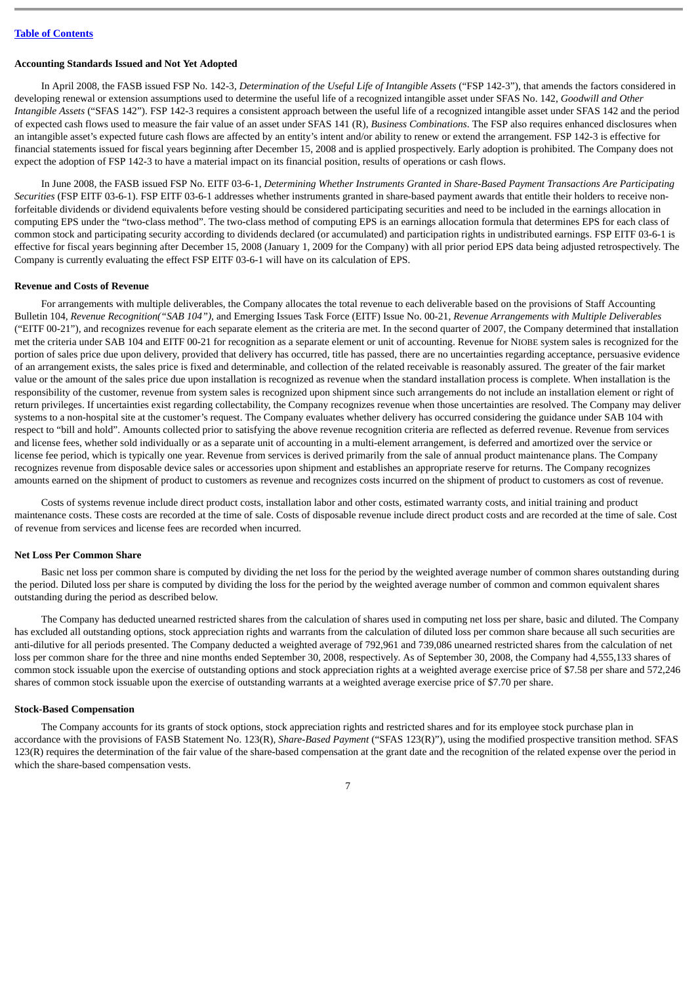#### **Accounting Standards Issued and Not Yet Adopted**

In April 2008, the FASB issued FSP No. 142-3, *Determination of the Useful Life of Intangible Assets* ("FSP 142-3"), that amends the factors considered in developing renewal or extension assumptions used to determine the useful life of a recognized intangible asset under SFAS No. 142, *Goodwill and Other Intangible Assets* ("SFAS 142"). FSP 142-3 requires a consistent approach between the useful life of a recognized intangible asset under SFAS 142 and the period of expected cash flows used to measure the fair value of an asset under SFAS 141 (R), *Business Combinations*. The FSP also requires enhanced disclosures when an intangible asset's expected future cash flows are affected by an entity's intent and/or ability to renew or extend the arrangement. FSP 142-3 is effective for financial statements issued for fiscal years beginning after December 15, 2008 and is applied prospectively. Early adoption is prohibited. The Company does not expect the adoption of FSP 142-3 to have a material impact on its financial position, results of operations or cash flows.

In June 2008, the FASB issued FSP No. EITF 03-6-1, *Determining Whether Instruments Granted in Share-Based Payment Transactions Are Participating Securities* (FSP EITF 03-6-1). FSP EITF 03-6-1 addresses whether instruments granted in share-based payment awards that entitle their holders to receive nonforfeitable dividends or dividend equivalents before vesting should be considered participating securities and need to be included in the earnings allocation in computing EPS under the "two-class method". The two-class method of computing EPS is an earnings allocation formula that determines EPS for each class of common stock and participating security according to dividends declared (or accumulated) and participation rights in undistributed earnings. FSP EITF 03-6-1 is effective for fiscal years beginning after December 15, 2008 (January 1, 2009 for the Company) with all prior period EPS data being adjusted retrospectively. The Company is currently evaluating the effect FSP EITF 03-6-1 will have on its calculation of EPS.

#### **Revenue and Costs of Revenue**

For arrangements with multiple deliverables, the Company allocates the total revenue to each deliverable based on the provisions of Staff Accounting Bulletin 104, *Revenue Recognition("SAB 104"),* and Emerging Issues Task Force (EITF) Issue No. 00-21, *Revenue Arrangements with Multiple Deliverables* ("EITF 00-21")*,* and recognizes revenue for each separate element as the criteria are met. In the second quarter of 2007, the Company determined that installation met the criteria under SAB 104 and EITF 00-21 for recognition as a separate element or unit of accounting. Revenue for NIOBE system sales is recognized for the portion of sales price due upon delivery, provided that delivery has occurred, title has passed, there are no uncertainties regarding acceptance, persuasive evidence of an arrangement exists, the sales price is fixed and determinable, and collection of the related receivable is reasonably assured. The greater of the fair market value or the amount of the sales price due upon installation is recognized as revenue when the standard installation process is complete. When installation is the responsibility of the customer, revenue from system sales is recognized upon shipment since such arrangements do not include an installation element or right of return privileges. If uncertainties exist regarding collectability, the Company recognizes revenue when those uncertainties are resolved. The Company may deliver systems to a non-hospital site at the customer's request. The Company evaluates whether delivery has occurred considering the guidance under SAB 104 with respect to "bill and hold". Amounts collected prior to satisfying the above revenue recognition criteria are reflected as deferred revenue. Revenue from services and license fees, whether sold individually or as a separate unit of accounting in a multi-element arrangement, is deferred and amortized over the service or license fee period, which is typically one year. Revenue from services is derived primarily from the sale of annual product maintenance plans. The Company recognizes revenue from disposable device sales or accessories upon shipment and establishes an appropriate reserve for returns. The Company recognizes amounts earned on the shipment of product to customers as revenue and recognizes costs incurred on the shipment of product to customers as cost of revenue.

Costs of systems revenue include direct product costs, installation labor and other costs, estimated warranty costs, and initial training and product maintenance costs. These costs are recorded at the time of sale. Costs of disposable revenue include direct product costs and are recorded at the time of sale. Cost of revenue from services and license fees are recorded when incurred.

# **Net Loss Per Common Share**

Basic net loss per common share is computed by dividing the net loss for the period by the weighted average number of common shares outstanding during the period. Diluted loss per share is computed by dividing the loss for the period by the weighted average number of common and common equivalent shares outstanding during the period as described below.

The Company has deducted unearned restricted shares from the calculation of shares used in computing net loss per share, basic and diluted. The Company has excluded all outstanding options, stock appreciation rights and warrants from the calculation of diluted loss per common share because all such securities are anti-dilutive for all periods presented. The Company deducted a weighted average of 792,961 and 739,086 unearned restricted shares from the calculation of net loss per common share for the three and nine months ended September 30, 2008, respectively. As of September 30, 2008, the Company had 4,555,133 shares of common stock issuable upon the exercise of outstanding options and stock appreciation rights at a weighted average exercise price of \$7.58 per share and 572,246 shares of common stock issuable upon the exercise of outstanding warrants at a weighted average exercise price of \$7.70 per share.

#### **Stock-Based Compensation**

The Company accounts for its grants of stock options, stock appreciation rights and restricted shares and for its employee stock purchase plan in accordance with the provisions of FASB Statement No. 123(R), *Share-Based Payment* ("SFAS 123(R)"), using the modified prospective transition method. SFAS 123(R) requires the determination of the fair value of the share-based compensation at the grant date and the recognition of the related expense over the period in which the share-based compensation vests.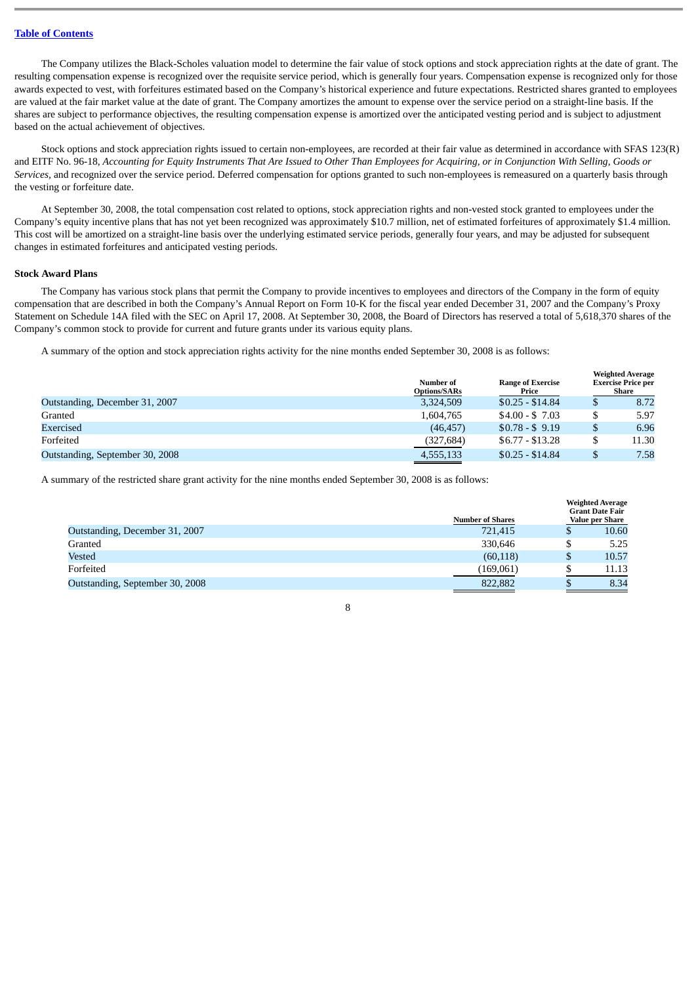# **Table of [Contents](#page-1-0)**

The Company utilizes the Black-Scholes valuation model to determine the fair value of stock options and stock appreciation rights at the date of grant. The resulting compensation expense is recognized over the requisite service period, which is generally four years. Compensation expense is recognized only for those awards expected to vest, with forfeitures estimated based on the Company's historical experience and future expectations. Restricted shares granted to employees are valued at the fair market value at the date of grant. The Company amortizes the amount to expense over the service period on a straight-line basis. If the shares are subject to performance objectives, the resulting compensation expense is amortized over the anticipated vesting period and is subject to adjustment based on the actual achievement of objectives.

Stock options and stock appreciation rights issued to certain non-employees, are recorded at their fair value as determined in accordance with SFAS 123(R) and EITF No. 96-18, *Accounting for Equity Instruments That Are Issued to Other Than Employees for Acquiring, or in Conjunction With Selling, Goods or Services,* and recognized over the service period. Deferred compensation for options granted to such non-employees is remeasured on a quarterly basis through the vesting or forfeiture date.

At September 30, 2008, the total compensation cost related to options, stock appreciation rights and non-vested stock granted to employees under the Company's equity incentive plans that has not yet been recognized was approximately \$10.7 million, net of estimated forfeitures of approximately \$1.4 million. This cost will be amortized on a straight-line basis over the underlying estimated service periods, generally four years, and may be adjusted for subsequent changes in estimated forfeitures and anticipated vesting periods.

# **Stock Award Plans**

The Company has various stock plans that permit the Company to provide incentives to employees and directors of the Company in the form of equity compensation that are described in both the Company's Annual Report on Form 10-K for the fiscal year ended December 31, 2007 and the Company's Proxy Statement on Schedule 14A filed with the SEC on April 17, 2008. At September 30, 2008, the Board of Directors has reserved a total of 5,618,370 shares of the Company's common stock to provide for current and future grants under its various equity plans.

A summary of the option and stock appreciation rights activity for the nine months ended September 30, 2008 is as follows:

|                                 | Number of<br><b>Options/SARs</b> | <b>Range of Exercise</b><br>Price |   | weighted Average<br><b>Exercise Price per</b><br>Share |
|---------------------------------|----------------------------------|-----------------------------------|---|--------------------------------------------------------|
| Outstanding, December 31, 2007  | 3,324,509                        | $$0.25 - $14.84$                  |   | 8.72                                                   |
| Granted                         | 1,604,765                        | $$4.00 - $7.03$                   |   | 5.97                                                   |
| Exercised                       | (46, 457)                        | $$0.78 - $9.19$                   |   | 6.96                                                   |
| Forfeited                       | (327.684)                        | \$6.77 - \$13.28                  | S | 11.30                                                  |
| Outstanding, September 30, 2008 | 4,555,133                        | $$0.25 - $14.84$                  |   | 7.58                                                   |

**Weighted Average**

**Weighted Average**

A summary of the restricted share grant activity for the nine months ended September 30, 2008 is as follows:

|                                 | <b>Number of Shares</b> |    | weighted Average<br><b>Grant Date Fair</b><br>Value per Share |
|---------------------------------|-------------------------|----|---------------------------------------------------------------|
| Outstanding, December 31, 2007  | 721,415                 | ۵D | 10.60                                                         |
| Granted                         | 330.646                 | Œ  | 5.25                                                          |
| Vested                          | (60, 118)               | ъ  | 10.57                                                         |
| Forfeited                       | (169,061)               |    | 11.13                                                         |
| Outstanding, September 30, 2008 | 822,882                 |    | 8.34                                                          |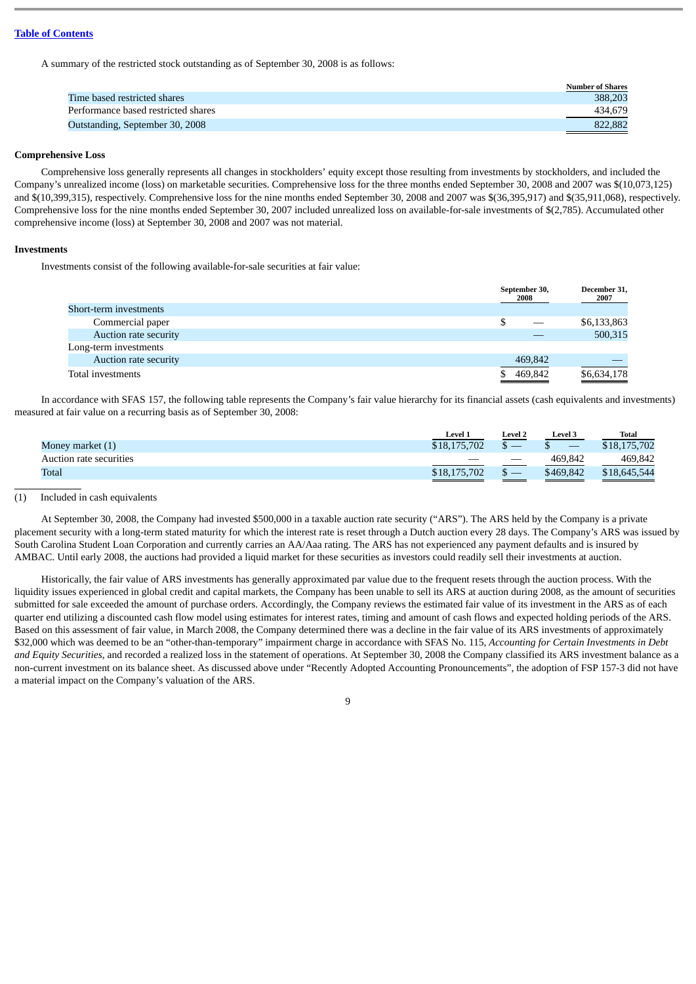A summary of the restricted stock outstanding as of September 30, 2008 is as follows:

|                                     | <b>Number of Shares</b> |
|-------------------------------------|-------------------------|
| Time based restricted shares        | 388,203                 |
| Performance based restricted shares | 434.679                 |
| Outstanding, September 30, 2008     | 822,882                 |

#### **Comprehensive Loss**

Comprehensive loss generally represents all changes in stockholders' equity except those resulting from investments by stockholders, and included the Company's unrealized income (loss) on marketable securities. Comprehensive loss for the three months ended September 30, 2008 and 2007 was \$(10,073,125) and \$(10,399,315), respectively. Comprehensive loss for the nine months ended September 30, 2008 and 2007 was \$(36,395,917) and \$(35,911,068), respectively. Comprehensive loss for the nine months ended September 30, 2007 included unrealized loss on available-for-sale investments of \$(2,785). Accumulated other comprehensive income (loss) at September 30, 2008 and 2007 was not material.

# **Investments**

Investments consist of the following available-for-sale securities at fair value:

|                        | September 30,<br>2008 | December 31,<br>2007 |
|------------------------|-----------------------|----------------------|
| Short-term investments |                       |                      |
| Commercial paper       |                       | \$6,133,863          |
| Auction rate security  |                       | 500,315              |
| Long-term investments  |                       |                      |
| Auction rate security  | 469,842               |                      |
| Total investments      | 469,842               | \$6,634,178          |

In accordance with SFAS 157, the following table represents the Company's fair value hierarchy for its financial assets (cash equivalents and investments) measured at fair value on a recurring basis as of September 30, 2008:

|                         | <b>Level 1</b> | Level 2 | <b>Level</b> 3 | <b>Total</b> |
|-------------------------|----------------|---------|----------------|--------------|
| Money market (1)        | \$18,175,702   |         |                | \$18,175,702 |
| Auction rate securities |                |         | 469,842        | 469.842      |
| Total                   | \$18,175,702   |         | \$469,842      | \$18,645,544 |

# $\overline{(1)}$  Included in cash equivalents

At September 30, 2008, the Company had invested \$500,000 in a taxable auction rate security ("ARS"). The ARS held by the Company is a private placement security with a long-term stated maturity for which the interest rate is reset through a Dutch auction every 28 days. The Company's ARS was issued by South Carolina Student Loan Corporation and currently carries an AA/Aaa rating. The ARS has not experienced any payment defaults and is insured by AMBAC. Until early 2008, the auctions had provided a liquid market for these securities as investors could readily sell their investments at auction.

Historically, the fair value of ARS investments has generally approximated par value due to the frequent resets through the auction process. With the liquidity issues experienced in global credit and capital markets, the Company has been unable to sell its ARS at auction during 2008, as the amount of securities submitted for sale exceeded the amount of purchase orders. Accordingly, the Company reviews the estimated fair value of its investment in the ARS as of each quarter end utilizing a discounted cash flow model using estimates for interest rates, timing and amount of cash flows and expected holding periods of the ARS. Based on this assessment of fair value, in March 2008, the Company determined there was a decline in the fair value of its ARS investments of approximately \$32,000 which was deemed to be an "other-than-temporary" impairment charge in accordance with SFAS No. 115, *Accounting for Certain Investments in Debt and Equity Securities*, and recorded a realized loss in the statement of operations. At September 30, 2008 the Company classified its ARS investment balance as a non-current investment on its balance sheet. As discussed above under "Recently Adopted Accounting Pronouncements", the adoption of FSP 157-3 did not have a material impact on the Company's valuation of the ARS.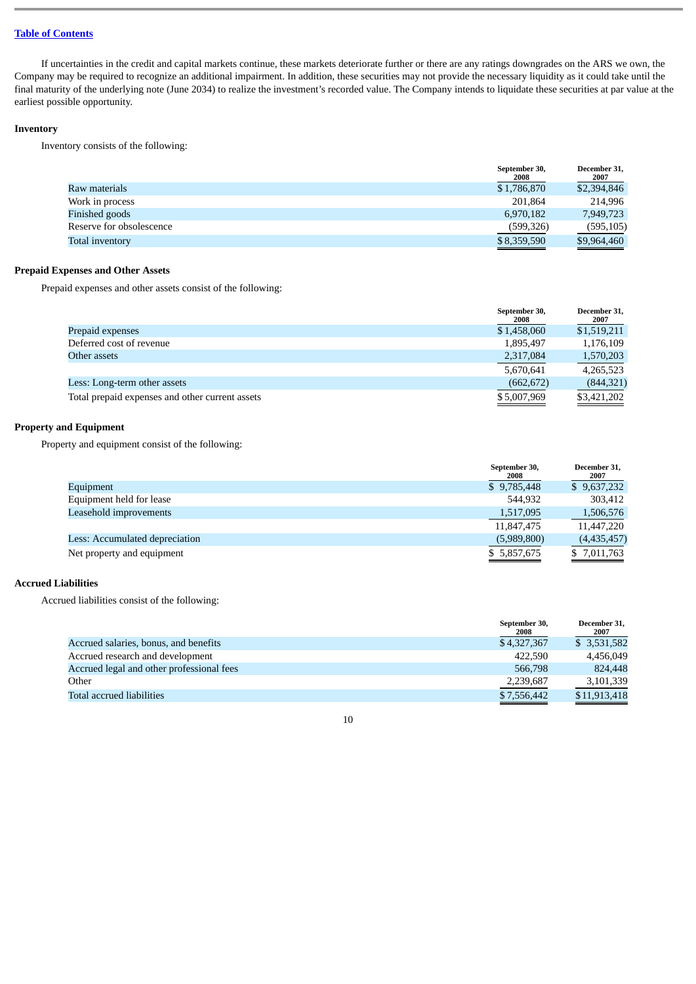# **Table of [Contents](#page-1-0)**

If uncertainties in the credit and capital markets continue, these markets deteriorate further or there are any ratings downgrades on the ARS we own, the Company may be required to recognize an additional impairment. In addition, these securities may not provide the necessary liquidity as it could take until the final maturity of the underlying note (June 2034) to realize the investment's recorded value. The Company intends to liquidate these securities at par value at the earliest possible opportunity.

# **Inventory**

Inventory consists of the following:

| September 30,<br>2008 | December 31.<br>2007 |
|-----------------------|----------------------|
| \$1,786,870           | \$2,394,846          |
| 201.864               | 214.996              |
| 6,970,182             | 7.949.723            |
| (599, 326)            | (595, 105)           |
| \$8,359,590           | \$9,964,460          |
|                       |                      |

# **Prepaid Expenses and Other Assets**

Prepaid expenses and other assets consist of the following:

|                                                 | September 30,<br>2008 | December 31.<br>2007 |
|-------------------------------------------------|-----------------------|----------------------|
| Prepaid expenses                                | \$1,458,060           | \$1,519,211          |
| Deferred cost of revenue                        | 1,895,497             | 1,176,109            |
| Other assets                                    | 2,317,084             | 1,570,203            |
|                                                 | 5,670,641             | 4,265,523            |
| Less: Long-term other assets                    | (662, 672)            | (844, 321)           |
| Total prepaid expenses and other current assets | \$5,007,969           | \$3,421,202          |

# **Property and Equipment**

Property and equipment consist of the following:

|                                | September 30,<br>2008 | December 31,<br>2007 |
|--------------------------------|-----------------------|----------------------|
| Equipment                      | \$9,785,448           | \$9,637,232          |
| Equipment held for lease       | 544.932               | 303,412              |
| Leasehold improvements         | 1,517,095             | 1,506,576            |
|                                | 11,847,475            | 11,447,220           |
| Less: Accumulated depreciation | (5,989,800)           | (4,435,457)          |
| Net property and equipment     | \$ 5,857,675          | \$ 7,011,763         |

# **Accrued Liabilities**

Accrued liabilities consist of the following:

| September 30,<br>2008 | December 31,<br>2007 |
|-----------------------|----------------------|
| \$4,327,367           | \$ 3,531,582         |
| 422.590               | 4,456,049            |
| 566.798               | 824,448              |
| 2,239,687             | 3,101,339            |
| \$7,556,442           | \$11,913,418         |
|                       |                      |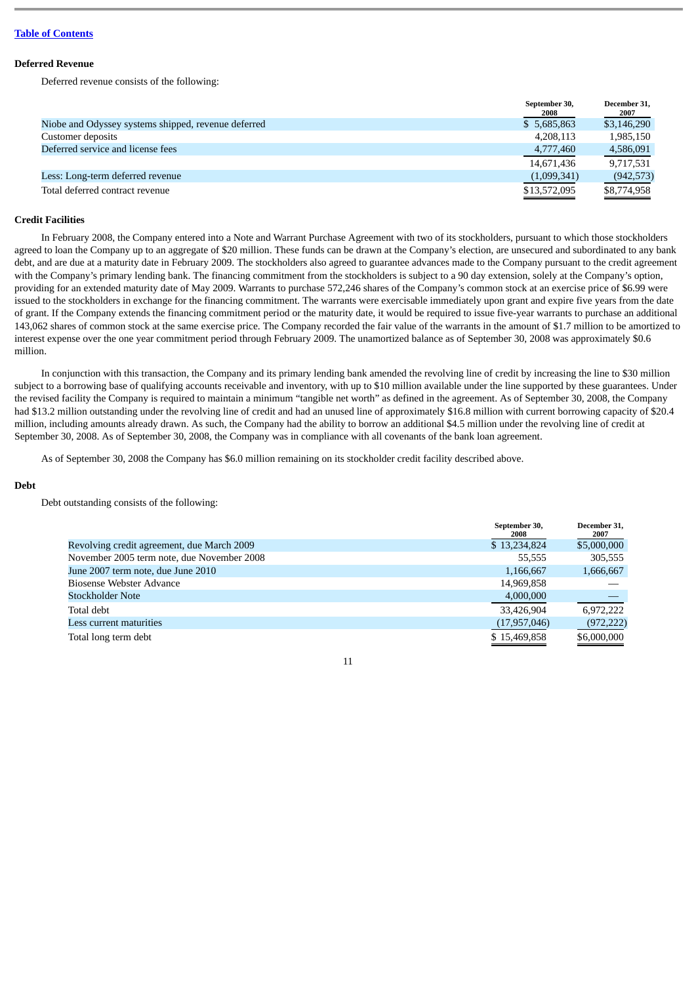# **Deferred Revenue**

Deferred revenue consists of the following:

|                                                     | September 30,<br>2008 | December 31,<br>2007 |
|-----------------------------------------------------|-----------------------|----------------------|
| Niobe and Odyssey systems shipped, revenue deferred | \$5,685,863           | \$3,146,290          |
| Customer deposits                                   | 4,208,113             | 1,985,150            |
| Deferred service and license fees                   | 4,777,460             | 4,586,091            |
|                                                     | 14,671,436            | 9,717,531            |
| Less: Long-term deferred revenue                    | (1,099,341)           | (942, 573)           |
| Total deferred contract revenue                     | \$13,572,095          | \$8,774,958          |

# **Credit Facilities**

In February 2008, the Company entered into a Note and Warrant Purchase Agreement with two of its stockholders, pursuant to which those stockholders agreed to loan the Company up to an aggregate of \$20 million. These funds can be drawn at the Company's election, are unsecured and subordinated to any bank debt, and are due at a maturity date in February 2009. The stockholders also agreed to guarantee advances made to the Company pursuant to the credit agreement with the Company's primary lending bank. The financing commitment from the stockholders is subject to a 90 day extension, solely at the Company's option, providing for an extended maturity date of May 2009. Warrants to purchase 572,246 shares of the Company's common stock at an exercise price of \$6.99 were issued to the stockholders in exchange for the financing commitment. The warrants were exercisable immediately upon grant and expire five years from the date of grant. If the Company extends the financing commitment period or the maturity date, it would be required to issue five-year warrants to purchase an additional 143,062 shares of common stock at the same exercise price. The Company recorded the fair value of the warrants in the amount of \$1.7 million to be amortized to interest expense over the one year commitment period through February 2009. The unamortized balance as of September 30, 2008 was approximately \$0.6 million.

In conjunction with this transaction, the Company and its primary lending bank amended the revolving line of credit by increasing the line to \$30 million subject to a borrowing base of qualifying accounts receivable and inventory, with up to \$10 million available under the line supported by these guarantees. Under the revised facility the Company is required to maintain a minimum "tangible net worth" as defined in the agreement. As of September 30, 2008, the Company had \$13.2 million outstanding under the revolving line of credit and had an unused line of approximately \$16.8 million with current borrowing capacity of \$20.4 million, including amounts already drawn. As such, the Company had the ability to borrow an additional \$4.5 million under the revolving line of credit at September 30, 2008. As of September 30, 2008, the Company was in compliance with all covenants of the bank loan agreement.

As of September 30, 2008 the Company has \$6.0 million remaining on its stockholder credit facility described above.

#### **Debt**

Debt outstanding consists of the following:

|                                            | September 30,<br>2008 | December 31.<br>2007 |
|--------------------------------------------|-----------------------|----------------------|
| Revolving credit agreement, due March 2009 | \$13,234,824          | \$5,000,000          |
| November 2005 term note, due November 2008 | 55,555                | 305,555              |
| June 2007 term note, due June 2010         | 1,166,667             | 1,666,667            |
| Biosense Webster Advance                   | 14,969,858            |                      |
| <b>Stockholder Note</b>                    | 4,000,000             |                      |
| Total debt                                 | 33.426.904            | 6,972,222            |
| Less current maturities                    | (17,957,046)          | (972, 222)           |
| Total long term debt                       | \$15,469,858          | \$6,000,000          |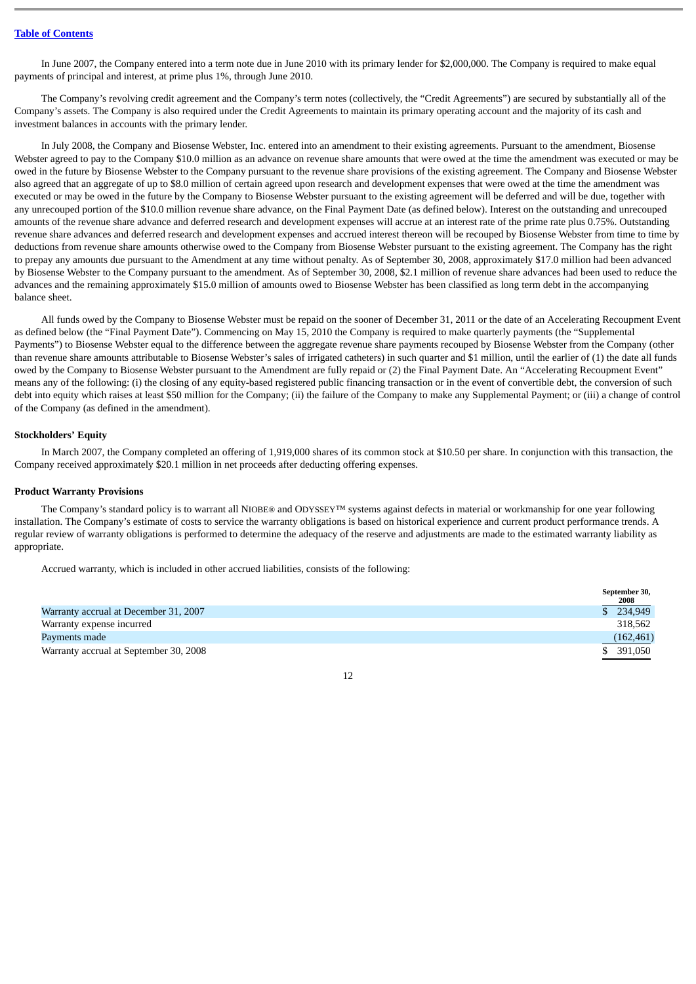# **Table of [Contents](#page-1-0)**

In June 2007, the Company entered into a term note due in June 2010 with its primary lender for \$2,000,000. The Company is required to make equal payments of principal and interest, at prime plus 1%, through June 2010.

The Company's revolving credit agreement and the Company's term notes (collectively, the "Credit Agreements") are secured by substantially all of the Company's assets. The Company is also required under the Credit Agreements to maintain its primary operating account and the majority of its cash and investment balances in accounts with the primary lender.

In July 2008, the Company and Biosense Webster, Inc. entered into an amendment to their existing agreements. Pursuant to the amendment, Biosense Webster agreed to pay to the Company \$10.0 million as an advance on revenue share amounts that were owed at the time the amendment was executed or may be owed in the future by Biosense Webster to the Company pursuant to the revenue share provisions of the existing agreement. The Company and Biosense Webster also agreed that an aggregate of up to \$8.0 million of certain agreed upon research and development expenses that were owed at the time the amendment was executed or may be owed in the future by the Company to Biosense Webster pursuant to the existing agreement will be deferred and will be due, together with any unrecouped portion of the \$10.0 million revenue share advance, on the Final Payment Date (as defined below). Interest on the outstanding and unrecouped amounts of the revenue share advance and deferred research and development expenses will accrue at an interest rate of the prime rate plus 0.75%. Outstanding revenue share advances and deferred research and development expenses and accrued interest thereon will be recouped by Biosense Webster from time to time by deductions from revenue share amounts otherwise owed to the Company from Biosense Webster pursuant to the existing agreement. The Company has the right to prepay any amounts due pursuant to the Amendment at any time without penalty. As of September 30, 2008, approximately \$17.0 million had been advanced by Biosense Webster to the Company pursuant to the amendment. As of September 30, 2008, \$2.1 million of revenue share advances had been used to reduce the advances and the remaining approximately \$15.0 million of amounts owed to Biosense Webster has been classified as long term debt in the accompanying balance sheet.

All funds owed by the Company to Biosense Webster must be repaid on the sooner of December 31, 2011 or the date of an Accelerating Recoupment Event as defined below (the "Final Payment Date"). Commencing on May 15, 2010 the Company is required to make quarterly payments (the "Supplemental Payments") to Biosense Webster equal to the difference between the aggregate revenue share payments recouped by Biosense Webster from the Company (other than revenue share amounts attributable to Biosense Webster's sales of irrigated catheters) in such quarter and \$1 million, until the earlier of (1) the date all funds owed by the Company to Biosense Webster pursuant to the Amendment are fully repaid or (2) the Final Payment Date. An "Accelerating Recoupment Event" means any of the following: (i) the closing of any equity-based registered public financing transaction or in the event of convertible debt, the conversion of such debt into equity which raises at least \$50 million for the Company; (ii) the failure of the Company to make any Supplemental Payment; or (iii) a change of control of the Company (as defined in the amendment).

#### **Stockholders' Equity**

In March 2007, the Company completed an offering of 1,919,000 shares of its common stock at \$10.50 per share. In conjunction with this transaction, the Company received approximately \$20.1 million in net proceeds after deducting offering expenses.

# **Product Warranty Provisions**

The Company's standard policy is to warrant all NIOBE® and ODYSSEY™ systems against defects in material or workmanship for one year following installation. The Company's estimate of costs to service the warranty obligations is based on historical experience and current product performance trends. A regular review of warranty obligations is performed to determine the adequacy of the reserve and adjustments are made to the estimated warranty liability as appropriate.

Accrued warranty, which is included in other accrued liabilities, consists of the following:

|                                        | September 30,<br>2008 |
|----------------------------------------|-----------------------|
| Warranty accrual at December 31, 2007  | \$234,949             |
| Warranty expense incurred              | 318.562               |
| Payments made                          | (162, 461)            |
| Warranty accrual at September 30, 2008 | 391,050               |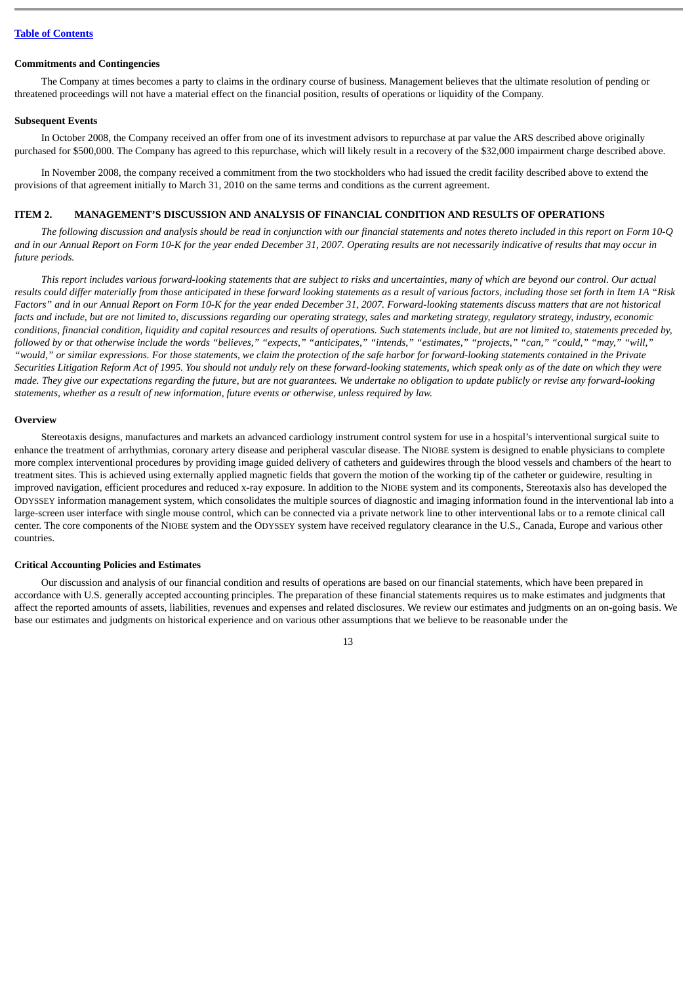#### **Commitments and Contingencies**

The Company at times becomes a party to claims in the ordinary course of business. Management believes that the ultimate resolution of pending or threatened proceedings will not have a material effect on the financial position, results of operations or liquidity of the Company.

# **Subsequent Events**

In October 2008, the Company received an offer from one of its investment advisors to repurchase at par value the ARS described above originally purchased for \$500,000. The Company has agreed to this repurchase, which will likely result in a recovery of the \$32,000 impairment charge described above.

In November 2008, the company received a commitment from the two stockholders who had issued the credit facility described above to extend the provisions of that agreement initially to March 31, 2010 on the same terms and conditions as the current agreement.

#### <span id="page-12-0"></span>**ITEM 2. MANAGEMENT'S DISCUSSION AND ANALYSIS OF FINANCIAL CONDITION AND RESULTS OF OPERATIONS**

*The following discussion and analysis should be read in conjunction with our financial statements and notes thereto included in this report on Form 10-Q and in our Annual Report on Form 10-K for the year ended December 31, 2007. Operating results are not necessarily indicative of results that may occur in future periods.*

*This report includes various forward-looking statements that are subject to risks and uncertainties, many of which are beyond our control. Our actual results could differ materially from those anticipated in these forward looking statements as a result of various factors, including those set forth in Item 1A "Risk Factors" and in our Annual Report on Form 10-K for the year ended December 31, 2007. Forward-looking statements discuss matters that are not historical facts and include, but are not limited to, discussions regarding our operating strategy, sales and marketing strategy, regulatory strategy, industry, economic conditions, financial condition, liquidity and capital resources and results of operations. Such statements include, but are not limited to, statements preceded by, followed by or that otherwise include the words "believes," "expects," "anticipates," "intends," "estimates," "projects," "can," "could," "may," "will," "would," or similar expressions. For those statements, we claim the protection of the safe harbor for forward-looking statements contained in the Private Securities Litigation Reform Act of 1995. You should not unduly rely on these forward-looking statements, which speak only as of the date on which they were made. They give our expectations regarding the future, but are not guarantees. We undertake no obligation to update publicly or revise any forward-looking statements, whether as a result of new information, future events or otherwise, unless required by law.*

#### **Overview**

Stereotaxis designs, manufactures and markets an advanced cardiology instrument control system for use in a hospital's interventional surgical suite to enhance the treatment of arrhythmias, coronary artery disease and peripheral vascular disease. The NIOBE system is designed to enable physicians to complete more complex interventional procedures by providing image guided delivery of catheters and guidewires through the blood vessels and chambers of the heart to treatment sites. This is achieved using externally applied magnetic fields that govern the motion of the working tip of the catheter or guidewire, resulting in improved navigation, efficient procedures and reduced x-ray exposure. In addition to the NIOBE system and its components, Stereotaxis also has developed the ODYSSEY information management system, which consolidates the multiple sources of diagnostic and imaging information found in the interventional lab into a large-screen user interface with single mouse control, which can be connected via a private network line to other interventional labs or to a remote clinical call center. The core components of the NIOBE system and the ODYSSEY system have received regulatory clearance in the U.S., Canada, Europe and various other countries.

#### **Critical Accounting Policies and Estimates**

Our discussion and analysis of our financial condition and results of operations are based on our financial statements, which have been prepared in accordance with U.S. generally accepted accounting principles. The preparation of these financial statements requires us to make estimates and judgments that affect the reported amounts of assets, liabilities, revenues and expenses and related disclosures. We review our estimates and judgments on an on-going basis. We base our estimates and judgments on historical experience and on various other assumptions that we believe to be reasonable under the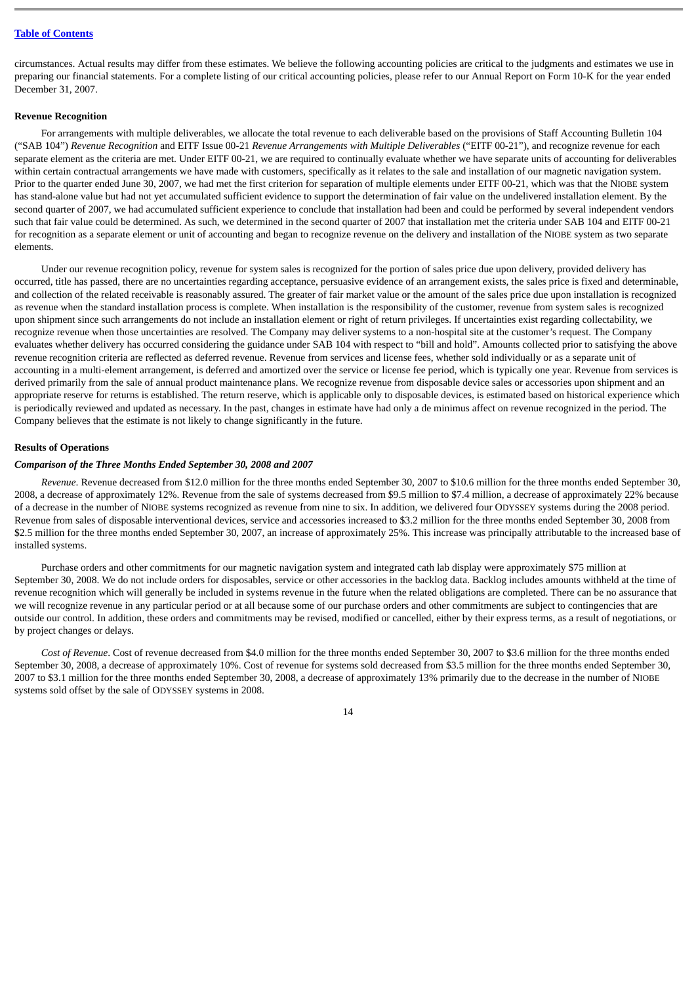#### **Table of [Contents](#page-1-0)**

circumstances. Actual results may differ from these estimates. We believe the following accounting policies are critical to the judgments and estimates we use in preparing our financial statements. For a complete listing of our critical accounting policies, please refer to our Annual Report on Form 10-K for the year ended December 31, 2007.

#### **Revenue Recognition**

For arrangements with multiple deliverables, we allocate the total revenue to each deliverable based on the provisions of Staff Accounting Bulletin 104 ("SAB 104") *Revenue Recognition* and EITF Issue 00-21 *Revenue Arrangements with Multiple Deliverables* ("EITF 00-21"), and recognize revenue for each separate element as the criteria are met. Under EITF 00-21, we are required to continually evaluate whether we have separate units of accounting for deliverables within certain contractual arrangements we have made with customers, specifically as it relates to the sale and installation of our magnetic navigation system. Prior to the quarter ended June 30, 2007, we had met the first criterion for separation of multiple elements under EITF 00-21, which was that the NIOBE system has stand-alone value but had not yet accumulated sufficient evidence to support the determination of fair value on the undelivered installation element. By the second quarter of 2007, we had accumulated sufficient experience to conclude that installation had been and could be performed by several independent vendors such that fair value could be determined. As such, we determined in the second quarter of 2007 that installation met the criteria under SAB 104 and EITF 00-21 for recognition as a separate element or unit of accounting and began to recognize revenue on the delivery and installation of the NIOBE system as two separate elements.

Under our revenue recognition policy, revenue for system sales is recognized for the portion of sales price due upon delivery, provided delivery has occurred, title has passed, there are no uncertainties regarding acceptance, persuasive evidence of an arrangement exists, the sales price is fixed and determinable, and collection of the related receivable is reasonably assured. The greater of fair market value or the amount of the sales price due upon installation is recognized as revenue when the standard installation process is complete. When installation is the responsibility of the customer, revenue from system sales is recognized upon shipment since such arrangements do not include an installation element or right of return privileges. If uncertainties exist regarding collectability, we recognize revenue when those uncertainties are resolved. The Company may deliver systems to a non-hospital site at the customer's request. The Company evaluates whether delivery has occurred considering the guidance under SAB 104 with respect to "bill and hold". Amounts collected prior to satisfying the above revenue recognition criteria are reflected as deferred revenue. Revenue from services and license fees, whether sold individually or as a separate unit of accounting in a multi-element arrangement, is deferred and amortized over the service or license fee period, which is typically one year. Revenue from services is derived primarily from the sale of annual product maintenance plans. We recognize revenue from disposable device sales or accessories upon shipment and an appropriate reserve for returns is established. The return reserve, which is applicable only to disposable devices, is estimated based on historical experience which is periodically reviewed and updated as necessary. In the past, changes in estimate have had only a de minimus affect on revenue recognized in the period. The Company believes that the estimate is not likely to change significantly in the future.

#### **Results of Operations**

#### *Comparison of the Three Months Ended September 30, 2008 and 2007*

*Revenue*. Revenue decreased from \$12.0 million for the three months ended September 30, 2007 to \$10.6 million for the three months ended September 30, 2008, a decrease of approximately 12%. Revenue from the sale of systems decreased from \$9.5 million to \$7.4 million, a decrease of approximately 22% because of a decrease in the number of NIOBE systems recognized as revenue from nine to six. In addition, we delivered four ODYSSEY systems during the 2008 period. Revenue from sales of disposable interventional devices, service and accessories increased to \$3.2 million for the three months ended September 30, 2008 from \$2.5 million for the three months ended September 30, 2007, an increase of approximately 25%. This increase was principally attributable to the increased base of installed systems.

Purchase orders and other commitments for our magnetic navigation system and integrated cath lab display were approximately \$75 million at September 30, 2008. We do not include orders for disposables, service or other accessories in the backlog data. Backlog includes amounts withheld at the time of revenue recognition which will generally be included in systems revenue in the future when the related obligations are completed. There can be no assurance that we will recognize revenue in any particular period or at all because some of our purchase orders and other commitments are subject to contingencies that are outside our control. In addition, these orders and commitments may be revised, modified or cancelled, either by their express terms, as a result of negotiations, or by project changes or delays.

*Cost of Revenue*. Cost of revenue decreased from \$4.0 million for the three months ended September 30, 2007 to \$3.6 million for the three months ended September 30, 2008, a decrease of approximately 10%. Cost of revenue for systems sold decreased from \$3.5 million for the three months ended September 30, 2007 to \$3.1 million for the three months ended September 30, 2008, a decrease of approximately 13% primarily due to the decrease in the number of NIOBE systems sold offset by the sale of ODYSSEY systems in 2008.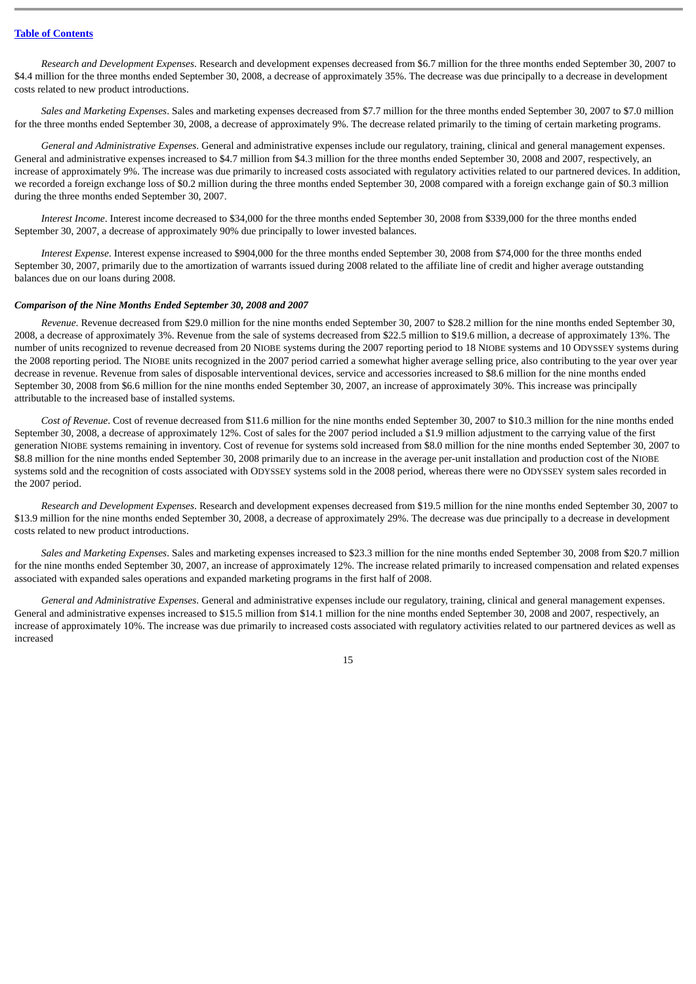*Research and Development Expenses*. Research and development expenses decreased from \$6.7 million for the three months ended September 30, 2007 to \$4.4 million for the three months ended September 30, 2008, a decrease of approximately 35%. The decrease was due principally to a decrease in development costs related to new product introductions.

*Sales and Marketing Expenses*. Sales and marketing expenses decreased from \$7.7 million for the three months ended September 30, 2007 to \$7.0 million for the three months ended September 30, 2008, a decrease of approximately 9%. The decrease related primarily to the timing of certain marketing programs.

*General and Administrative Expenses*. General and administrative expenses include our regulatory, training, clinical and general management expenses. General and administrative expenses increased to \$4.7 million from \$4.3 million for the three months ended September 30, 2008 and 2007, respectively, an increase of approximately 9%. The increase was due primarily to increased costs associated with regulatory activities related to our partnered devices. In addition, we recorded a foreign exchange loss of \$0.2 million during the three months ended September 30, 2008 compared with a foreign exchange gain of \$0.3 million during the three months ended September 30, 2007.

*Interest Income*. Interest income decreased to \$34,000 for the three months ended September 30, 2008 from \$339,000 for the three months ended September 30, 2007, a decrease of approximately 90% due principally to lower invested balances.

*Interest Expense*. Interest expense increased to \$904,000 for the three months ended September 30, 2008 from \$74,000 for the three months ended September 30, 2007, primarily due to the amortization of warrants issued during 2008 related to the affiliate line of credit and higher average outstanding balances due on our loans during 2008.

#### *Comparison of the Nine Months Ended September 30, 2008 and 2007*

*Revenue*. Revenue decreased from \$29.0 million for the nine months ended September 30, 2007 to \$28.2 million for the nine months ended September 30, 2008, a decrease of approximately 3%. Revenue from the sale of systems decreased from \$22.5 million to \$19.6 million, a decrease of approximately 13%. The number of units recognized to revenue decreased from 20 NIOBE systems during the 2007 reporting period to 18 NIOBE systems and 10 ODYSSEY systems during the 2008 reporting period. The NIOBE units recognized in the 2007 period carried a somewhat higher average selling price, also contributing to the year over year decrease in revenue. Revenue from sales of disposable interventional devices, service and accessories increased to \$8.6 million for the nine months ended September 30, 2008 from \$6.6 million for the nine months ended September 30, 2007, an increase of approximately 30%. This increase was principally attributable to the increased base of installed systems.

*Cost of Revenue*. Cost of revenue decreased from \$11.6 million for the nine months ended September 30, 2007 to \$10.3 million for the nine months ended September 30, 2008, a decrease of approximately 12%. Cost of sales for the 2007 period included a \$1.9 million adjustment to the carrying value of the first generation NIOBE systems remaining in inventory. Cost of revenue for systems sold increased from \$8.0 million for the nine months ended September 30, 2007 to \$8.8 million for the nine months ended September 30, 2008 primarily due to an increase in the average per-unit installation and production cost of the NIOBE systems sold and the recognition of costs associated with ODYSSEY systems sold in the 2008 period, whereas there were no ODYSSEY system sales recorded in the 2007 period.

*Research and Development Expenses*. Research and development expenses decreased from \$19.5 million for the nine months ended September 30, 2007 to \$13.9 million for the nine months ended September 30, 2008, a decrease of approximately 29%. The decrease was due principally to a decrease in development costs related to new product introductions.

*Sales and Marketing Expenses*. Sales and marketing expenses increased to \$23.3 million for the nine months ended September 30, 2008 from \$20.7 million for the nine months ended September 30, 2007, an increase of approximately 12%. The increase related primarily to increased compensation and related expenses associated with expanded sales operations and expanded marketing programs in the first half of 2008.

*General and Administrative Expenses*. General and administrative expenses include our regulatory, training, clinical and general management expenses. General and administrative expenses increased to \$15.5 million from \$14.1 million for the nine months ended September 30, 2008 and 2007, respectively, an increase of approximately 10%. The increase was due primarily to increased costs associated with regulatory activities related to our partnered devices as well as increased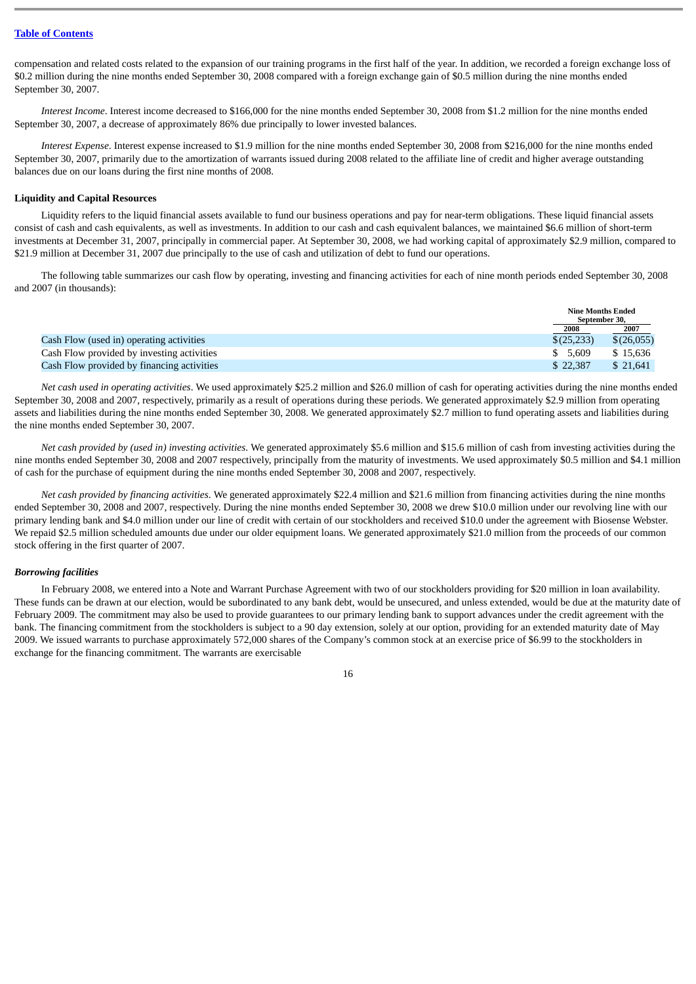compensation and related costs related to the expansion of our training programs in the first half of the year. In addition, we recorded a foreign exchange loss of \$0.2 million during the nine months ended September 30, 2008 compared with a foreign exchange gain of \$0.5 million during the nine months ended September 30, 2007.

*Interest Income*. Interest income decreased to \$166,000 for the nine months ended September 30, 2008 from \$1.2 million for the nine months ended September 30, 2007, a decrease of approximately 86% due principally to lower invested balances.

*Interest Expense*. Interest expense increased to \$1.9 million for the nine months ended September 30, 2008 from \$216,000 for the nine months ended September 30, 2007, primarily due to the amortization of warrants issued during 2008 related to the affiliate line of credit and higher average outstanding balances due on our loans during the first nine months of 2008.

# **Liquidity and Capital Resources**

Liquidity refers to the liquid financial assets available to fund our business operations and pay for near-term obligations. These liquid financial assets consist of cash and cash equivalents, as well as investments. In addition to our cash and cash equivalent balances, we maintained \$6.6 million of short-term investments at December 31, 2007, principally in commercial paper. At September 30, 2008, we had working capital of approximately \$2.9 million, compared to \$21.9 million at December 31, 2007 due principally to the use of cash and utilization of debt to fund our operations.

The following table summarizes our cash flow by operating, investing and financing activities for each of nine month periods ended September 30, 2008 and 2007 (in thousands):

|                                            |            | <b>Nine Months Ended</b><br>September 30. |  |
|--------------------------------------------|------------|-------------------------------------------|--|
|                                            | 2008       | 2007                                      |  |
| Cash Flow (used in) operating activities   | \$(25,233) | \$(26,055)                                |  |
| Cash Flow provided by investing activities | \$ 5.609   | \$15.636                                  |  |
| Cash Flow provided by financing activities | \$22,387   | \$ 21.641                                 |  |

*Net cash used in operating activities*. We used approximately \$25.2 million and \$26.0 million of cash for operating activities during the nine months ended September 30, 2008 and 2007, respectively, primarily as a result of operations during these periods. We generated approximately \$2.9 million from operating assets and liabilities during the nine months ended September 30, 2008. We generated approximately \$2.7 million to fund operating assets and liabilities during the nine months ended September 30, 2007.

*Net cash provided by (used in) investing activities*. We generated approximately \$5.6 million and \$15.6 million of cash from investing activities during the nine months ended September 30, 2008 and 2007 respectively, principally from the maturity of investments. We used approximately \$0.5 million and \$4.1 million of cash for the purchase of equipment during the nine months ended September 30, 2008 and 2007, respectively.

*Net cash provided by financing activities*. We generated approximately \$22.4 million and \$21.6 million from financing activities during the nine months ended September 30, 2008 and 2007, respectively. During the nine months ended September 30, 2008 we drew \$10.0 million under our revolving line with our primary lending bank and \$4.0 million under our line of credit with certain of our stockholders and received \$10.0 under the agreement with Biosense Webster. We repaid \$2.5 million scheduled amounts due under our older equipment loans. We generated approximately \$21.0 million from the proceeds of our common stock offering in the first quarter of 2007.

#### *Borrowing facilities*

In February 2008, we entered into a Note and Warrant Purchase Agreement with two of our stockholders providing for \$20 million in loan availability. These funds can be drawn at our election, would be subordinated to any bank debt, would be unsecured, and unless extended, would be due at the maturity date of February 2009. The commitment may also be used to provide guarantees to our primary lending bank to support advances under the credit agreement with the bank. The financing commitment from the stockholders is subject to a 90 day extension, solely at our option, providing for an extended maturity date of May 2009. We issued warrants to purchase approximately 572,000 shares of the Company's common stock at an exercise price of \$6.99 to the stockholders in exchange for the financing commitment. The warrants are exercisable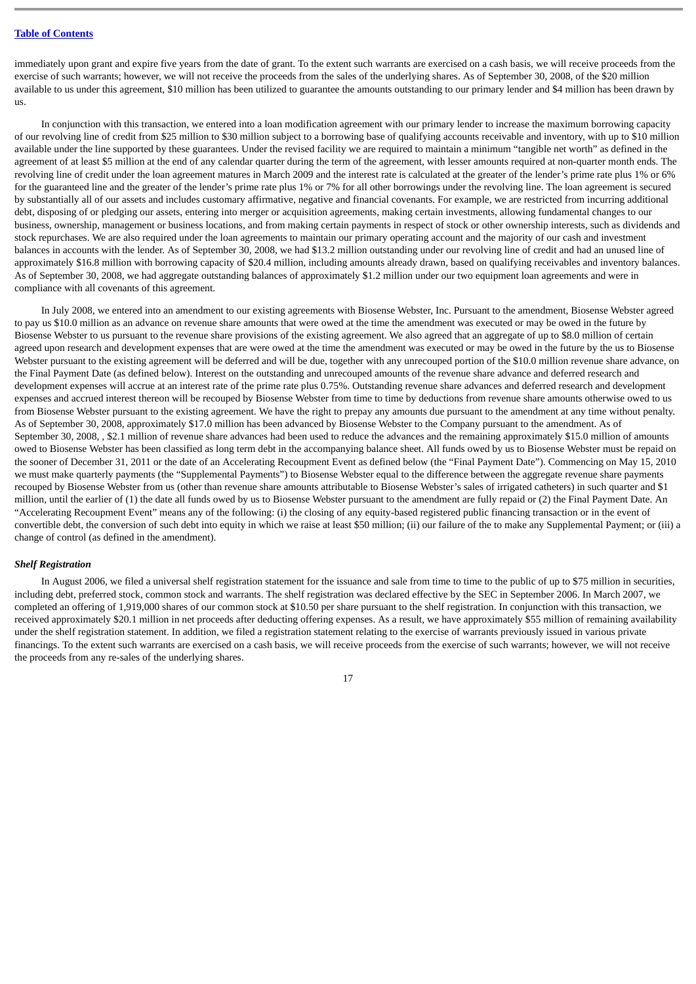#### **Table of [Contents](#page-1-0)**

immediately upon grant and expire five years from the date of grant. To the extent such warrants are exercised on a cash basis, we will receive proceeds from the exercise of such warrants; however, we will not receive the proceeds from the sales of the underlying shares. As of September 30, 2008, of the \$20 million available to us under this agreement, \$10 million has been utilized to guarantee the amounts outstanding to our primary lender and \$4 million has been drawn by us.

In conjunction with this transaction, we entered into a loan modification agreement with our primary lender to increase the maximum borrowing capacity of our revolving line of credit from \$25 million to \$30 million subject to a borrowing base of qualifying accounts receivable and inventory, with up to \$10 million available under the line supported by these guarantees. Under the revised facility we are required to maintain a minimum "tangible net worth" as defined in the agreement of at least \$5 million at the end of any calendar quarter during the term of the agreement, with lesser amounts required at non-quarter month ends. The revolving line of credit under the loan agreement matures in March 2009 and the interest rate is calculated at the greater of the lender's prime rate plus 1% or 6% for the guaranteed line and the greater of the lender's prime rate plus 1% or 7% for all other borrowings under the revolving line. The loan agreement is secured by substantially all of our assets and includes customary affirmative, negative and financial covenants. For example, we are restricted from incurring additional debt, disposing of or pledging our assets, entering into merger or acquisition agreements, making certain investments, allowing fundamental changes to our business, ownership, management or business locations, and from making certain payments in respect of stock or other ownership interests, such as dividends and stock repurchases. We are also required under the loan agreements to maintain our primary operating account and the majority of our cash and investment balances in accounts with the lender. As of September 30, 2008, we had \$13.2 million outstanding under our revolving line of credit and had an unused line of approximately \$16.8 million with borrowing capacity of \$20.4 million, including amounts already drawn, based on qualifying receivables and inventory balances. As of September 30, 2008, we had aggregate outstanding balances of approximately \$1.2 million under our two equipment loan agreements and were in compliance with all covenants of this agreement.

In July 2008, we entered into an amendment to our existing agreements with Biosense Webster, Inc. Pursuant to the amendment, Biosense Webster agreed to pay us \$10.0 million as an advance on revenue share amounts that were owed at the time the amendment was executed or may be owed in the future by Biosense Webster to us pursuant to the revenue share provisions of the existing agreement. We also agreed that an aggregate of up to \$8.0 million of certain agreed upon research and development expenses that are were owed at the time the amendment was executed or may be owed in the future by the us to Biosense Webster pursuant to the existing agreement will be deferred and will be due, together with any unrecouped portion of the \$10.0 million revenue share advance, on the Final Payment Date (as defined below). Interest on the outstanding and unrecouped amounts of the revenue share advance and deferred research and development expenses will accrue at an interest rate of the prime rate plus 0.75%. Outstanding revenue share advances and deferred research and development expenses and accrued interest thereon will be recouped by Biosense Webster from time to time by deductions from revenue share amounts otherwise owed to us from Biosense Webster pursuant to the existing agreement. We have the right to prepay any amounts due pursuant to the amendment at any time without penalty. As of September 30, 2008, approximately \$17.0 million has been advanced by Biosense Webster to the Company pursuant to the amendment. As of September 30, 2008, , \$2.1 million of revenue share advances had been used to reduce the advances and the remaining approximately \$15.0 million of amounts owed to Biosense Webster has been classified as long term debt in the accompanying balance sheet. All funds owed by us to Biosense Webster must be repaid on the sooner of December 31, 2011 or the date of an Accelerating Recoupment Event as defined below (the "Final Payment Date"). Commencing on May 15, 2010 we must make quarterly payments (the "Supplemental Payments") to Biosense Webster equal to the difference between the aggregate revenue share payments recouped by Biosense Webster from us (other than revenue share amounts attributable to Biosense Webster's sales of irrigated catheters) in such quarter and \$1 million, until the earlier of (1) the date all funds owed by us to Biosense Webster pursuant to the amendment are fully repaid or (2) the Final Payment Date. An "Accelerating Recoupment Event" means any of the following: (i) the closing of any equity-based registered public financing transaction or in the event of convertible debt, the conversion of such debt into equity in which we raise at least \$50 million; (ii) our failure of the to make any Supplemental Payment; or (iii) a change of control (as defined in the amendment).

#### *Shelf Registration*

In August 2006, we filed a universal shelf registration statement for the issuance and sale from time to time to the public of up to \$75 million in securities, including debt, preferred stock, common stock and warrants. The shelf registration was declared effective by the SEC in September 2006. In March 2007, we completed an offering of 1,919,000 shares of our common stock at \$10.50 per share pursuant to the shelf registration. In conjunction with this transaction, we received approximately \$20.1 million in net proceeds after deducting offering expenses. As a result, we have approximately \$55 million of remaining availability under the shelf registration statement. In addition, we filed a registration statement relating to the exercise of warrants previously issued in various private financings. To the extent such warrants are exercised on a cash basis, we will receive proceeds from the exercise of such warrants; however, we will not receive the proceeds from any re-sales of the underlying shares.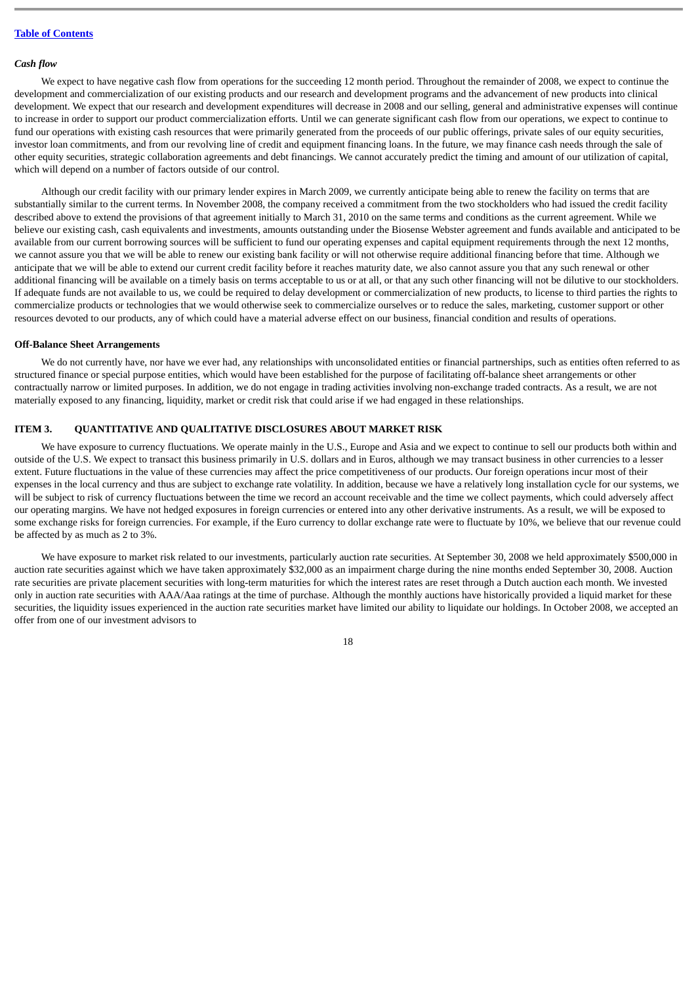#### *Cash flow*

We expect to have negative cash flow from operations for the succeeding 12 month period. Throughout the remainder of 2008, we expect to continue the development and commercialization of our existing products and our research and development programs and the advancement of new products into clinical development. We expect that our research and development expenditures will decrease in 2008 and our selling, general and administrative expenses will continue to increase in order to support our product commercialization efforts. Until we can generate significant cash flow from our operations, we expect to continue to fund our operations with existing cash resources that were primarily generated from the proceeds of our public offerings, private sales of our equity securities, investor loan commitments, and from our revolving line of credit and equipment financing loans. In the future, we may finance cash needs through the sale of other equity securities, strategic collaboration agreements and debt financings. We cannot accurately predict the timing and amount of our utilization of capital, which will depend on a number of factors outside of our control.

Although our credit facility with our primary lender expires in March 2009, we currently anticipate being able to renew the facility on terms that are substantially similar to the current terms. In November 2008, the company received a commitment from the two stockholders who had issued the credit facility described above to extend the provisions of that agreement initially to March 31, 2010 on the same terms and conditions as the current agreement. While we believe our existing cash, cash equivalents and investments, amounts outstanding under the Biosense Webster agreement and funds available and anticipated to be available from our current borrowing sources will be sufficient to fund our operating expenses and capital equipment requirements through the next 12 months, we cannot assure you that we will be able to renew our existing bank facility or will not otherwise require additional financing before that time. Although we anticipate that we will be able to extend our current credit facility before it reaches maturity date, we also cannot assure you that any such renewal or other additional financing will be available on a timely basis on terms acceptable to us or at all, or that any such other financing will not be dilutive to our stockholders. If adequate funds are not available to us, we could be required to delay development or commercialization of new products, to license to third parties the rights to commercialize products or technologies that we would otherwise seek to commercialize ourselves or to reduce the sales, marketing, customer support or other resources devoted to our products, any of which could have a material adverse effect on our business, financial condition and results of operations.

#### **Off-Balance Sheet Arrangements**

We do not currently have, nor have we ever had, any relationships with unconsolidated entities or financial partnerships, such as entities often referred to as structured finance or special purpose entities, which would have been established for the purpose of facilitating off-balance sheet arrangements or other contractually narrow or limited purposes. In addition, we do not engage in trading activities involving non-exchange traded contracts. As a result, we are not materially exposed to any financing, liquidity, market or credit risk that could arise if we had engaged in these relationships.

# <span id="page-17-0"></span>**ITEM 3. QUANTITATIVE AND QUALITATIVE DISCLOSURES ABOUT MARKET RISK**

We have exposure to currency fluctuations. We operate mainly in the U.S., Europe and Asia and we expect to continue to sell our products both within and outside of the U.S. We expect to transact this business primarily in U.S. dollars and in Euros, although we may transact business in other currencies to a lesser extent. Future fluctuations in the value of these currencies may affect the price competitiveness of our products. Our foreign operations incur most of their expenses in the local currency and thus are subject to exchange rate volatility. In addition, because we have a relatively long installation cycle for our systems, we will be subject to risk of currency fluctuations between the time we record an account receivable and the time we collect payments, which could adversely affect our operating margins. We have not hedged exposures in foreign currencies or entered into any other derivative instruments. As a result, we will be exposed to some exchange risks for foreign currencies. For example, if the Euro currency to dollar exchange rate were to fluctuate by 10%, we believe that our revenue could be affected by as much as 2 to 3%.

We have exposure to market risk related to our investments, particularly auction rate securities. At September 30, 2008 we held approximately \$500,000 in auction rate securities against which we have taken approximately \$32,000 as an impairment charge during the nine months ended September 30, 2008. Auction rate securities are private placement securities with long-term maturities for which the interest rates are reset through a Dutch auction each month. We invested only in auction rate securities with AAA/Aaa ratings at the time of purchase. Although the monthly auctions have historically provided a liquid market for these securities, the liquidity issues experienced in the auction rate securities market have limited our ability to liquidate our holdings. In October 2008, we accepted an offer from one of our investment advisors to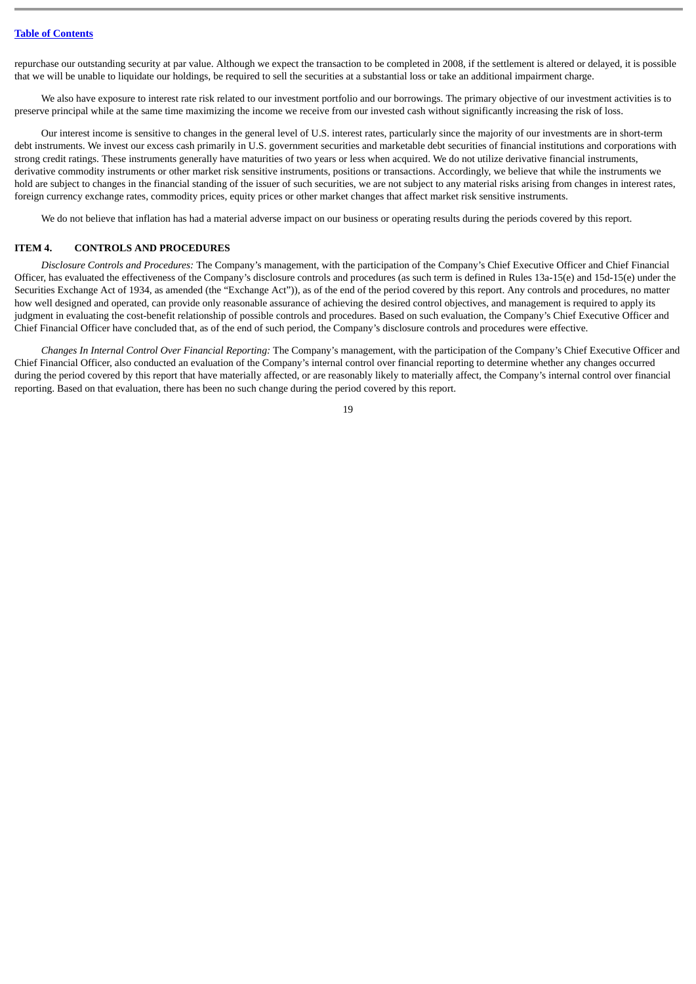repurchase our outstanding security at par value. Although we expect the transaction to be completed in 2008, if the settlement is altered or delayed, it is possible that we will be unable to liquidate our holdings, be required to sell the securities at a substantial loss or take an additional impairment charge.

We also have exposure to interest rate risk related to our investment portfolio and our borrowings. The primary objective of our investment activities is to preserve principal while at the same time maximizing the income we receive from our invested cash without significantly increasing the risk of loss.

Our interest income is sensitive to changes in the general level of U.S. interest rates, particularly since the majority of our investments are in short-term debt instruments. We invest our excess cash primarily in U.S. government securities and marketable debt securities of financial institutions and corporations with strong credit ratings. These instruments generally have maturities of two years or less when acquired. We do not utilize derivative financial instruments, derivative commodity instruments or other market risk sensitive instruments, positions or transactions. Accordingly, we believe that while the instruments we hold are subject to changes in the financial standing of the issuer of such securities, we are not subject to any material risks arising from changes in interest rates, foreign currency exchange rates, commodity prices, equity prices or other market changes that affect market risk sensitive instruments.

We do not believe that inflation has had a material adverse impact on our business or operating results during the periods covered by this report.

## <span id="page-18-0"></span>**ITEM 4. CONTROLS AND PROCEDURES**

*Disclosure Controls and Procedures:* The Company's management, with the participation of the Company's Chief Executive Officer and Chief Financial Officer, has evaluated the effectiveness of the Company's disclosure controls and procedures (as such term is defined in Rules 13a-15(e) and 15d-15(e) under the Securities Exchange Act of 1934, as amended (the "Exchange Act")), as of the end of the period covered by this report. Any controls and procedures, no matter how well designed and operated, can provide only reasonable assurance of achieving the desired control objectives, and management is required to apply its judgment in evaluating the cost-benefit relationship of possible controls and procedures. Based on such evaluation, the Company's Chief Executive Officer and Chief Financial Officer have concluded that, as of the end of such period, the Company's disclosure controls and procedures were effective.

*Changes In Internal Control Over Financial Reporting:* The Company's management, with the participation of the Company's Chief Executive Officer and Chief Financial Officer, also conducted an evaluation of the Company's internal control over financial reporting to determine whether any changes occurred during the period covered by this report that have materially affected, or are reasonably likely to materially affect, the Company's internal control over financial reporting. Based on that evaluation, there has been no such change during the period covered by this report.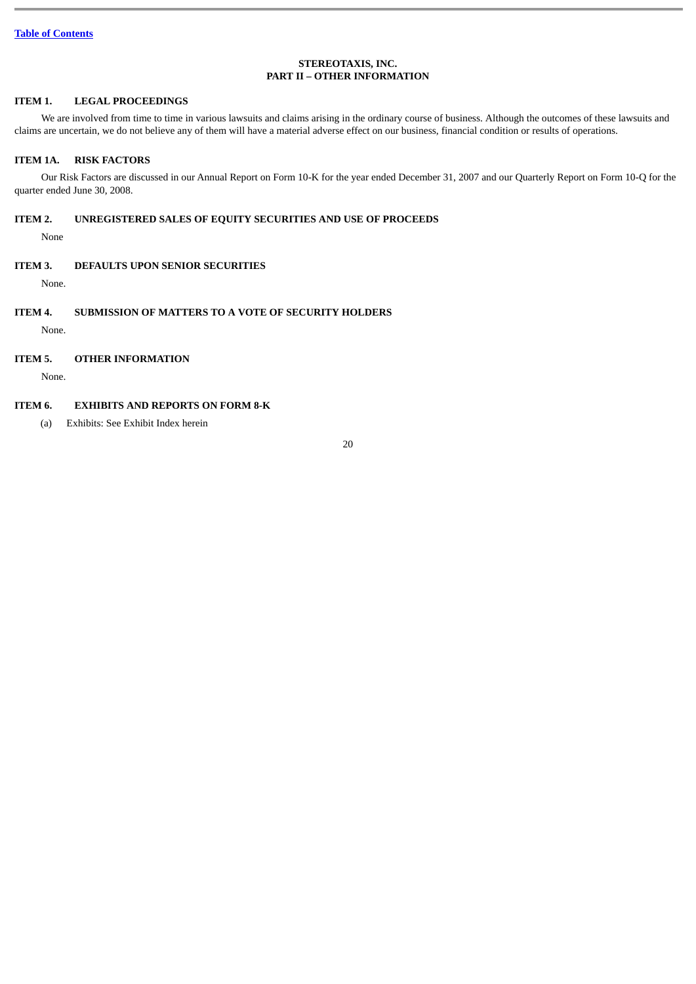# **STEREOTAXIS, INC. PART II – OTHER INFORMATION**

# <span id="page-19-1"></span><span id="page-19-0"></span>**ITEM 1. LEGAL PROCEEDINGS**

We are involved from time to time in various lawsuits and claims arising in the ordinary course of business. Although the outcomes of these lawsuits and claims are uncertain, we do not believe any of them will have a material adverse effect on our business, financial condition or results of operations.

# <span id="page-19-2"></span>**ITEM 1A. RISK FACTORS**

Our Risk Factors are discussed in our Annual Report on Form 10-K for the year ended December 31, 2007 and our Quarterly Report on Form 10-Q for the quarter ended June 30, 2008.

### <span id="page-19-3"></span>**ITEM 2. UNREGISTERED SALES OF EQUITY SECURITIES AND USE OF PROCEEDS**

None

# <span id="page-19-4"></span>**ITEM 3. DEFAULTS UPON SENIOR SECURITIES**

None.

# <span id="page-19-5"></span>**ITEM 4. SUBMISSION OF MATTERS TO A VOTE OF SECURITY HOLDERS**

None.

# <span id="page-19-6"></span>**ITEM 5. OTHER INFORMATION**

None.

# <span id="page-19-7"></span>**ITEM 6. EXHIBITS AND REPORTS ON FORM 8-K**

(a) Exhibits: See Exhibit Index herein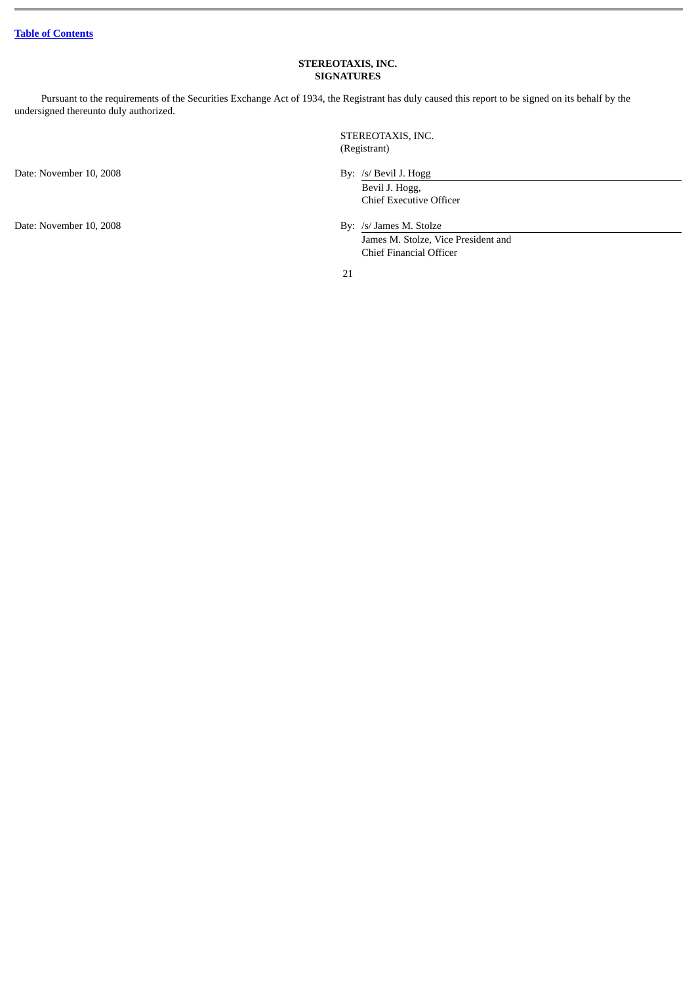# **STEREOTAXIS, INC. SIGNATURES**

<span id="page-20-0"></span>Pursuant to the requirements of the Securities Exchange Act of 1934, the Registrant has duly caused this report to be signed on its behalf by the undersigned thereunto duly authorized.

> STEREOTAXIS, INC. (Registrant)

Date: November 10, 2008 By: /s/ Bevil J. Hogg

Date: November 10, 2008 By: /s/ James M. Stolze

Bevil J. Hogg, Chief Executive Officer

James M. Stolze, Vice President and Chief Financial Officer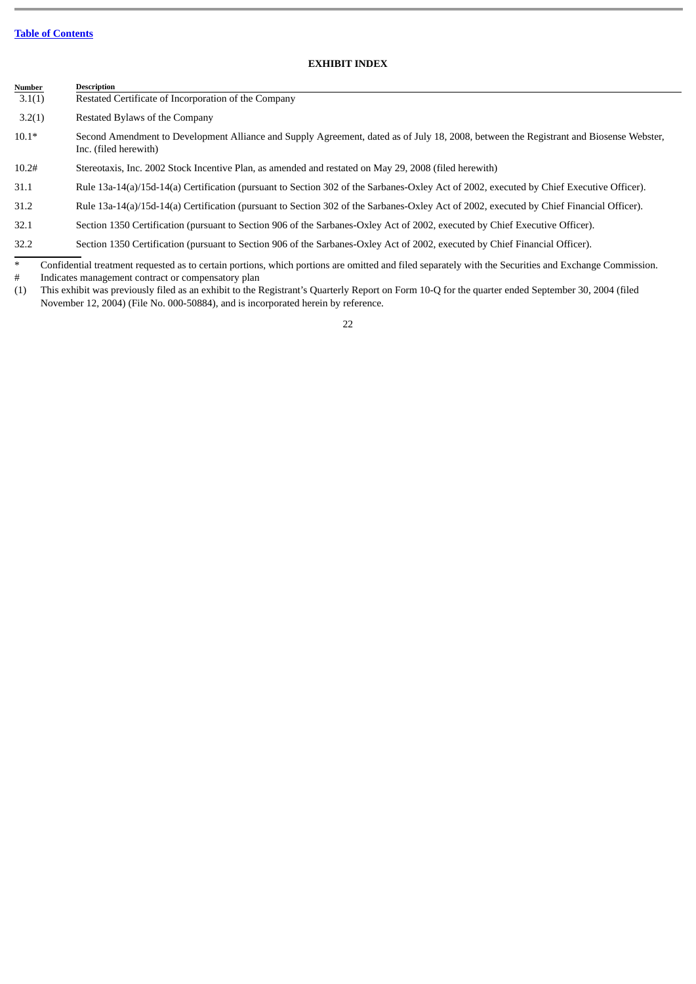# **EXHIBIT INDEX**

<span id="page-21-0"></span>

| Number  | <b>Description</b>                                                                                                                                              |
|---------|-----------------------------------------------------------------------------------------------------------------------------------------------------------------|
| 3.1(1)  | Restated Certificate of Incorporation of the Company                                                                                                            |
| 3.2(1)  | Restated Bylaws of the Company                                                                                                                                  |
| $10.1*$ | Second Amendment to Development Alliance and Supply Agreement, dated as of July 18, 2008, between the Registrant and Biosense Webster,<br>Inc. (filed herewith) |
| 10.2#   | Stereotaxis, Inc. 2002 Stock Incentive Plan, as amended and restated on May 29, 2008 (filed herewith)                                                           |
| 31.1    | Rule 13a-14(a)/15d-14(a) Certification (pursuant to Section 302 of the Sarbanes-Oxley Act of 2002, executed by Chief Executive Officer).                        |
| 31.2    | Rule 13a-14(a)/15d-14(a) Certification (pursuant to Section 302 of the Sarbanes-Oxley Act of 2002, executed by Chief Financial Officer).                        |
| 32.1    | Section 1350 Certification (pursuant to Section 906 of the Sarbanes-Oxley Act of 2002, executed by Chief Executive Officer).                                    |
| 32.2    | Section 1350 Certification (pursuant to Section 906 of the Sarbanes-Oxley Act of 2002, executed by Chief Financial Officer).                                    |

\* Confidential treatment requested as to certain portions, which portions are omitted and filed separately with the Securities and Exchange Commission. # Indicates management contract or compensatory plan

(1) This exhibit was previously filed as an exhibit to the Registrant's Quarterly Report on Form 10-Q for the quarter ended September 30, 2004 (filed November 12, 2004) (File No. 000-50884), and is incorporated herein by reference.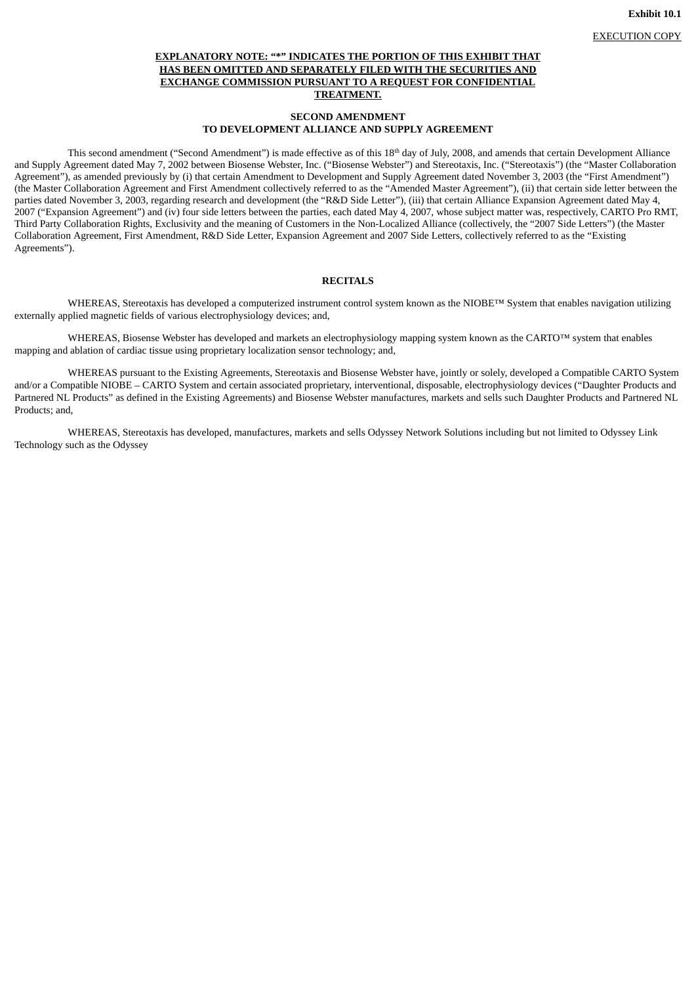# **EXPLANATORY NOTE: "\*" INDICATES THE PORTION OF THIS EXHIBIT THAT HAS BEEN OMITTED AND SEPARATELY FILED WITH THE SECURITIES AND EXCHANGE COMMISSION PURSUANT TO A REQUEST FOR CONFIDENTIAL TREATMENT.**

# **SECOND AMENDMENT TO DEVELOPMENT ALLIANCE AND SUPPLY AGREEMENT**

This second amendment ("Second Amendment") is made effective as of this 18<sup>th</sup> day of July, 2008, and amends that certain Development Alliance and Supply Agreement dated May 7, 2002 between Biosense Webster, Inc. ("Biosense Webster") and Stereotaxis, Inc. ("Stereotaxis") (the "Master Collaboration Agreement"), as amended previously by (i) that certain Amendment to Development and Supply Agreement dated November 3, 2003 (the "First Amendment") (the Master Collaboration Agreement and First Amendment collectively referred to as the "Amended Master Agreement"), (ii) that certain side letter between the parties dated November 3, 2003, regarding research and development (the "R&D Side Letter"), (iii) that certain Alliance Expansion Agreement dated May 4, 2007 ("Expansion Agreement") and (iv) four side letters between the parties, each dated May 4, 2007, whose subject matter was, respectively, CARTO Pro RMT, Third Party Collaboration Rights, Exclusivity and the meaning of Customers in the Non-Localized Alliance (collectively, the "2007 Side Letters") (the Master Collaboration Agreement, First Amendment, R&D Side Letter, Expansion Agreement and 2007 Side Letters, collectively referred to as the "Existing Agreements").

#### **RECITALS**

WHEREAS, Stereotaxis has developed a computerized instrument control system known as the NIOBE™ System that enables navigation utilizing externally applied magnetic fields of various electrophysiology devices; and,

WHEREAS, Biosense Webster has developed and markets an electrophysiology mapping system known as the CARTO™ system that enables mapping and ablation of cardiac tissue using proprietary localization sensor technology; and,

WHEREAS pursuant to the Existing Agreements, Stereotaxis and Biosense Webster have, jointly or solely, developed a Compatible CARTO System and/or a Compatible NIOBE – CARTO System and certain associated proprietary, interventional, disposable, electrophysiology devices ("Daughter Products and Partnered NL Products" as defined in the Existing Agreements) and Biosense Webster manufactures, markets and sells such Daughter Products and Partnered NL Products; and,

WHEREAS, Stereotaxis has developed, manufactures, markets and sells Odyssey Network Solutions including but not limited to Odyssey Link Technology such as the Odyssey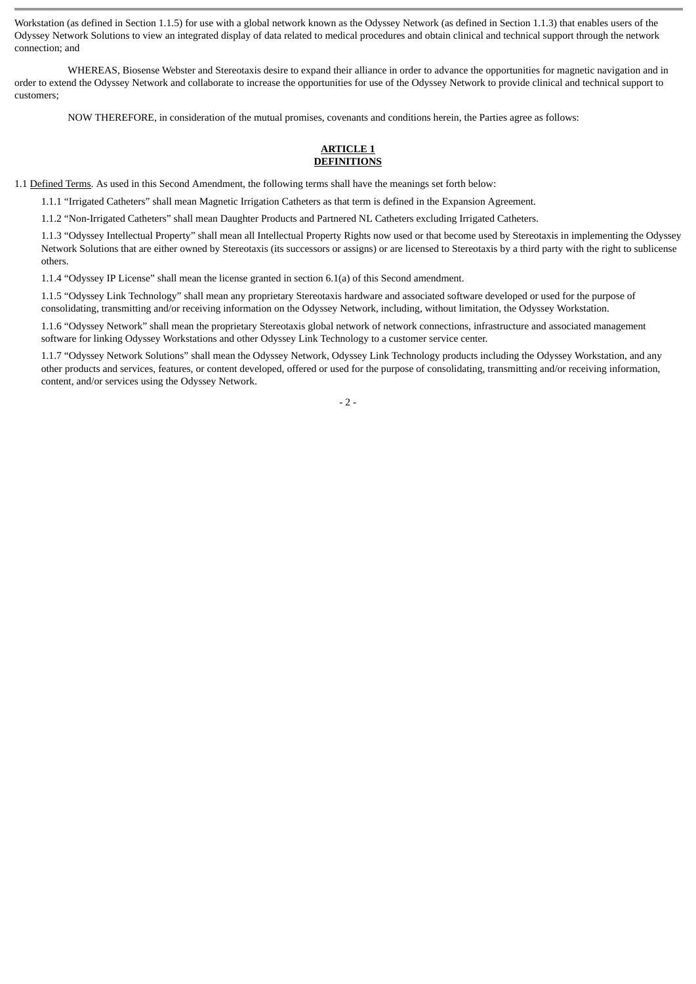Workstation (as defined in Section 1.1.5) for use with a global network known as the Odyssey Network (as defined in Section 1.1.3) that enables users of the Odyssey Network Solutions to view an integrated display of data related to medical procedures and obtain clinical and technical support through the network connection; and

WHEREAS, Biosense Webster and Stereotaxis desire to expand their alliance in order to advance the opportunities for magnetic navigation and in order to extend the Odyssey Network and collaborate to increase the opportunities for use of the Odyssey Network to provide clinical and technical support to customers;

NOW THEREFORE, in consideration of the mutual promises, covenants and conditions herein, the Parties agree as follows:

# **ARTICLE 1 DEFINITIONS**

1.1 Defined Terms. As used in this Second Amendment, the following terms shall have the meanings set forth below:

1.1.1 "Irrigated Catheters" shall mean Magnetic Irrigation Catheters as that term is defined in the Expansion Agreement.

1.1.2 "Non-Irrigated Catheters" shall mean Daughter Products and Partnered NL Catheters excluding Irrigated Catheters.

1.1.3 "Odyssey Intellectual Property" shall mean all Intellectual Property Rights now used or that become used by Stereotaxis in implementing the Odyssey Network Solutions that are either owned by Stereotaxis (its successors or assigns) or are licensed to Stereotaxis by a third party with the right to sublicense others.

1.1.4 "Odyssey IP License" shall mean the license granted in section 6.1(a) of this Second amendment.

1.1.5 "Odyssey Link Technology" shall mean any proprietary Stereotaxis hardware and associated software developed or used for the purpose of consolidating, transmitting and/or receiving information on the Odyssey Network, including, without limitation, the Odyssey Workstation.

1.1.6 "Odyssey Network" shall mean the proprietary Stereotaxis global network of network connections, infrastructure and associated management software for linking Odyssey Workstations and other Odyssey Link Technology to a customer service center.

1.1.7 "Odyssey Network Solutions" shall mean the Odyssey Network, Odyssey Link Technology products including the Odyssey Workstation, and any other products and services, features, or content developed, offered or used for the purpose of consolidating, transmitting and/or receiving information, content, and/or services using the Odyssey Network.

 $-2-$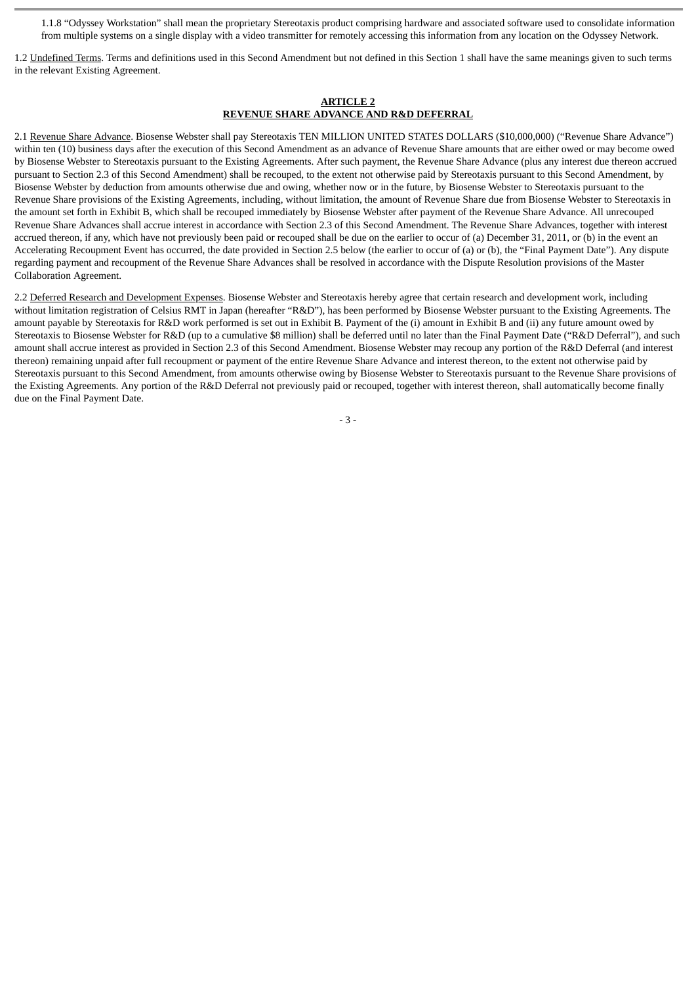1.1.8 "Odyssey Workstation" shall mean the proprietary Stereotaxis product comprising hardware and associated software used to consolidate information from multiple systems on a single display with a video transmitter for remotely accessing this information from any location on the Odyssey Network.

1.2 Undefined Terms. Terms and definitions used in this Second Amendment but not defined in this Section 1 shall have the same meanings given to such terms in the relevant Existing Agreement.

# **ARTICLE 2 REVENUE SHARE ADVANCE AND R&D DEFERRAL**

2.1 Revenue Share Advance. Biosense Webster shall pay Stereotaxis TEN MILLION UNITED STATES DOLLARS (\$10,000,000) ("Revenue Share Advance") within ten (10) business days after the execution of this Second Amendment as an advance of Revenue Share amounts that are either owed or may become owed by Biosense Webster to Stereotaxis pursuant to the Existing Agreements. After such payment, the Revenue Share Advance (plus any interest due thereon accrued pursuant to Section 2.3 of this Second Amendment) shall be recouped, to the extent not otherwise paid by Stereotaxis pursuant to this Second Amendment, by Biosense Webster by deduction from amounts otherwise due and owing, whether now or in the future, by Biosense Webster to Stereotaxis pursuant to the Revenue Share provisions of the Existing Agreements, including, without limitation, the amount of Revenue Share due from Biosense Webster to Stereotaxis in the amount set forth in Exhibit B, which shall be recouped immediately by Biosense Webster after payment of the Revenue Share Advance. All unrecouped Revenue Share Advances shall accrue interest in accordance with Section 2.3 of this Second Amendment. The Revenue Share Advances, together with interest accrued thereon, if any, which have not previously been paid or recouped shall be due on the earlier to occur of (a) December 31, 2011, or (b) in the event an Accelerating Recoupment Event has occurred, the date provided in Section 2.5 below (the earlier to occur of (a) or (b), the "Final Payment Date"). Any dispute regarding payment and recoupment of the Revenue Share Advances shall be resolved in accordance with the Dispute Resolution provisions of the Master Collaboration Agreement.

2.2 Deferred Research and Development Expenses. Biosense Webster and Stereotaxis hereby agree that certain research and development work, including without limitation registration of Celsius RMT in Japan (hereafter "R&D"), has been performed by Biosense Webster pursuant to the Existing Agreements. The amount payable by Stereotaxis for R&D work performed is set out in Exhibit B. Payment of the (i) amount in Exhibit B and (ii) any future amount owed by Stereotaxis to Biosense Webster for R&D (up to a cumulative \$8 million) shall be deferred until no later than the Final Payment Date ("R&D Deferral"), and such amount shall accrue interest as provided in Section 2.3 of this Second Amendment. Biosense Webster may recoup any portion of the R&D Deferral (and interest thereon) remaining unpaid after full recoupment or payment of the entire Revenue Share Advance and interest thereon, to the extent not otherwise paid by Stereotaxis pursuant to this Second Amendment, from amounts otherwise owing by Biosense Webster to Stereotaxis pursuant to the Revenue Share provisions of the Existing Agreements. Any portion of the R&D Deferral not previously paid or recouped, together with interest thereon, shall automatically become finally due on the Final Payment Date.

- 3 -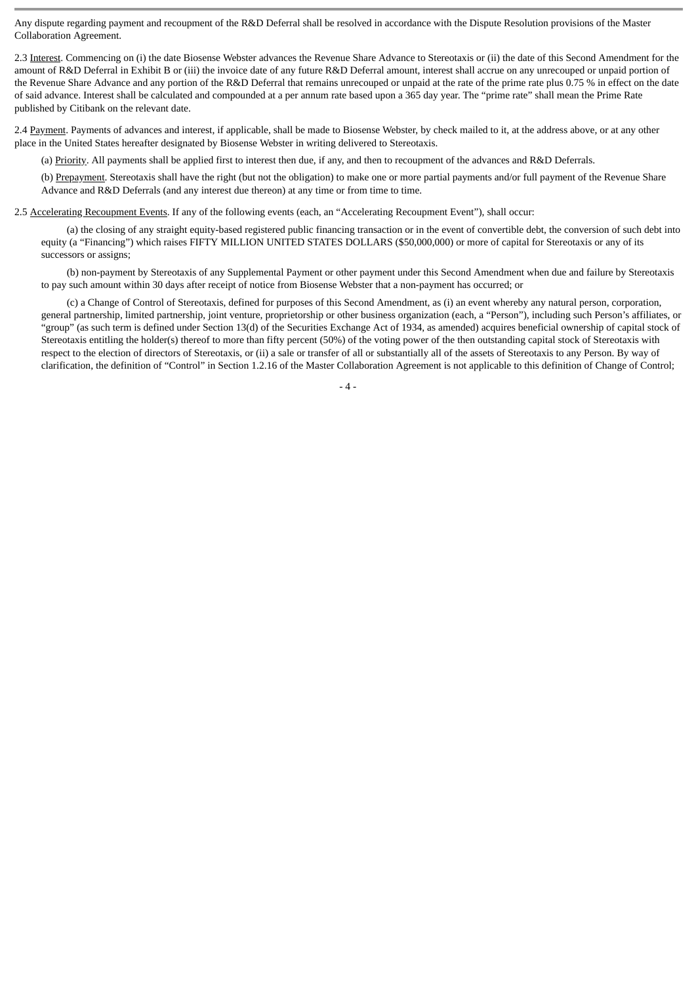Any dispute regarding payment and recoupment of the R&D Deferral shall be resolved in accordance with the Dispute Resolution provisions of the Master Collaboration Agreement.

2.3 Interest. Commencing on (i) the date Biosense Webster advances the Revenue Share Advance to Stereotaxis or (ii) the date of this Second Amendment for the amount of R&D Deferral in Exhibit B or (iii) the invoice date of any future R&D Deferral amount, interest shall accrue on any unrecouped or unpaid portion of the Revenue Share Advance and any portion of the R&D Deferral that remains unrecouped or unpaid at the rate of the prime rate plus 0.75 % in effect on the date of said advance. Interest shall be calculated and compounded at a per annum rate based upon a 365 day year. The "prime rate" shall mean the Prime Rate published by Citibank on the relevant date.

2.4 Payment. Payments of advances and interest, if applicable, shall be made to Biosense Webster, by check mailed to it, at the address above, or at any other place in the United States hereafter designated by Biosense Webster in writing delivered to Stereotaxis.

(a) Priority. All payments shall be applied first to interest then due, if any, and then to recoupment of the advances and R&D Deferrals.

(b) Prepayment. Stereotaxis shall have the right (but not the obligation) to make one or more partial payments and/or full payment of the Revenue Share Advance and R&D Deferrals (and any interest due thereon) at any time or from time to time.

2.5 Accelerating Recoupment Events. If any of the following events (each, an "Accelerating Recoupment Event"), shall occur:

(a) the closing of any straight equity-based registered public financing transaction or in the event of convertible debt, the conversion of such debt into equity (a "Financing") which raises FIFTY MILLION UNITED STATES DOLLARS (\$50,000,000) or more of capital for Stereotaxis or any of its successors or assigns;

(b) non-payment by Stereotaxis of any Supplemental Payment or other payment under this Second Amendment when due and failure by Stereotaxis to pay such amount within 30 days after receipt of notice from Biosense Webster that a non-payment has occurred; or

(c) a Change of Control of Stereotaxis, defined for purposes of this Second Amendment, as (i) an event whereby any natural person, corporation, general partnership, limited partnership, joint venture, proprietorship or other business organization (each, a "Person"), including such Person's affiliates, or "group" (as such term is defined under Section 13(d) of the Securities Exchange Act of 1934, as amended) acquires beneficial ownership of capital stock of Stereotaxis entitling the holder(s) thereof to more than fifty percent (50%) of the voting power of the then outstanding capital stock of Stereotaxis with respect to the election of directors of Stereotaxis, or (ii) a sale or transfer of all or substantially all of the assets of Stereotaxis to any Person. By way of clarification, the definition of "Control" in Section 1.2.16 of the Master Collaboration Agreement is not applicable to this definition of Change of Control;

 $-4-$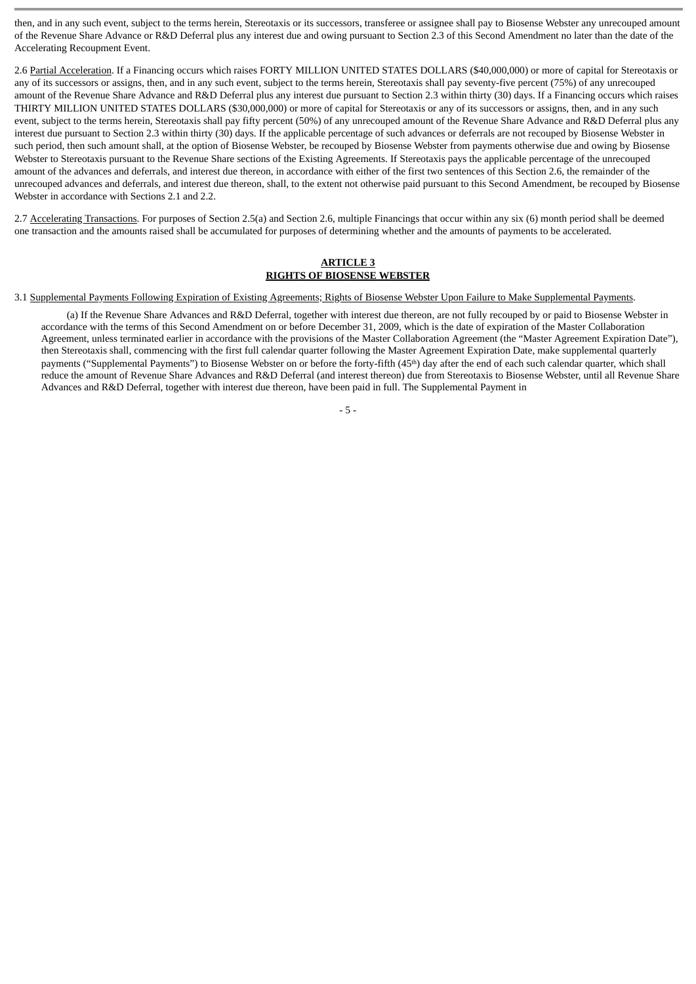then, and in any such event, subject to the terms herein, Stereotaxis or its successors, transferee or assignee shall pay to Biosense Webster any unrecouped amount of the Revenue Share Advance or R&D Deferral plus any interest due and owing pursuant to Section 2.3 of this Second Amendment no later than the date of the Accelerating Recoupment Event.

2.6 Partial Acceleration. If a Financing occurs which raises FORTY MILLION UNITED STATES DOLLARS (\$40,000,000) or more of capital for Stereotaxis or any of its successors or assigns, then, and in any such event, subject to the terms herein, Stereotaxis shall pay seventy-five percent (75%) of any unrecouped amount of the Revenue Share Advance and R&D Deferral plus any interest due pursuant to Section 2.3 within thirty (30) days. If a Financing occurs which raises THIRTY MILLION UNITED STATES DOLLARS (\$30,000,000) or more of capital for Stereotaxis or any of its successors or assigns, then, and in any such event, subject to the terms herein, Stereotaxis shall pay fifty percent (50%) of any unrecouped amount of the Revenue Share Advance and R&D Deferral plus any interest due pursuant to Section 2.3 within thirty (30) days. If the applicable percentage of such advances or deferrals are not recouped by Biosense Webster in such period, then such amount shall, at the option of Biosense Webster, be recouped by Biosense Webster from payments otherwise due and owing by Biosense Webster to Stereotaxis pursuant to the Revenue Share sections of the Existing Agreements. If Stereotaxis pays the applicable percentage of the unrecouped amount of the advances and deferrals, and interest due thereon, in accordance with either of the first two sentences of this Section 2.6, the remainder of the unrecouped advances and deferrals, and interest due thereon, shall, to the extent not otherwise paid pursuant to this Second Amendment, be recouped by Biosense Webster in accordance with Sections 2.1 and 2.2.

2.7 Accelerating Transactions. For purposes of Section 2.5(a) and Section 2.6, multiple Financings that occur within any six (6) month period shall be deemed one transaction and the amounts raised shall be accumulated for purposes of determining whether and the amounts of payments to be accelerated.

# **ARTICLE 3 RIGHTS OF BIOSENSE WEBSTER**

#### 3.1 Supplemental Payments Following Expiration of Existing Agreements; Rights of Biosense Webster Upon Failure to Make Supplemental Payments.

(a) If the Revenue Share Advances and R&D Deferral, together with interest due thereon, are not fully recouped by or paid to Biosense Webster in accordance with the terms of this Second Amendment on or before December 31, 2009, which is the date of expiration of the Master Collaboration Agreement, unless terminated earlier in accordance with the provisions of the Master Collaboration Agreement (the "Master Agreement Expiration Date"), then Stereotaxis shall, commencing with the first full calendar quarter following the Master Agreement Expiration Date, make supplemental quarterly payments ("Supplemental Payments") to Biosense Webster on or before the forty-fifth (45<sup>th</sup>) day after the end of each such calendar quarter, which shall reduce the amount of Revenue Share Advances and R&D Deferral (and interest thereon) due from Stereotaxis to Biosense Webster, until all Revenue Share Advances and R&D Deferral, together with interest due thereon, have been paid in full. The Supplemental Payment in

- 5 -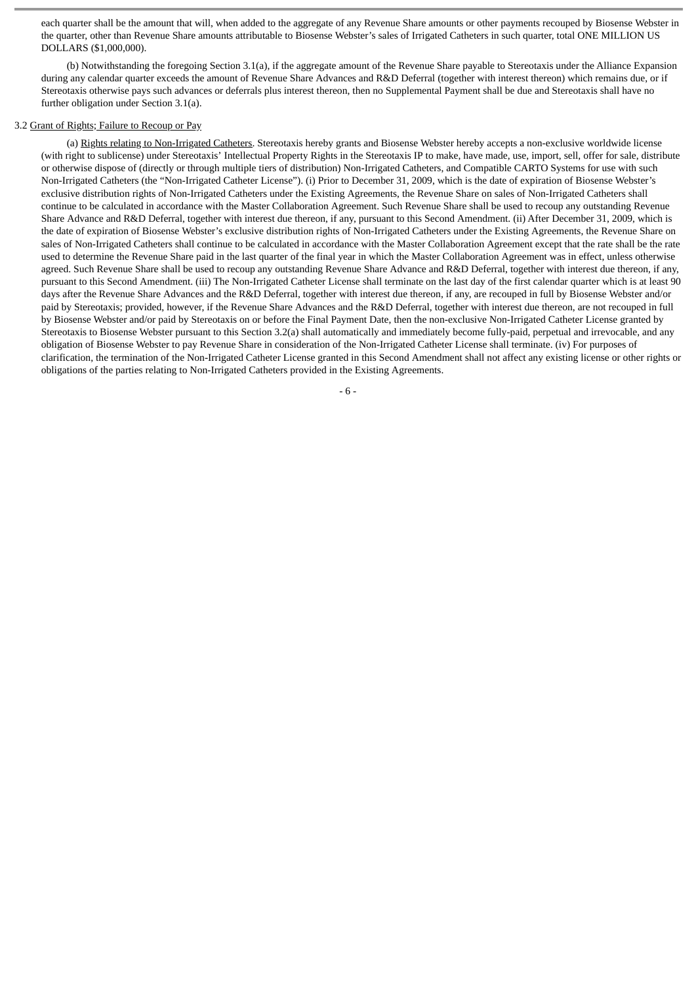each quarter shall be the amount that will, when added to the aggregate of any Revenue Share amounts or other payments recouped by Biosense Webster in the quarter, other than Revenue Share amounts attributable to Biosense Webster's sales of Irrigated Catheters in such quarter, total ONE MILLION US DOLLARS (\$1,000,000).

(b) Notwithstanding the foregoing Section 3.1(a), if the aggregate amount of the Revenue Share payable to Stereotaxis under the Alliance Expansion during any calendar quarter exceeds the amount of Revenue Share Advances and R&D Deferral (together with interest thereon) which remains due, or if Stereotaxis otherwise pays such advances or deferrals plus interest thereon, then no Supplemental Payment shall be due and Stereotaxis shall have no further obligation under Section 3.1(a).

#### 3.2 Grant of Rights; Failure to Recoup or Pay

(a) Rights relating to Non-Irrigated Catheters. Stereotaxis hereby grants and Biosense Webster hereby accepts a non-exclusive worldwide license (with right to sublicense) under Stereotaxis' Intellectual Property Rights in the Stereotaxis IP to make, have made, use, import, sell, offer for sale, distribute or otherwise dispose of (directly or through multiple tiers of distribution) Non-Irrigated Catheters, and Compatible CARTO Systems for use with such Non-Irrigated Catheters (the "Non-Irrigated Catheter License"). (i) Prior to December 31, 2009, which is the date of expiration of Biosense Webster's exclusive distribution rights of Non-Irrigated Catheters under the Existing Agreements, the Revenue Share on sales of Non-Irrigated Catheters shall continue to be calculated in accordance with the Master Collaboration Agreement. Such Revenue Share shall be used to recoup any outstanding Revenue Share Advance and R&D Deferral, together with interest due thereon, if any, pursuant to this Second Amendment. (ii) After December 31, 2009, which is the date of expiration of Biosense Webster's exclusive distribution rights of Non-Irrigated Catheters under the Existing Agreements, the Revenue Share on sales of Non-Irrigated Catheters shall continue to be calculated in accordance with the Master Collaboration Agreement except that the rate shall be the rate used to determine the Revenue Share paid in the last quarter of the final year in which the Master Collaboration Agreement was in effect, unless otherwise agreed. Such Revenue Share shall be used to recoup any outstanding Revenue Share Advance and R&D Deferral, together with interest due thereon, if any, pursuant to this Second Amendment. (iii) The Non-Irrigated Catheter License shall terminate on the last day of the first calendar quarter which is at least 90 days after the Revenue Share Advances and the R&D Deferral, together with interest due thereon, if any, are recouped in full by Biosense Webster and/or paid by Stereotaxis; provided, however, if the Revenue Share Advances and the R&D Deferral, together with interest due thereon, are not recouped in full by Biosense Webster and/or paid by Stereotaxis on or before the Final Payment Date, then the non-exclusive Non-Irrigated Catheter License granted by Stereotaxis to Biosense Webster pursuant to this Section 3.2(a) shall automatically and immediately become fully-paid, perpetual and irrevocable, and any obligation of Biosense Webster to pay Revenue Share in consideration of the Non-Irrigated Catheter License shall terminate. (iv) For purposes of clarification, the termination of the Non-Irrigated Catheter License granted in this Second Amendment shall not affect any existing license or other rights or obligations of the parties relating to Non-Irrigated Catheters provided in the Existing Agreements.

- 6 -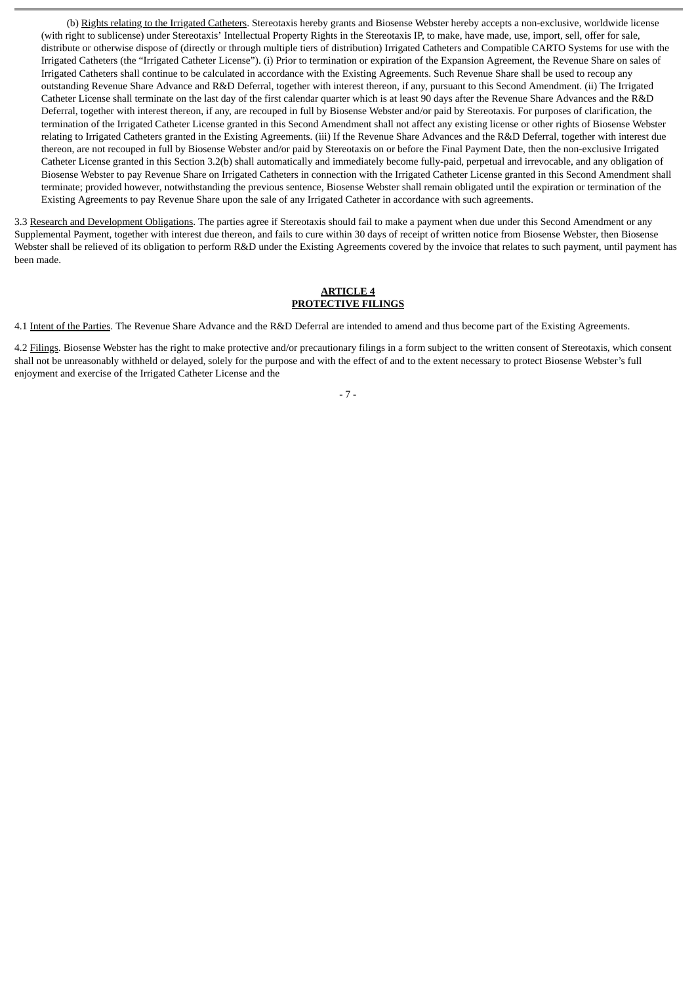(b) Rights relating to the Irrigated Catheters. Stereotaxis hereby grants and Biosense Webster hereby accepts a non-exclusive, worldwide license (with right to sublicense) under Stereotaxis' Intellectual Property Rights in the Stereotaxis IP, to make, have made, use, import, sell, offer for sale, distribute or otherwise dispose of (directly or through multiple tiers of distribution) Irrigated Catheters and Compatible CARTO Systems for use with the Irrigated Catheters (the "Irrigated Catheter License"). (i) Prior to termination or expiration of the Expansion Agreement, the Revenue Share on sales of Irrigated Catheters shall continue to be calculated in accordance with the Existing Agreements. Such Revenue Share shall be used to recoup any outstanding Revenue Share Advance and R&D Deferral, together with interest thereon, if any, pursuant to this Second Amendment. (ii) The Irrigated Catheter License shall terminate on the last day of the first calendar quarter which is at least 90 days after the Revenue Share Advances and the R&D Deferral, together with interest thereon, if any, are recouped in full by Biosense Webster and/or paid by Stereotaxis. For purposes of clarification, the termination of the Irrigated Catheter License granted in this Second Amendment shall not affect any existing license or other rights of Biosense Webster relating to Irrigated Catheters granted in the Existing Agreements. (iii) If the Revenue Share Advances and the R&D Deferral, together with interest due thereon, are not recouped in full by Biosense Webster and/or paid by Stereotaxis on or before the Final Payment Date, then the non-exclusive Irrigated Catheter License granted in this Section 3.2(b) shall automatically and immediately become fully-paid, perpetual and irrevocable, and any obligation of Biosense Webster to pay Revenue Share on Irrigated Catheters in connection with the Irrigated Catheter License granted in this Second Amendment shall terminate; provided however, notwithstanding the previous sentence, Biosense Webster shall remain obligated until the expiration or termination of the Existing Agreements to pay Revenue Share upon the sale of any Irrigated Catheter in accordance with such agreements.

3.3 Research and Development Obligations. The parties agree if Stereotaxis should fail to make a payment when due under this Second Amendment or any Supplemental Payment, together with interest due thereon, and fails to cure within 30 days of receipt of written notice from Biosense Webster, then Biosense Webster shall be relieved of its obligation to perform R&D under the Existing Agreements covered by the invoice that relates to such payment, until payment has been made.

# **ARTICLE 4 PROTECTIVE FILINGS**

4.1 Intent of the Parties. The Revenue Share Advance and the R&D Deferral are intended to amend and thus become part of the Existing Agreements.

4.2 Filings. Biosense Webster has the right to make protective and/or precautionary filings in a form subject to the written consent of Stereotaxis, which consent shall not be unreasonably withheld or delayed, solely for the purpose and with the effect of and to the extent necessary to protect Biosense Webster's full enjoyment and exercise of the Irrigated Catheter License and the

- 7 -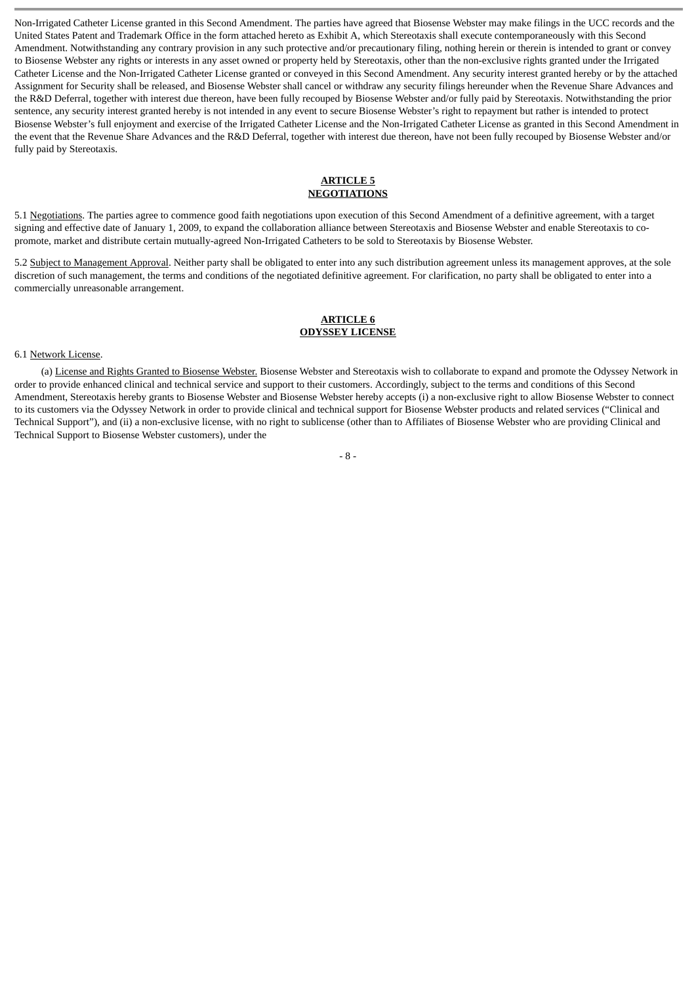Non-Irrigated Catheter License granted in this Second Amendment. The parties have agreed that Biosense Webster may make filings in the UCC records and the United States Patent and Trademark Office in the form attached hereto as Exhibit A, which Stereotaxis shall execute contemporaneously with this Second Amendment. Notwithstanding any contrary provision in any such protective and/or precautionary filing, nothing herein or therein is intended to grant or convey to Biosense Webster any rights or interests in any asset owned or property held by Stereotaxis, other than the non-exclusive rights granted under the Irrigated Catheter License and the Non-Irrigated Catheter License granted or conveyed in this Second Amendment. Any security interest granted hereby or by the attached Assignment for Security shall be released, and Biosense Webster shall cancel or withdraw any security filings hereunder when the Revenue Share Advances and the R&D Deferral, together with interest due thereon, have been fully recouped by Biosense Webster and/or fully paid by Stereotaxis. Notwithstanding the prior sentence, any security interest granted hereby is not intended in any event to secure Biosense Webster's right to repayment but rather is intended to protect Biosense Webster's full enjoyment and exercise of the Irrigated Catheter License and the Non-Irrigated Catheter License as granted in this Second Amendment in the event that the Revenue Share Advances and the R&D Deferral, together with interest due thereon, have not been fully recouped by Biosense Webster and/or fully paid by Stereotaxis.

# **ARTICLE 5 NEGOTIATIONS**

5.1 Negotiations. The parties agree to commence good faith negotiations upon execution of this Second Amendment of a definitive agreement, with a target signing and effective date of January 1, 2009, to expand the collaboration alliance between Stereotaxis and Biosense Webster and enable Stereotaxis to copromote, market and distribute certain mutually-agreed Non-Irrigated Catheters to be sold to Stereotaxis by Biosense Webster.

5.2 Subject to Management Approval. Neither party shall be obligated to enter into any such distribution agreement unless its management approves, at the sole discretion of such management, the terms and conditions of the negotiated definitive agreement. For clarification, no party shall be obligated to enter into a commercially unreasonable arrangement.

# **ARTICLE 6 ODYSSEY LICENSE**

# 6.1 Network License.

(a) License and Rights Granted to Biosense Webster. Biosense Webster and Stereotaxis wish to collaborate to expand and promote the Odyssey Network in order to provide enhanced clinical and technical service and support to their customers. Accordingly, subject to the terms and conditions of this Second Amendment, Stereotaxis hereby grants to Biosense Webster and Biosense Webster hereby accepts (i) a non-exclusive right to allow Biosense Webster to connect to its customers via the Odyssey Network in order to provide clinical and technical support for Biosense Webster products and related services ("Clinical and Technical Support"), and (ii) a non-exclusive license, with no right to sublicense (other than to Affiliates of Biosense Webster who are providing Clinical and Technical Support to Biosense Webster customers), under the

- 8 -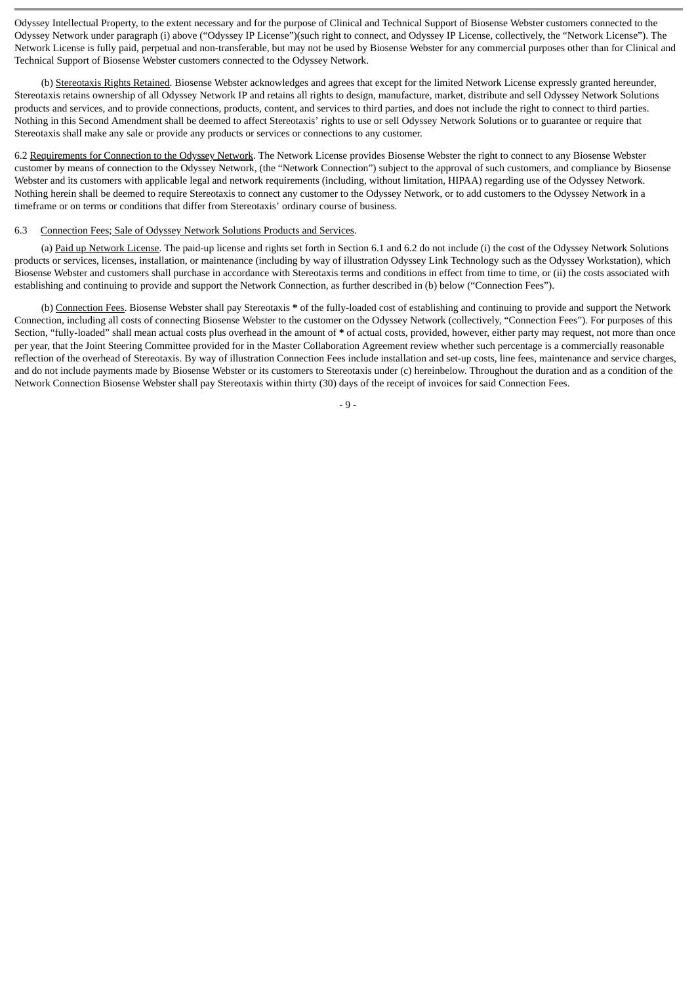Odyssey Intellectual Property, to the extent necessary and for the purpose of Clinical and Technical Support of Biosense Webster customers connected to the Odyssey Network under paragraph (i) above ("Odyssey IP License")(such right to connect, and Odyssey IP License, collectively, the "Network License"). The Network License is fully paid, perpetual and non-transferable, but may not be used by Biosense Webster for any commercial purposes other than for Clinical and Technical Support of Biosense Webster customers connected to the Odyssey Network.

(b) Stereotaxis Rights Retained. Biosense Webster acknowledges and agrees that except for the limited Network License expressly granted hereunder, Stereotaxis retains ownership of all Odyssey Network IP and retains all rights to design, manufacture, market, distribute and sell Odyssey Network Solutions products and services, and to provide connections, products, content, and services to third parties, and does not include the right to connect to third parties. Nothing in this Second Amendment shall be deemed to affect Stereotaxis' rights to use or sell Odyssey Network Solutions or to guarantee or require that Stereotaxis shall make any sale or provide any products or services or connections to any customer.

6.2 Requirements for Connection to the Odyssey Network. The Network License provides Biosense Webster the right to connect to any Biosense Webster customer by means of connection to the Odyssey Network, (the "Network Connection") subject to the approval of such customers, and compliance by Biosense Webster and its customers with applicable legal and network requirements (including, without limitation, HIPAA) regarding use of the Odyssey Network. Nothing herein shall be deemed to require Stereotaxis to connect any customer to the Odyssey Network, or to add customers to the Odyssey Network in a timeframe or on terms or conditions that differ from Stereotaxis' ordinary course of business.

#### 6.3 Connection Fees; Sale of Odyssey Network Solutions Products and Services.

(a) Paid up Network License. The paid-up license and rights set forth in Section 6.1 and 6.2 do not include (i) the cost of the Odyssey Network Solutions products or services, licenses, installation, or maintenance (including by way of illustration Odyssey Link Technology such as the Odyssey Workstation), which Biosense Webster and customers shall purchase in accordance with Stereotaxis terms and conditions in effect from time to time, or (ii) the costs associated with establishing and continuing to provide and support the Network Connection, as further described in (b) below ("Connection Fees").

(b) Connection Fees. Biosense Webster shall pay Stereotaxis **\*** of the fully-loaded cost of establishing and continuing to provide and support the Network Connection, including all costs of connecting Biosense Webster to the customer on the Odyssey Network (collectively, "Connection Fees"). For purposes of this Section, "fully-loaded" shall mean actual costs plus overhead in the amount of **\*** of actual costs, provided, however, either party may request, not more than once per year, that the Joint Steering Committee provided for in the Master Collaboration Agreement review whether such percentage is a commercially reasonable reflection of the overhead of Stereotaxis. By way of illustration Connection Fees include installation and set-up costs, line fees, maintenance and service charges, and do not include payments made by Biosense Webster or its customers to Stereotaxis under (c) hereinbelow. Throughout the duration and as a condition of the Network Connection Biosense Webster shall pay Stereotaxis within thirty (30) days of the receipt of invoices for said Connection Fees.

 $-9 -$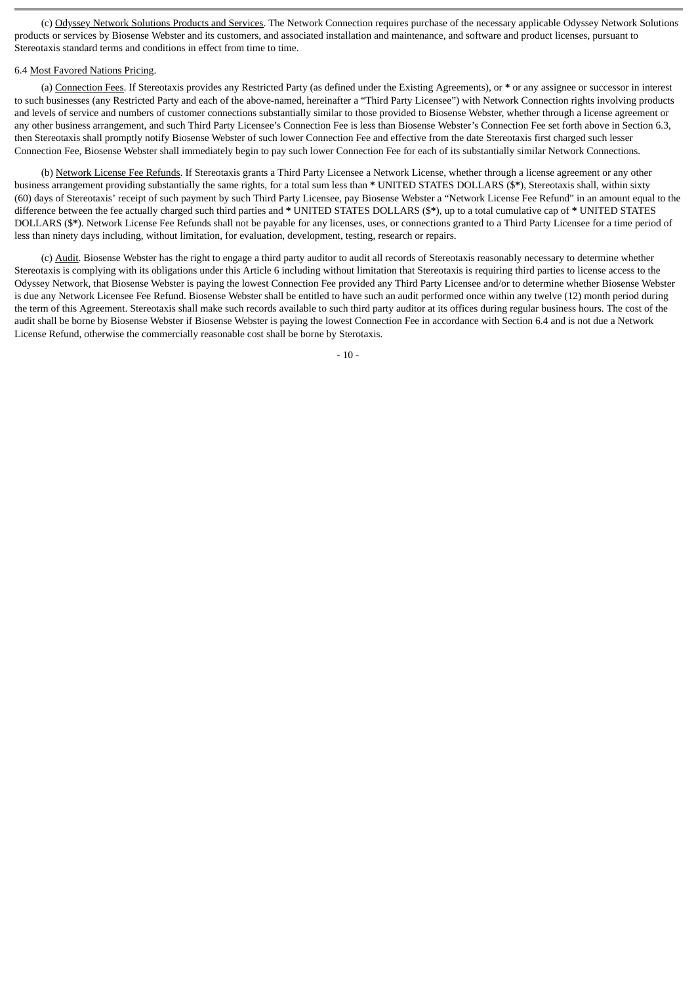(c) Odyssey Network Solutions Products and Services. The Network Connection requires purchase of the necessary applicable Odyssey Network Solutions products or services by Biosense Webster and its customers, and associated installation and maintenance, and software and product licenses, pursuant to Stereotaxis standard terms and conditions in effect from time to time.

# 6.4 Most Favored Nations Pricing.

(a) Connection Fees. If Stereotaxis provides any Restricted Party (as defined under the Existing Agreements), or **\*** or any assignee or successor in interest to such businesses (any Restricted Party and each of the above-named, hereinafter a "Third Party Licensee") with Network Connection rights involving products and levels of service and numbers of customer connections substantially similar to those provided to Biosense Webster, whether through a license agreement or any other business arrangement, and such Third Party Licensee's Connection Fee is less than Biosense Webster's Connection Fee set forth above in Section 6.3, then Stereotaxis shall promptly notify Biosense Webster of such lower Connection Fee and effective from the date Stereotaxis first charged such lesser Connection Fee, Biosense Webster shall immediately begin to pay such lower Connection Fee for each of its substantially similar Network Connections.

(b) Network License Fee Refunds. If Stereotaxis grants a Third Party Licensee a Network License, whether through a license agreement or any other business arrangement providing substantially the same rights, for a total sum less than **\*** UNITED STATES DOLLARS (\$**\***), Stereotaxis shall, within sixty (60) days of Stereotaxis' receipt of such payment by such Third Party Licensee, pay Biosense Webster a "Network License Fee Refund" in an amount equal to the difference between the fee actually charged such third parties and **\*** UNITED STATES DOLLARS (\$**\***), up to a total cumulative cap of **\*** UNITED STATES DOLLARS (\$**\***). Network License Fee Refunds shall not be payable for any licenses, uses, or connections granted to a Third Party Licensee for a time period of less than ninety days including, without limitation, for evaluation, development, testing, research or repairs.

(c) Audit. Biosense Webster has the right to engage a third party auditor to audit all records of Stereotaxis reasonably necessary to determine whether Stereotaxis is complying with its obligations under this Article 6 including without limitation that Stereotaxis is requiring third parties to license access to the Odyssey Network, that Biosense Webster is paying the lowest Connection Fee provided any Third Party Licensee and/or to determine whether Biosense Webster is due any Network Licensee Fee Refund. Biosense Webster shall be entitled to have such an audit performed once within any twelve (12) month period during the term of this Agreement. Stereotaxis shall make such records available to such third party auditor at its offices during regular business hours. The cost of the audit shall be borne by Biosense Webster if Biosense Webster is paying the lowest Connection Fee in accordance with Section 6.4 and is not due a Network License Refund, otherwise the commercially reasonable cost shall be borne by Sterotaxis.

 $-10-$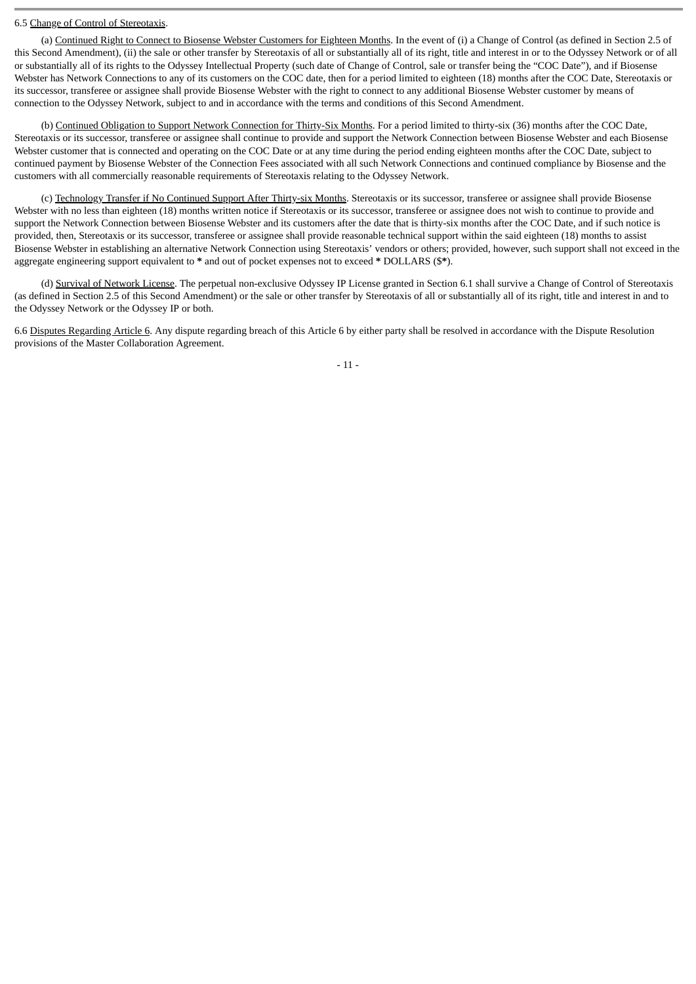# 6.5 Change of Control of Stereotaxis.

(a) Continued Right to Connect to Biosense Webster Customers for Eighteen Months. In the event of (i) a Change of Control (as defined in Section 2.5 of this Second Amendment), (ii) the sale or other transfer by Stereotaxis of all or substantially all of its right, title and interest in or to the Odyssey Network or of all or substantially all of its rights to the Odyssey Intellectual Property (such date of Change of Control, sale or transfer being the "COC Date"), and if Biosense Webster has Network Connections to any of its customers on the COC date, then for a period limited to eighteen (18) months after the COC Date, Stereotaxis or its successor, transferee or assignee shall provide Biosense Webster with the right to connect to any additional Biosense Webster customer by means of connection to the Odyssey Network, subject to and in accordance with the terms and conditions of this Second Amendment.

(b) Continued Obligation to Support Network Connection for Thirty-Six Months. For a period limited to thirty-six (36) months after the COC Date, Stereotaxis or its successor, transferee or assignee shall continue to provide and support the Network Connection between Biosense Webster and each Biosense Webster customer that is connected and operating on the COC Date or at any time during the period ending eighteen months after the COC Date, subject to continued payment by Biosense Webster of the Connection Fees associated with all such Network Connections and continued compliance by Biosense and the customers with all commercially reasonable requirements of Stereotaxis relating to the Odyssey Network.

(c) Technology Transfer if No Continued Support After Thirty-six Months. Stereotaxis or its successor, transferee or assignee shall provide Biosense Webster with no less than eighteen (18) months written notice if Stereotaxis or its successor, transferee or assignee does not wish to continue to provide and support the Network Connection between Biosense Webster and its customers after the date that is thirty-six months after the COC Date, and if such notice is provided, then, Stereotaxis or its successor, transferee or assignee shall provide reasonable technical support within the said eighteen (18) months to assist Biosense Webster in establishing an alternative Network Connection using Stereotaxis' vendors or others; provided, however, such support shall not exceed in the aggregate engineering support equivalent to **\*** and out of pocket expenses not to exceed **\*** DOLLARS (\$**\***).

(d) Survival of Network License. The perpetual non-exclusive Odyssey IP License granted in Section 6.1 shall survive a Change of Control of Stereotaxis (as defined in Section 2.5 of this Second Amendment) or the sale or other transfer by Stereotaxis of all or substantially all of its right, title and interest in and to the Odyssey Network or the Odyssey IP or both.

6.6 Disputes Regarding Article 6. Any dispute regarding breach of this Article 6 by either party shall be resolved in accordance with the Dispute Resolution provisions of the Master Collaboration Agreement.

- 11 -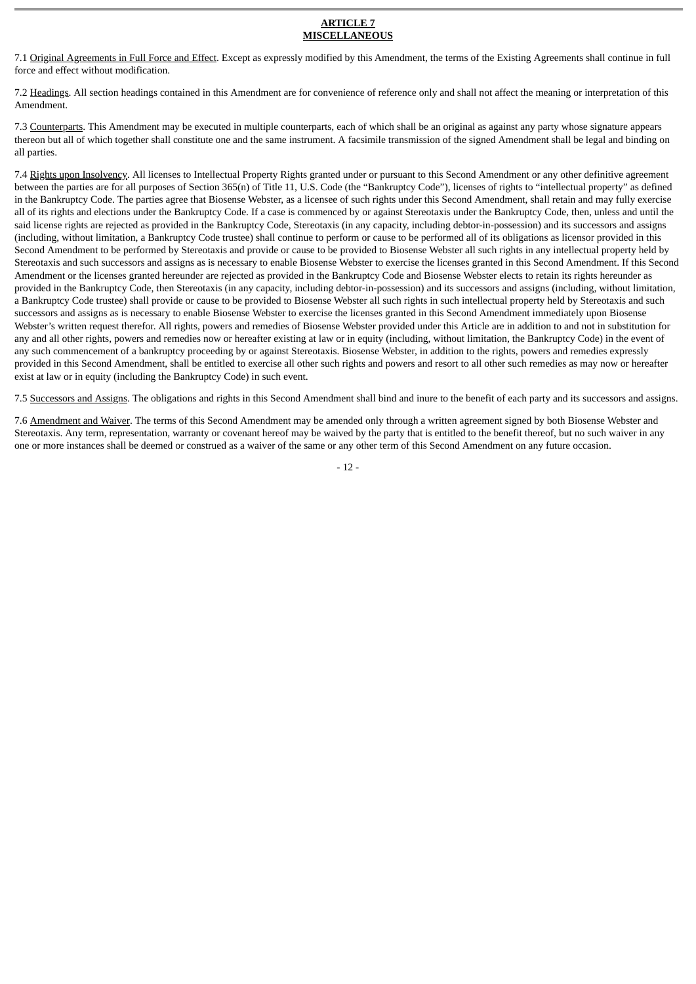# **ARTICLE 7 MISCELLANEOUS**

7.1 Original Agreements in Full Force and Effect. Except as expressly modified by this Amendment, the terms of the Existing Agreements shall continue in full force and effect without modification.

7.2 Headings. All section headings contained in this Amendment are for convenience of reference only and shall not affect the meaning or interpretation of this Amendment.

7.3 Counterparts. This Amendment may be executed in multiple counterparts, each of which shall be an original as against any party whose signature appears thereon but all of which together shall constitute one and the same instrument. A facsimile transmission of the signed Amendment shall be legal and binding on all parties.

7.4 Rights upon Insolvency. All licenses to Intellectual Property Rights granted under or pursuant to this Second Amendment or any other definitive agreement between the parties are for all purposes of Section 365(n) of Title 11, U.S. Code (the "Bankruptcy Code"), licenses of rights to "intellectual property" as defined in the Bankruptcy Code. The parties agree that Biosense Webster, as a licensee of such rights under this Second Amendment, shall retain and may fully exercise all of its rights and elections under the Bankruptcy Code. If a case is commenced by or against Stereotaxis under the Bankruptcy Code, then, unless and until the said license rights are rejected as provided in the Bankruptcy Code, Stereotaxis (in any capacity, including debtor-in-possession) and its successors and assigns (including, without limitation, a Bankruptcy Code trustee) shall continue to perform or cause to be performed all of its obligations as licensor provided in this Second Amendment to be performed by Stereotaxis and provide or cause to be provided to Biosense Webster all such rights in any intellectual property held by Stereotaxis and such successors and assigns as is necessary to enable Biosense Webster to exercise the licenses granted in this Second Amendment. If this Second Amendment or the licenses granted hereunder are rejected as provided in the Bankruptcy Code and Biosense Webster elects to retain its rights hereunder as provided in the Bankruptcy Code, then Stereotaxis (in any capacity, including debtor-in-possession) and its successors and assigns (including, without limitation, a Bankruptcy Code trustee) shall provide or cause to be provided to Biosense Webster all such rights in such intellectual property held by Stereotaxis and such successors and assigns as is necessary to enable Biosense Webster to exercise the licenses granted in this Second Amendment immediately upon Biosense Webster's written request therefor. All rights, powers and remedies of Biosense Webster provided under this Article are in addition to and not in substitution for any and all other rights, powers and remedies now or hereafter existing at law or in equity (including, without limitation, the Bankruptcy Code) in the event of any such commencement of a bankruptcy proceeding by or against Stereotaxis. Biosense Webster, in addition to the rights, powers and remedies expressly provided in this Second Amendment, shall be entitled to exercise all other such rights and powers and resort to all other such remedies as may now or hereafter exist at law or in equity (including the Bankruptcy Code) in such event.

7.5 Successors and Assigns. The obligations and rights in this Second Amendment shall bind and inure to the benefit of each party and its successors and assigns.

7.6 Amendment and Waiver. The terms of this Second Amendment may be amended only through a written agreement signed by both Biosense Webster and Stereotaxis. Any term, representation, warranty or covenant hereof may be waived by the party that is entitled to the benefit thereof, but no such waiver in any one or more instances shall be deemed or construed as a waiver of the same or any other term of this Second Amendment on any future occasion.

- 12 -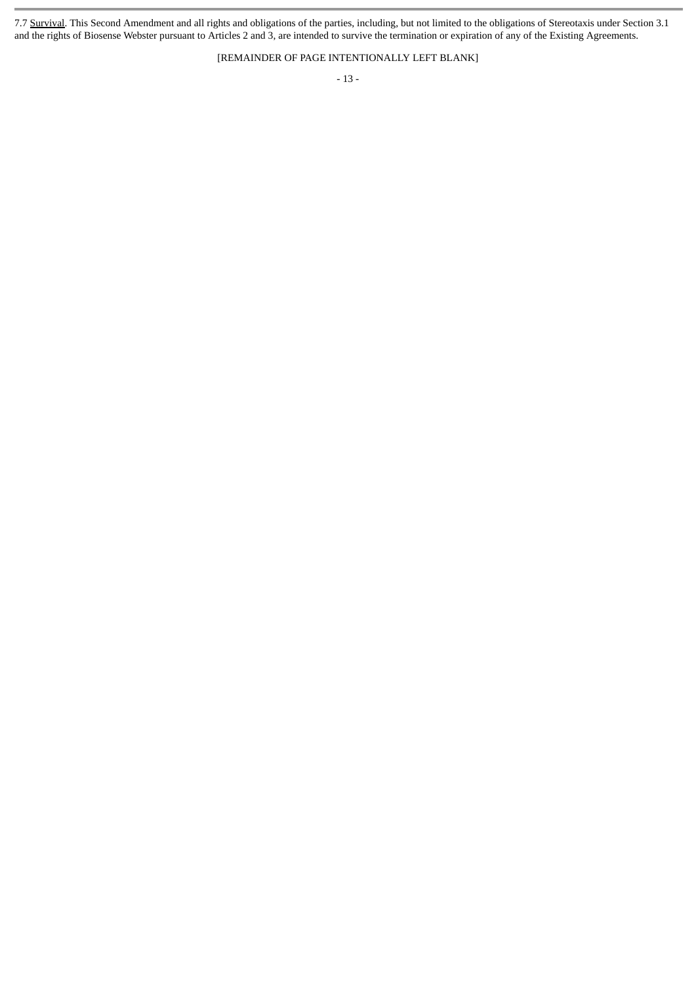7.7 Survival. This Second Amendment and all rights and obligations of the parties, including, but not limited to the obligations of Stereotaxis under Section 3.1 and the rights of Biosense Webster pursuant to Articles 2 and 3, are intended to survive the termination or expiration of any of the Existing Agreements.

[REMAINDER OF PAGE INTENTIONALLY LEFT BLANK]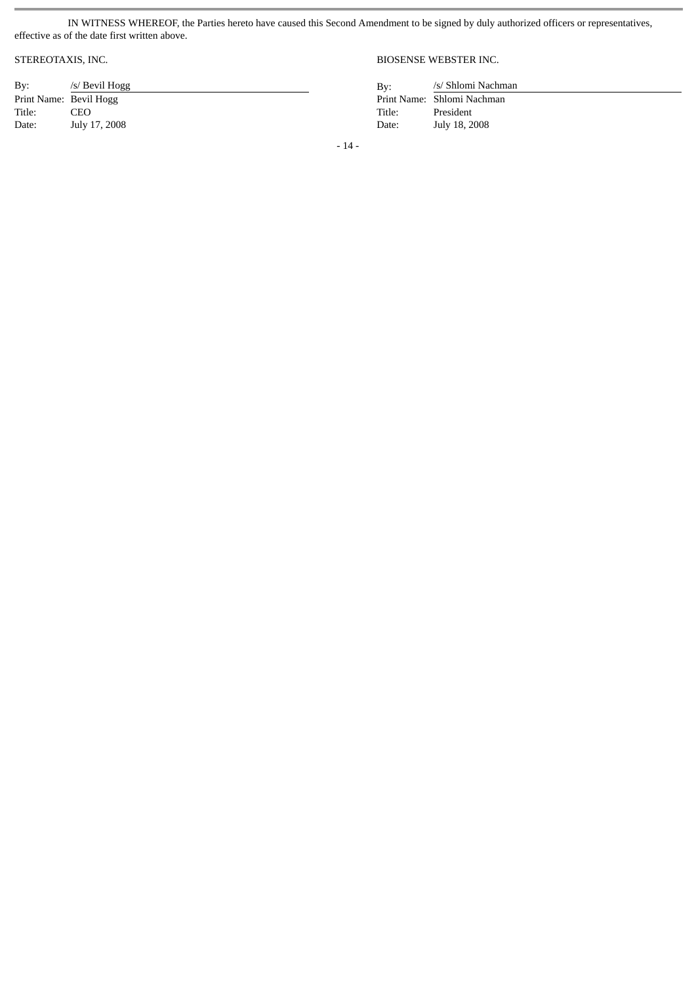IN WITNESS WHEREOF, the Parties hereto have caused this Second Amendment to be signed by duly authorized officers or representatives, effective as of the date first written above.

| By:                    | /s/ Bevil Hogg | Bv:                  | /s/ Shlom  |
|------------------------|----------------|----------------------|------------|
| Print Name: Bevil Hogg |                | Print Name: Shlomi N |            |
| Title:                 | CEO            | Title:               | President  |
| Date:                  | July 17, 2008  | Date:                | July 18, 2 |

# STEREOTAXIS, INC. BIOSENSE WEBSTER INC.

By: /s/ Shlomi Nachman Print Name: Shlomi Nachman

Date: July 18, 2008

- 14 -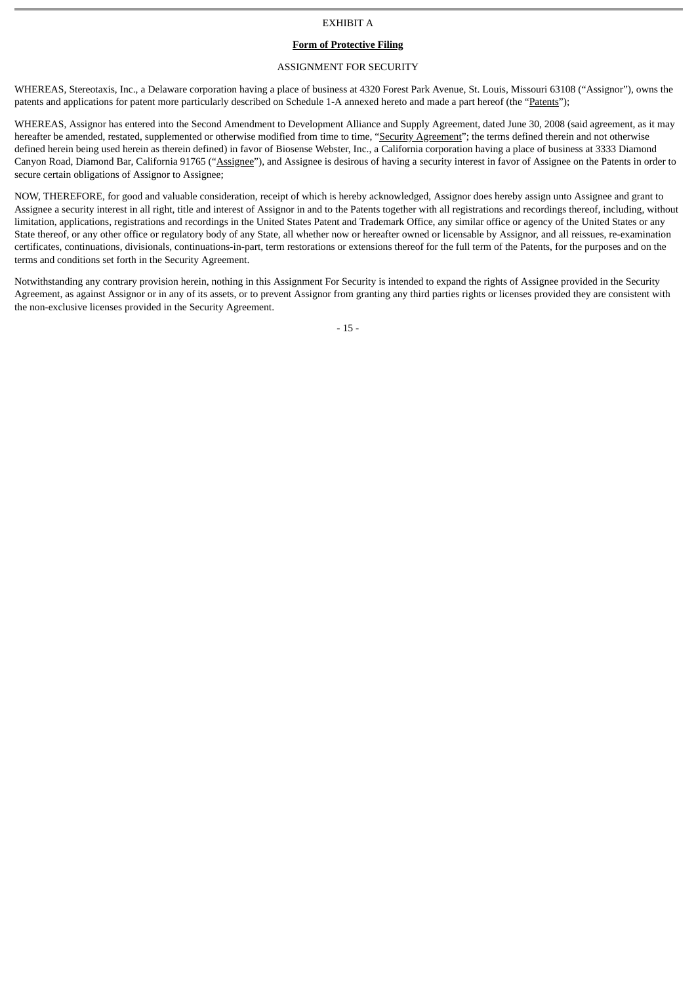# EXHIBIT A

# **Form of Protective Filing**

# ASSIGNMENT FOR SECURITY

WHEREAS, Stereotaxis, Inc., a Delaware corporation having a place of business at 4320 Forest Park Avenue, St. Louis, Missouri 63108 ("Assignor"), owns the patents and applications for patent more particularly described on Schedule 1-A annexed hereto and made a part hereof (the "Patents");

WHEREAS, Assignor has entered into the Second Amendment to Development Alliance and Supply Agreement, dated June 30, 2008 (said agreement, as it may hereafter be amended, restated, supplemented or otherwise modified from time to time, "Security Agreement"; the terms defined therein and not otherwise defined herein being used herein as therein defined) in favor of Biosense Webster, Inc., a California corporation having a place of business at 3333 Diamond Canyon Road, Diamond Bar, California 91765 ("Assignee"), and Assignee is desirous of having a security interest in favor of Assignee on the Patents in order to secure certain obligations of Assignor to Assignee;

NOW, THEREFORE, for good and valuable consideration, receipt of which is hereby acknowledged, Assignor does hereby assign unto Assignee and grant to Assignee a security interest in all right, title and interest of Assignor in and to the Patents together with all registrations and recordings thereof, including, without limitation, applications, registrations and recordings in the United States Patent and Trademark Office, any similar office or agency of the United States or any State thereof, or any other office or regulatory body of any State, all whether now or hereafter owned or licensable by Assignor, and all reissues, re-examination certificates, continuations, divisionals, continuations-in-part, term restorations or extensions thereof for the full term of the Patents, for the purposes and on the terms and conditions set forth in the Security Agreement.

Notwithstanding any contrary provision herein, nothing in this Assignment For Security is intended to expand the rights of Assignee provided in the Security Agreement, as against Assignor or in any of its assets, or to prevent Assignor from granting any third parties rights or licenses provided they are consistent with the non-exclusive licenses provided in the Security Agreement.

- 15 -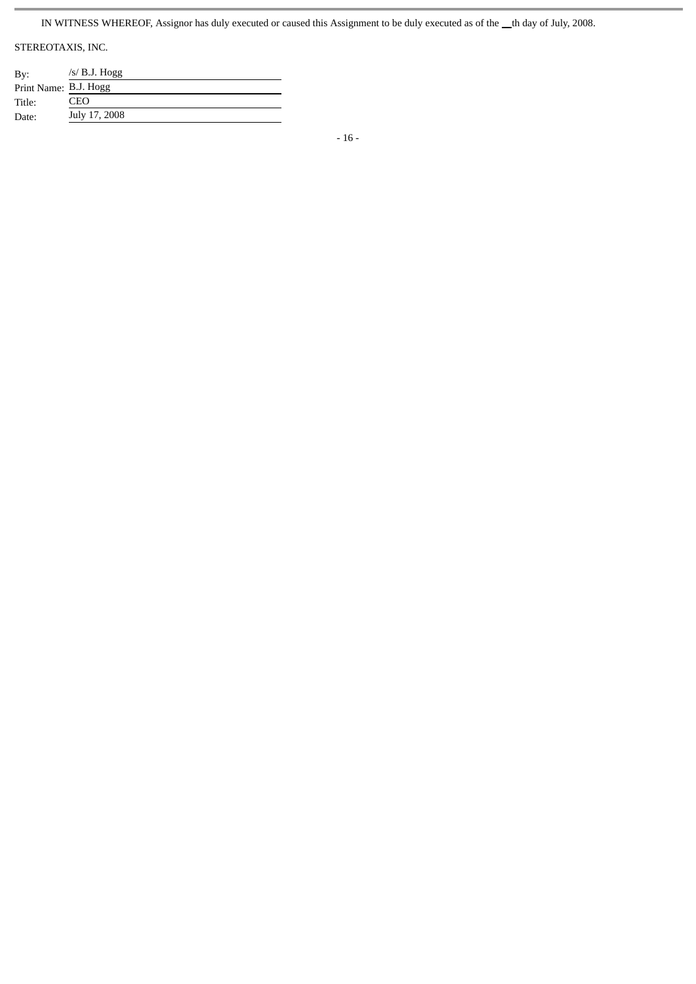IN WITNESS WHEREOF, Assignor has duly executed or caused this Assignment to be duly executed as of the \_th day of July, 2008.

STEREOTAXIS, INC.

| Bv:                   | $/s/$ B.J. Hogg |
|-----------------------|-----------------|
| Print Name: B.J. Hogg |                 |
| Title:                | CEO             |
| Date:                 | July 17, 2008   |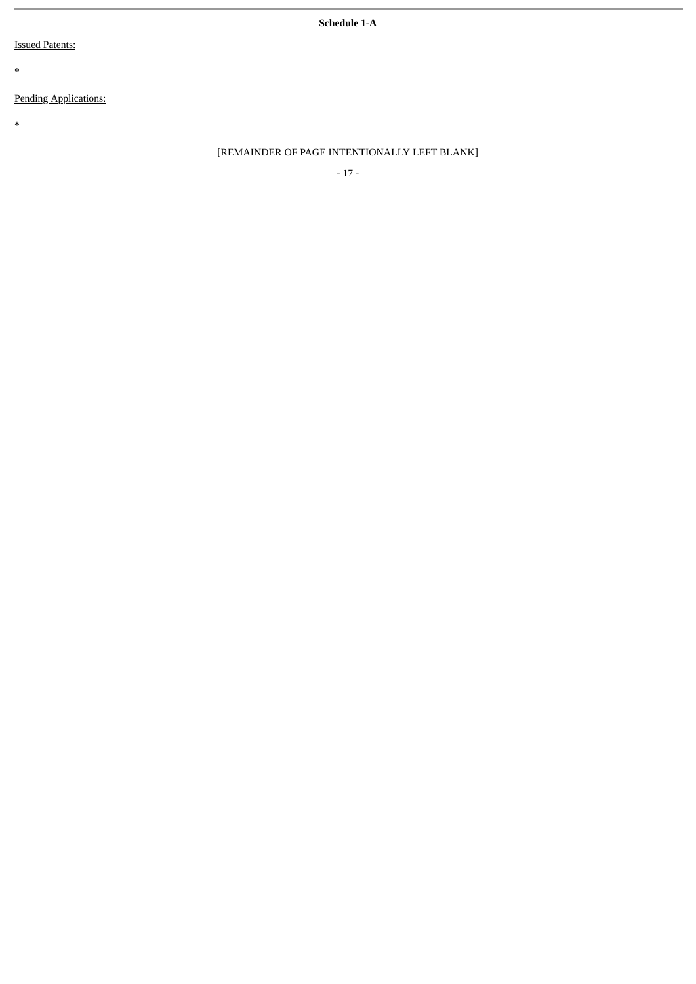Issued Patents:

\*

Pending Applications:

\*

# [REMAINDER OF PAGE INTENTIONALLY LEFT BLANK]

- 17 -

**Schedule 1-A**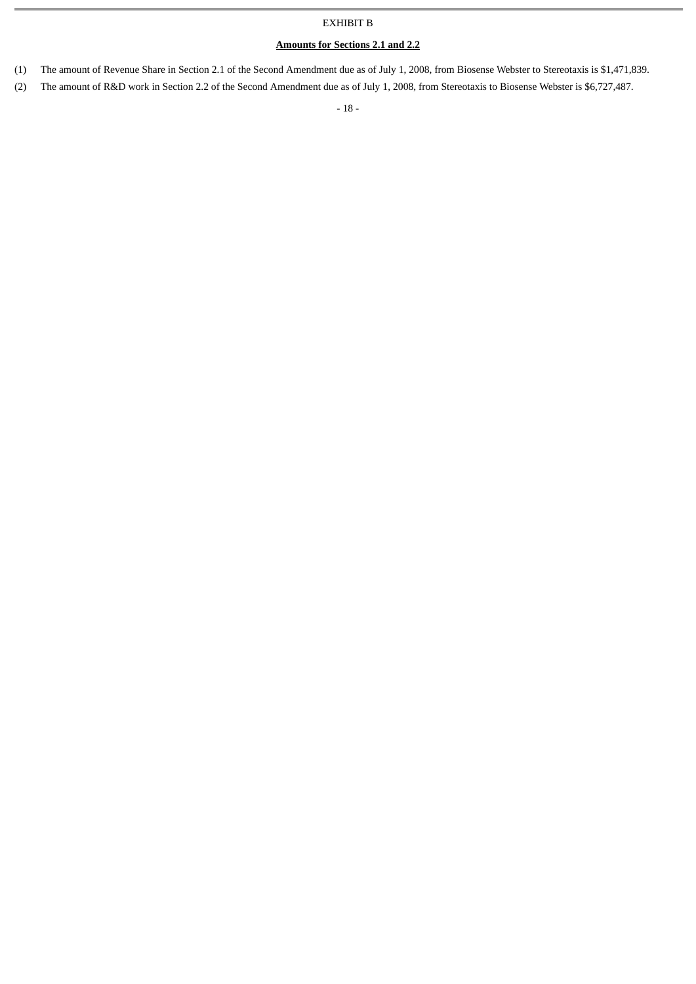EXHIBIT B

# **Amounts for Sections 2.1 and 2.2**

(1) The amount of Revenue Share in Section 2.1 of the Second Amendment due as of July 1, 2008, from Biosense Webster to Stereotaxis is \$1,471,839.

(2) The amount of R&D work in Section 2.2 of the Second Amendment due as of July 1, 2008, from Stereotaxis to Biosense Webster is \$6,727,487.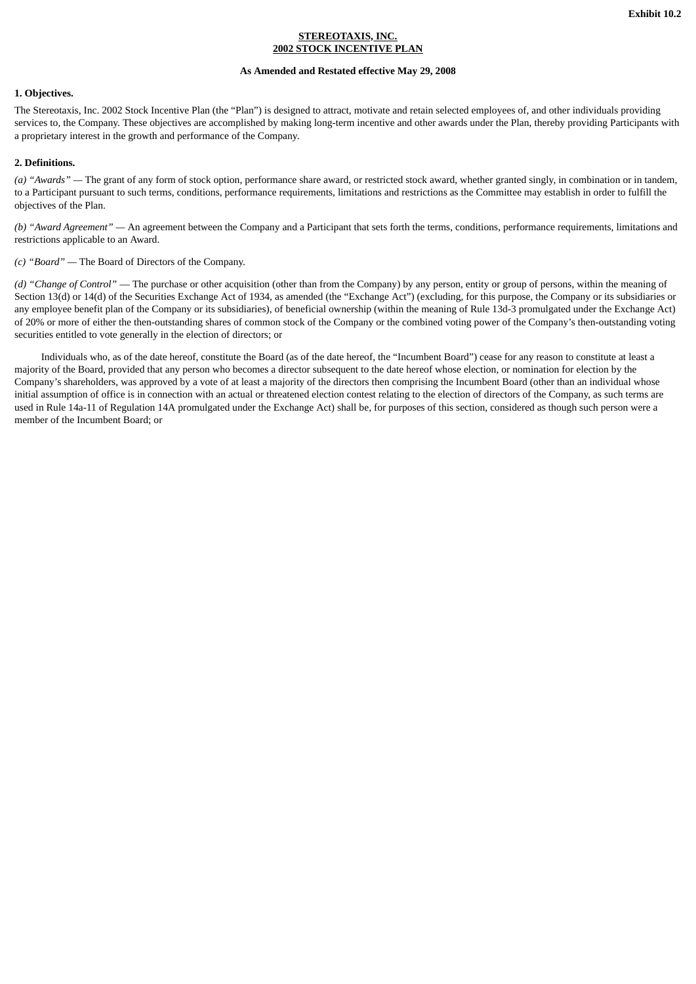# **STEREOTAXIS, INC. 2002 STOCK INCENTIVE PLAN**

## **As Amended and Restated effective May 29, 2008**

# **1. Objectives.**

The Stereotaxis, Inc. 2002 Stock Incentive Plan (the "Plan") is designed to attract, motivate and retain selected employees of, and other individuals providing services to, the Company. These objectives are accomplished by making long-term incentive and other awards under the Plan, thereby providing Participants with a proprietary interest in the growth and performance of the Company.

# **2. Definitions.**

*(a) "Awards"* — The grant of any form of stock option, performance share award, or restricted stock award, whether granted singly, in combination or in tandem, to a Participant pursuant to such terms, conditions, performance requirements, limitations and restrictions as the Committee may establish in order to fulfill the objectives of the Plan.

*(b)* "Award Agreement" — An agreement between the Company and a Participant that sets forth the terms, conditions, performance requirements, limitations and restrictions applicable to an Award.

*(c) "Board" —* The Board of Directors of the Company.

*(d) "Change of Control"* — The purchase or other acquisition (other than from the Company) by any person, entity or group of persons, within the meaning of Section 13(d) or 14(d) of the Securities Exchange Act of 1934, as amended (the "Exchange Act") (excluding, for this purpose, the Company or its subsidiaries or any employee benefit plan of the Company or its subsidiaries), of beneficial ownership (within the meaning of Rule 13d-3 promulgated under the Exchange Act) of 20% or more of either the then-outstanding shares of common stock of the Company or the combined voting power of the Company's then-outstanding voting securities entitled to vote generally in the election of directors; or

Individuals who, as of the date hereof, constitute the Board (as of the date hereof, the "Incumbent Board") cease for any reason to constitute at least a majority of the Board, provided that any person who becomes a director subsequent to the date hereof whose election, or nomination for election by the Company's shareholders, was approved by a vote of at least a majority of the directors then comprising the Incumbent Board (other than an individual whose initial assumption of office is in connection with an actual or threatened election contest relating to the election of directors of the Company, as such terms are used in Rule 14a-11 of Regulation 14A promulgated under the Exchange Act) shall be, for purposes of this section, considered as though such person were a member of the Incumbent Board; or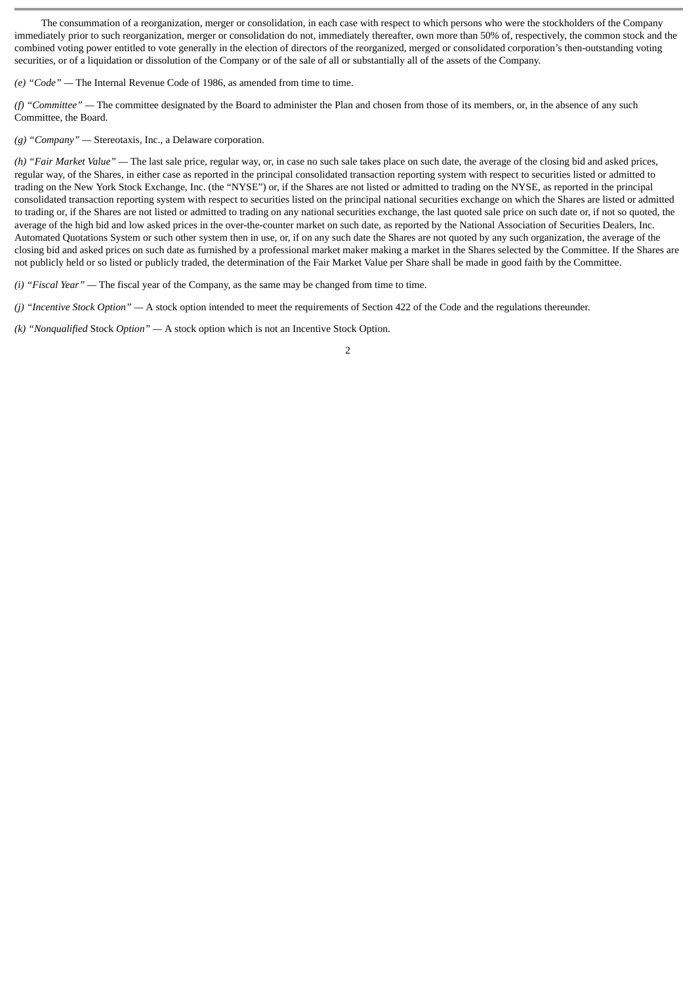The consummation of a reorganization, merger or consolidation, in each case with respect to which persons who were the stockholders of the Company immediately prior to such reorganization, merger or consolidation do not, immediately thereafter, own more than 50% of, respectively, the common stock and the combined voting power entitled to vote generally in the election of directors of the reorganized, merged or consolidated corporation's then-outstanding voting securities, or of a liquidation or dissolution of the Company or of the sale of all or substantially all of the assets of the Company.

*(e) "Code" —* The Internal Revenue Code of 1986, as amended from time to time.

*(f)* "Committee" — The committee designated by the Board to administer the Plan and chosen from those of its members, or, in the absence of any such Committee, the Board.

*(g) "Company" —* Stereotaxis, Inc., a Delaware corporation.

*(h) "Fair Market Value" —* The last sale price, regular way, or, in case no such sale takes place on such date, the average of the closing bid and asked prices, regular way, of the Shares, in either case as reported in the principal consolidated transaction reporting system with respect to securities listed or admitted to trading on the New York Stock Exchange, Inc. (the "NYSE") or, if the Shares are not listed or admitted to trading on the NYSE, as reported in the principal consolidated transaction reporting system with respect to securities listed on the principal national securities exchange on which the Shares are listed or admitted to trading or, if the Shares are not listed or admitted to trading on any national securities exchange, the last quoted sale price on such date or, if not so quoted, the average of the high bid and low asked prices in the over-the-counter market on such date, as reported by the National Association of Securities Dealers, Inc. Automated Quotations System or such other system then in use, or, if on any such date the Shares are not quoted by any such organization, the average of the closing bid and asked prices on such date as furnished by a professional market maker making a market in the Shares selected by the Committee. If the Shares are not publicly held or so listed or publicly traded, the determination of the Fair Market Value per Share shall be made in good faith by the Committee.

2

*(i) "Fiscal Year" —* The fiscal year of the Company, as the same may be changed from time to time.

*(j) "Incentive Stock Option" —* A stock option intended to meet the requirements of Section 422 of the Code and the regulations thereunder.

*(k) "Nonqualified* Stock *Option" —* A stock option which is not an Incentive Stock Option.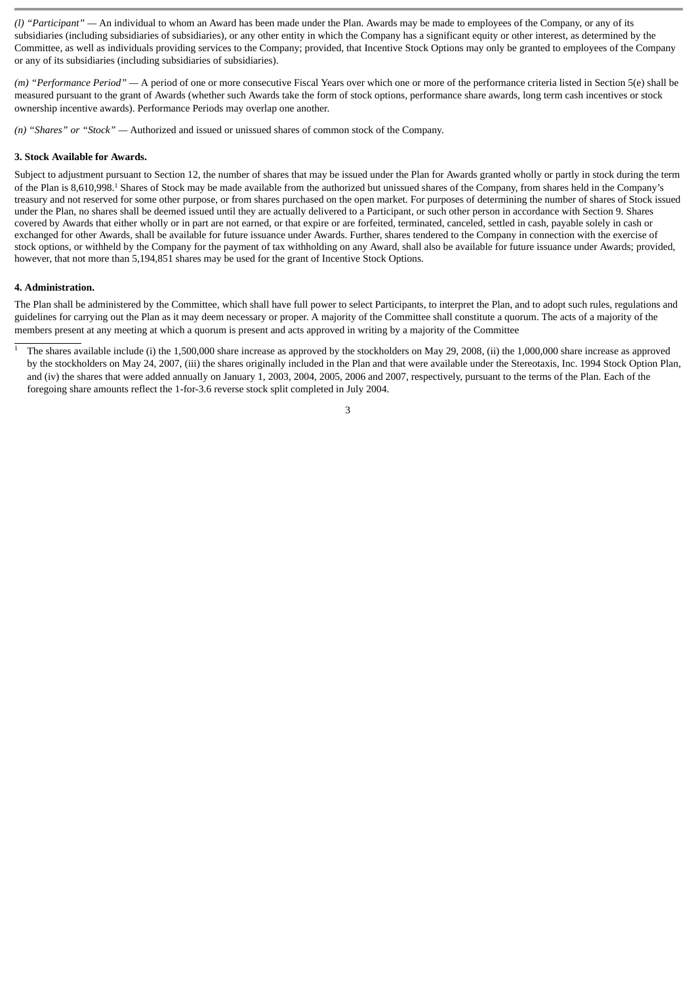*(l) "Participant" —* An individual to whom an Award has been made under the Plan. Awards may be made to employees of the Company, or any of its subsidiaries (including subsidiaries of subsidiaries), or any other entity in which the Company has a significant equity or other interest, as determined by the Committee, as well as individuals providing services to the Company; provided, that Incentive Stock Options may only be granted to employees of the Company or any of its subsidiaries (including subsidiaries of subsidiaries).

*(m)* "Performance Period" — A period of one or more consecutive Fiscal Years over which one or more of the performance criteria listed in Section 5(e) shall be measured pursuant to the grant of Awards (whether such Awards take the form of stock options, performance share awards, long term cash incentives or stock ownership incentive awards). Performance Periods may overlap one another.

*(n) "Shares" or "Stock" —* Authorized and issued or unissued shares of common stock of the Company.

# **3. Stock Available for Awards.**

Subject to adjustment pursuant to Section 12, the number of shares that may be issued under the Plan for Awards granted wholly or partly in stock during the term of the Plan is 8,610,998.<sup>1</sup> Shares of Stock may be made available from the authorized but unissued shares of the Company, from shares held in the Company's treasury and not reserved for some other purpose, or from shares purchased on the open market. For purposes of determining the number of shares of Stock issued under the Plan, no shares shall be deemed issued until they are actually delivered to a Participant, or such other person in accordance with Section 9. Shares covered by Awards that either wholly or in part are not earned, or that expire or are forfeited, terminated, canceled, settled in cash, payable solely in cash or exchanged for other Awards, shall be available for future issuance under Awards. Further, shares tendered to the Company in connection with the exercise of stock options, or withheld by the Company for the payment of tax withholding on any Award, shall also be available for future issuance under Awards; provided, however, that not more than 5,194,851 shares may be used for the grant of Incentive Stock Options.

# **4. Administration.**

The Plan shall be administered by the Committee, which shall have full power to select Participants, to interpret the Plan, and to adopt such rules, regulations and guidelines for carrying out the Plan as it may deem necessary or proper. A majority of the Committee shall constitute a quorum. The acts of a majority of the members present at any meeting at which a quorum is present and acts approved in writing by a majority of the Committee

<sup>1</sup> The shares available include (i) the 1,500,000 share increase as approved by the stockholders on May 29, 2008, (ii) the 1,000,000 share increase as approved by the stockholders on May 24, 2007, (iii) the shares originally included in the Plan and that were available under the Stereotaxis, Inc. 1994 Stock Option Plan, and (iv) the shares that were added annually on January 1, 2003, 2004, 2005, 2006 and 2007, respectively, pursuant to the terms of the Plan. Each of the foregoing share amounts reflect the 1-for-3.6 reverse stock split completed in July 2004.

<sup>3</sup>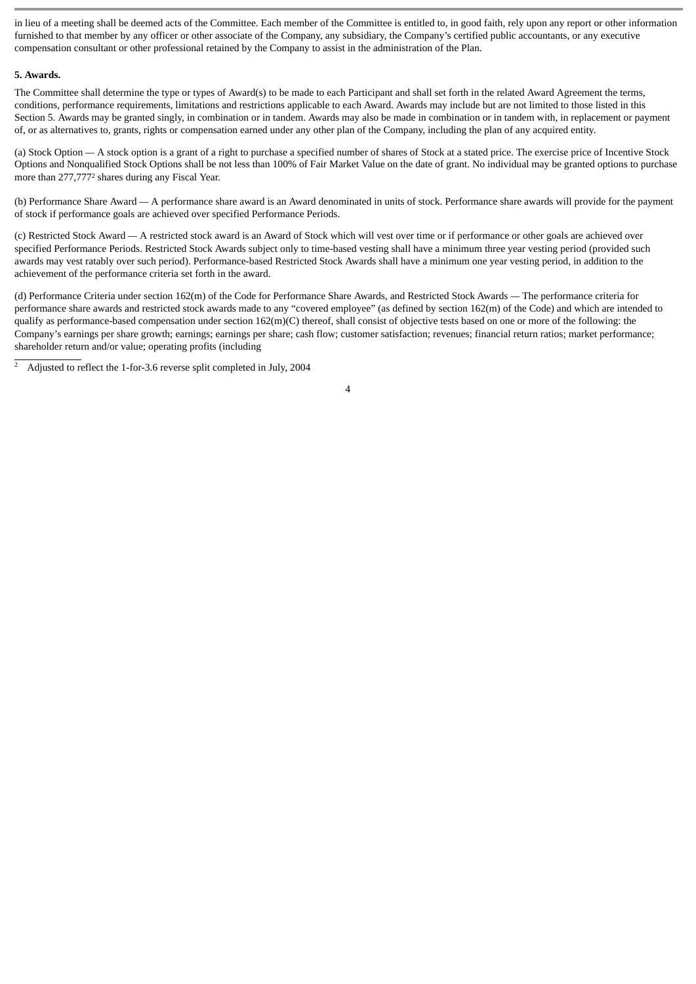in lieu of a meeting shall be deemed acts of the Committee. Each member of the Committee is entitled to, in good faith, rely upon any report or other information furnished to that member by any officer or other associate of the Company, any subsidiary, the Company's certified public accountants, or any executive compensation consultant or other professional retained by the Company to assist in the administration of the Plan.

# **5. Awards.**

The Committee shall determine the type or types of Award(s) to be made to each Participant and shall set forth in the related Award Agreement the terms, conditions, performance requirements, limitations and restrictions applicable to each Award. Awards may include but are not limited to those listed in this Section 5. Awards may be granted singly, in combination or in tandem. Awards may also be made in combination or in tandem with, in replacement or payment of, or as alternatives to, grants, rights or compensation earned under any other plan of the Company, including the plan of any acquired entity.

(a) Stock Option *—* A stock option is a grant of a right to purchase a specified number of shares of Stock at a stated price. The exercise price of Incentive Stock Options and Nonqualified Stock Options shall be not less than 100% of Fair Market Value on the date of grant. No individual may be granted options to purchase more than 277,777<sup>2</sup> shares during any Fiscal Year.

(b) Performance Share Award *—* A performance share award is an Award denominated in units of stock. Performance share awards will provide for the payment of stock if performance goals are achieved over specified Performance Periods.

(c) Restricted Stock Award *—* A restricted stock award is an Award of Stock which will vest over time or if performance or other goals are achieved over specified Performance Periods. Restricted Stock Awards subject only to time-based vesting shall have a minimum three year vesting period (provided such awards may vest ratably over such period). Performance-based Restricted Stock Awards shall have a minimum one year vesting period, in addition to the achievement of the performance criteria set forth in the award.

(d) Performance Criteria under section 162(m) of the Code for Performance Share Awards, and Restricted Stock Awards *—* The performance criteria for performance share awards and restricted stock awards made to any "covered employee" (as defined by section 162(m) of the Code) and which are intended to qualify as performance-based compensation under section 162(m)(C) thereof, shall consist of objective tests based on one or more of the following: the Company's earnings per share growth; earnings; earnings per share; cash flow; customer satisfaction; revenues; financial return ratios; market performance; shareholder return and/or value; operating profits (including

 $\overline{a}$  Adjusted to reflect the 1-for-3.6 reverse split completed in July, 2004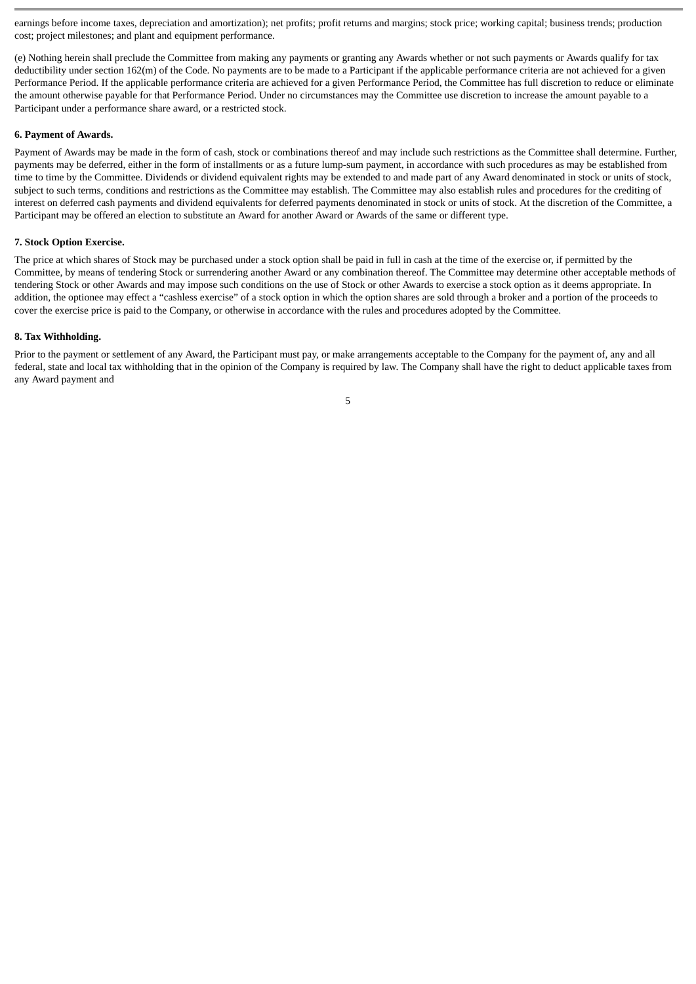earnings before income taxes, depreciation and amortization); net profits; profit returns and margins; stock price; working capital; business trends; production cost; project milestones; and plant and equipment performance.

(e) Nothing herein shall preclude the Committee from making any payments or granting any Awards whether or not such payments or Awards qualify for tax deductibility under section 162(m) of the Code. No payments are to be made to a Participant if the applicable performance criteria are not achieved for a given Performance Period. If the applicable performance criteria are achieved for a given Performance Period, the Committee has full discretion to reduce or eliminate the amount otherwise payable for that Performance Period. Under no circumstances may the Committee use discretion to increase the amount payable to a Participant under a performance share award, or a restricted stock.

# **6. Payment of Awards.**

Payment of Awards may be made in the form of cash, stock or combinations thereof and may include such restrictions as the Committee shall determine. Further, payments may be deferred, either in the form of installments or as a future lump-sum payment, in accordance with such procedures as may be established from time to time by the Committee. Dividends or dividend equivalent rights may be extended to and made part of any Award denominated in stock or units of stock, subject to such terms, conditions and restrictions as the Committee may establish. The Committee may also establish rules and procedures for the crediting of interest on deferred cash payments and dividend equivalents for deferred payments denominated in stock or units of stock. At the discretion of the Committee, a Participant may be offered an election to substitute an Award for another Award or Awards of the same or different type.

# **7. Stock Option Exercise.**

The price at which shares of Stock may be purchased under a stock option shall be paid in full in cash at the time of the exercise or, if permitted by the Committee, by means of tendering Stock or surrendering another Award or any combination thereof. The Committee may determine other acceptable methods of tendering Stock or other Awards and may impose such conditions on the use of Stock or other Awards to exercise a stock option as it deems appropriate. In addition, the optionee may effect a "cashless exercise" of a stock option in which the option shares are sold through a broker and a portion of the proceeds to cover the exercise price is paid to the Company, or otherwise in accordance with the rules and procedures adopted by the Committee.

# **8. Tax Withholding.**

Prior to the payment or settlement of any Award, the Participant must pay, or make arrangements acceptable to the Company for the payment of, any and all federal, state and local tax withholding that in the opinion of the Company is required by law. The Company shall have the right to deduct applicable taxes from any Award payment and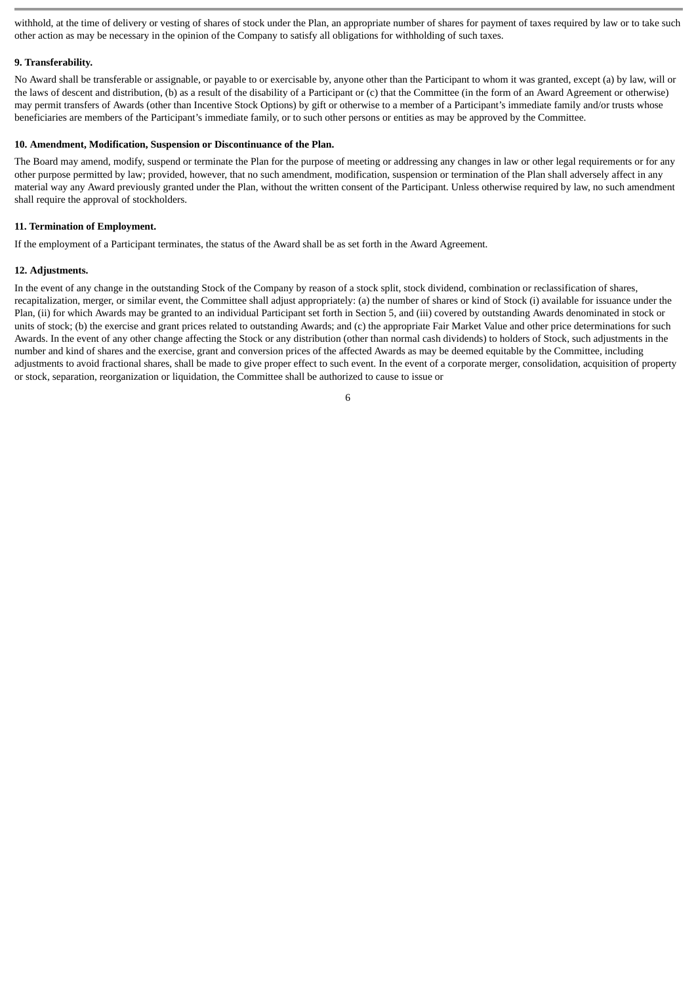withhold, at the time of delivery or vesting of shares of stock under the Plan, an appropriate number of shares for payment of taxes required by law or to take such other action as may be necessary in the opinion of the Company to satisfy all obligations for withholding of such taxes.

# **9. Transferability.**

No Award shall be transferable or assignable, or payable to or exercisable by, anyone other than the Participant to whom it was granted, except (a) by law, will or the laws of descent and distribution, (b) as a result of the disability of a Participant or (c) that the Committee (in the form of an Award Agreement or otherwise) may permit transfers of Awards (other than Incentive Stock Options) by gift or otherwise to a member of a Participant's immediate family and/or trusts whose beneficiaries are members of the Participant's immediate family, or to such other persons or entities as may be approved by the Committee.

# **10. Amendment, Modification, Suspension or Discontinuance of the Plan.**

The Board may amend, modify, suspend or terminate the Plan for the purpose of meeting or addressing any changes in law or other legal requirements or for any other purpose permitted by law; provided, however, that no such amendment, modification, suspension or termination of the Plan shall adversely affect in any material way any Award previously granted under the Plan, without the written consent of the Participant. Unless otherwise required by law, no such amendment shall require the approval of stockholders.

# **11. Termination of Employment.**

If the employment of a Participant terminates, the status of the Award shall be as set forth in the Award Agreement.

# **12. Adjustments.**

In the event of any change in the outstanding Stock of the Company by reason of a stock split, stock dividend, combination or reclassification of shares, recapitalization, merger, or similar event, the Committee shall adjust appropriately: (a) the number of shares or kind of Stock (i) available for issuance under the Plan, (ii) for which Awards may be granted to an individual Participant set forth in Section 5, and (iii) covered by outstanding Awards denominated in stock or units of stock; (b) the exercise and grant prices related to outstanding Awards; and (c) the appropriate Fair Market Value and other price determinations for such Awards. In the event of any other change affecting the Stock or any distribution (other than normal cash dividends) to holders of Stock, such adjustments in the number and kind of shares and the exercise, grant and conversion prices of the affected Awards as may be deemed equitable by the Committee, including adjustments to avoid fractional shares, shall be made to give proper effect to such event. In the event of a corporate merger, consolidation, acquisition of property or stock, separation, reorganization or liquidation, the Committee shall be authorized to cause to issue or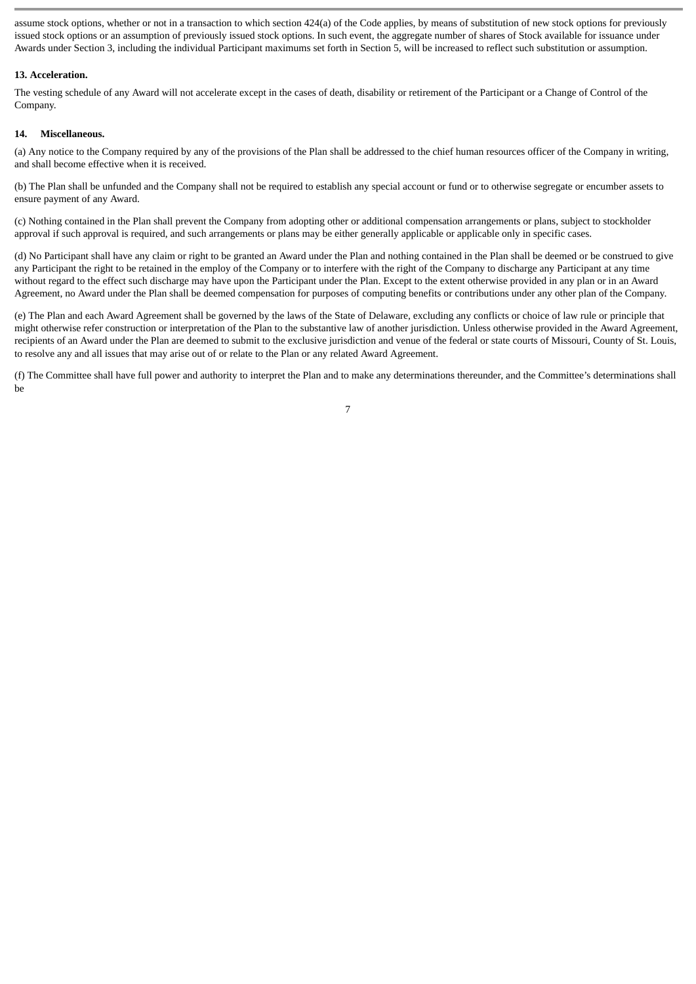assume stock options, whether or not in a transaction to which section 424(a) of the Code applies, by means of substitution of new stock options for previously issued stock options or an assumption of previously issued stock options. In such event, the aggregate number of shares of Stock available for issuance under Awards under Section 3, including the individual Participant maximums set forth in Section 5, will be increased to reflect such substitution or assumption.

# **13. Acceleration.**

The vesting schedule of any Award will not accelerate except in the cases of death, disability or retirement of the Participant or a Change of Control of the Company.

# **14. Miscellaneous.**

(a) Any notice to the Company required by any of the provisions of the Plan shall be addressed to the chief human resources officer of the Company in writing, and shall become effective when it is received.

(b) The Plan shall be unfunded and the Company shall not be required to establish any special account or fund or to otherwise segregate or encumber assets to ensure payment of any Award.

(c) Nothing contained in the Plan shall prevent the Company from adopting other or additional compensation arrangements or plans, subject to stockholder approval if such approval is required, and such arrangements or plans may be either generally applicable or applicable only in specific cases.

(d) No Participant shall have any claim or right to be granted an Award under the Plan and nothing contained in the Plan shall be deemed or be construed to give any Participant the right to be retained in the employ of the Company or to interfere with the right of the Company to discharge any Participant at any time without regard to the effect such discharge may have upon the Participant under the Plan. Except to the extent otherwise provided in any plan or in an Award Agreement, no Award under the Plan shall be deemed compensation for purposes of computing benefits or contributions under any other plan of the Company.

(e) The Plan and each Award Agreement shall be governed by the laws of the State of Delaware, excluding any conflicts or choice of law rule or principle that might otherwise refer construction or interpretation of the Plan to the substantive law of another jurisdiction. Unless otherwise provided in the Award Agreement, recipients of an Award under the Plan are deemed to submit to the exclusive jurisdiction and venue of the federal or state courts of Missouri, County of St. Louis, to resolve any and all issues that may arise out of or relate to the Plan or any related Award Agreement.

(f) The Committee shall have full power and authority to interpret the Plan and to make any determinations thereunder, and the Committee's determinations shall be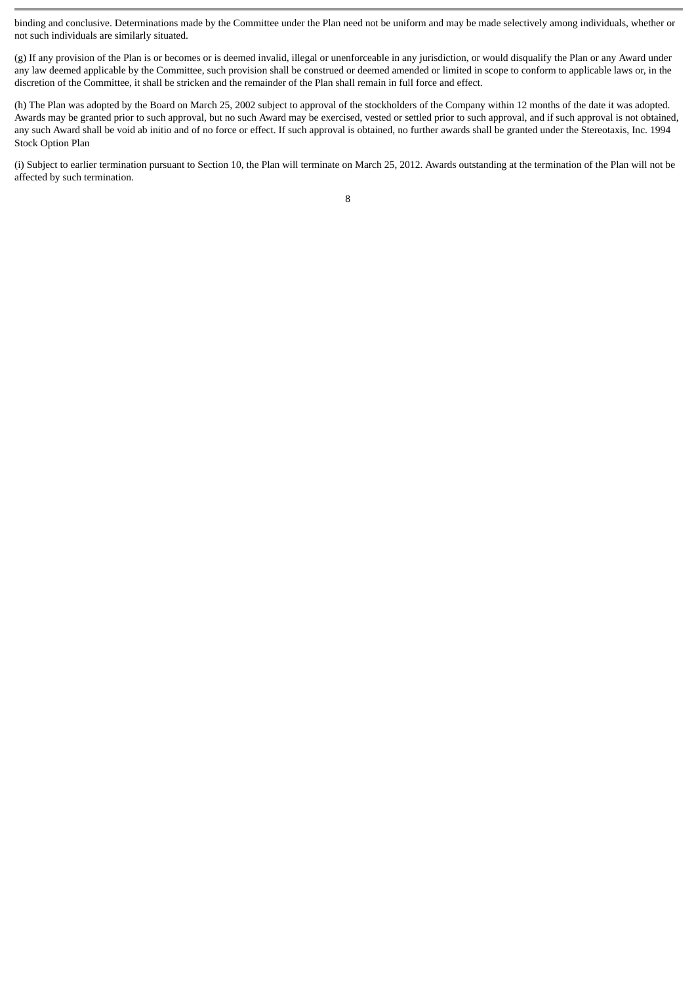binding and conclusive. Determinations made by the Committee under the Plan need not be uniform and may be made selectively among individuals, whether or not such individuals are similarly situated.

(g) If any provision of the Plan is or becomes or is deemed invalid, illegal or unenforceable in any jurisdiction, or would disqualify the Plan or any Award under any law deemed applicable by the Committee, such provision shall be construed or deemed amended or limited in scope to conform to applicable laws or, in the discretion of the Committee, it shall be stricken and the remainder of the Plan shall remain in full force and effect.

(h) The Plan was adopted by the Board on March 25, 2002 subject to approval of the stockholders of the Company within 12 months of the date it was adopted. Awards may be granted prior to such approval, but no such Award may be exercised, vested or settled prior to such approval, and if such approval is not obtained, any such Award shall be void ab initio and of no force or effect. If such approval is obtained, no further awards shall be granted under the Stereotaxis, Inc. 1994 Stock Option Plan

(i) Subject to earlier termination pursuant to Section 10, the Plan will terminate on March 25, 2012. Awards outstanding at the termination of the Plan will not be affected by such termination.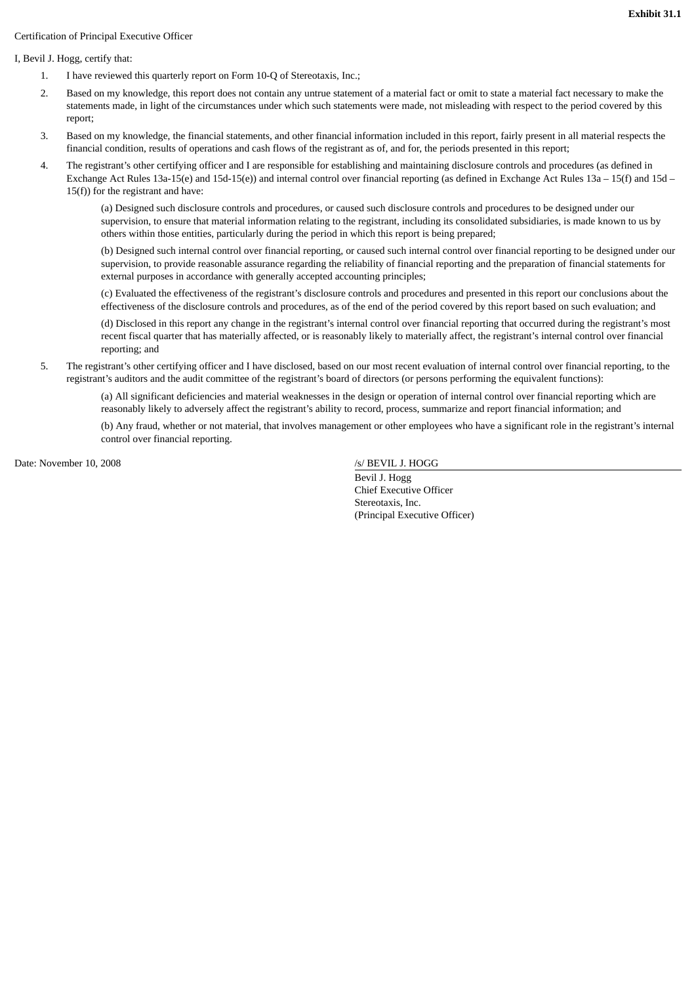# Certification of Principal Executive Officer

# I, Bevil J. Hogg, certify that:

- 1. I have reviewed this quarterly report on Form 10-Q of Stereotaxis, Inc.;
- 2. Based on my knowledge, this report does not contain any untrue statement of a material fact or omit to state a material fact necessary to make the statements made, in light of the circumstances under which such statements were made, not misleading with respect to the period covered by this report;
- 3. Based on my knowledge, the financial statements, and other financial information included in this report, fairly present in all material respects the financial condition, results of operations and cash flows of the registrant as of, and for, the periods presented in this report;
- 4. The registrant's other certifying officer and I are responsible for establishing and maintaining disclosure controls and procedures (as defined in Exchange Act Rules 13a-15(e) and 15d-15(e)) and internal control over financial reporting (as defined in Exchange Act Rules 13a – 15(f) and 15d – 15(f)) for the registrant and have:

(a) Designed such disclosure controls and procedures, or caused such disclosure controls and procedures to be designed under our supervision, to ensure that material information relating to the registrant, including its consolidated subsidiaries, is made known to us by others within those entities, particularly during the period in which this report is being prepared;

(b) Designed such internal control over financial reporting, or caused such internal control over financial reporting to be designed under our supervision, to provide reasonable assurance regarding the reliability of financial reporting and the preparation of financial statements for external purposes in accordance with generally accepted accounting principles;

(c) Evaluated the effectiveness of the registrant's disclosure controls and procedures and presented in this report our conclusions about the effectiveness of the disclosure controls and procedures, as of the end of the period covered by this report based on such evaluation; and

(d) Disclosed in this report any change in the registrant's internal control over financial reporting that occurred during the registrant's most recent fiscal quarter that has materially affected, or is reasonably likely to materially affect, the registrant's internal control over financial reporting; and

5. The registrant's other certifying officer and I have disclosed, based on our most recent evaluation of internal control over financial reporting, to the registrant's auditors and the audit committee of the registrant's board of directors (or persons performing the equivalent functions):

(a) All significant deficiencies and material weaknesses in the design or operation of internal control over financial reporting which are reasonably likely to adversely affect the registrant's ability to record, process, summarize and report financial information; and

(b) Any fraud, whether or not material, that involves management or other employees who have a significant role in the registrant's internal control over financial reporting.

Date: November 10, 2008 */s/ BEVIL J. HOGG* 

Bevil J. Hogg Chief Executive Officer Stereotaxis, Inc. (Principal Executive Officer)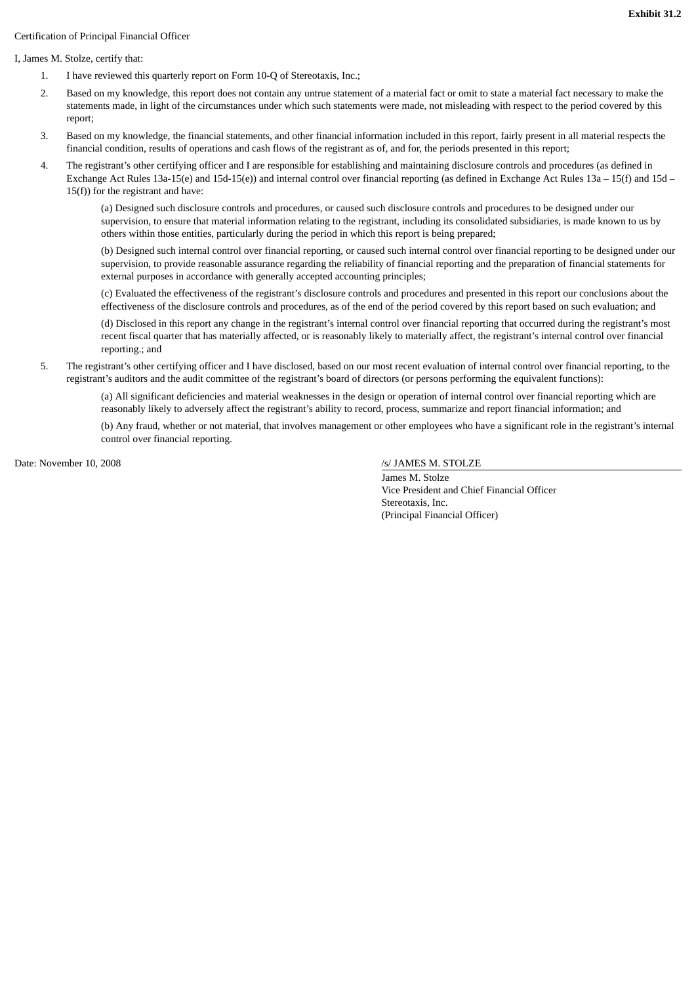# Certification of Principal Financial Officer

# I, James M. Stolze, certify that:

- 1. I have reviewed this quarterly report on Form 10-Q of Stereotaxis, Inc.;
- 2. Based on my knowledge, this report does not contain any untrue statement of a material fact or omit to state a material fact necessary to make the statements made, in light of the circumstances under which such statements were made, not misleading with respect to the period covered by this report;
- 3. Based on my knowledge, the financial statements, and other financial information included in this report, fairly present in all material respects the financial condition, results of operations and cash flows of the registrant as of, and for, the periods presented in this report;
- 4. The registrant's other certifying officer and I are responsible for establishing and maintaining disclosure controls and procedures (as defined in Exchange Act Rules 13a-15(e) and 15d-15(e)) and internal control over financial reporting (as defined in Exchange Act Rules 13a – 15(f) and 15d – 15(f)) for the registrant and have:

(a) Designed such disclosure controls and procedures, or caused such disclosure controls and procedures to be designed under our supervision, to ensure that material information relating to the registrant, including its consolidated subsidiaries, is made known to us by others within those entities, particularly during the period in which this report is being prepared;

(b) Designed such internal control over financial reporting, or caused such internal control over financial reporting to be designed under our supervision, to provide reasonable assurance regarding the reliability of financial reporting and the preparation of financial statements for external purposes in accordance with generally accepted accounting principles;

(c) Evaluated the effectiveness of the registrant's disclosure controls and procedures and presented in this report our conclusions about the effectiveness of the disclosure controls and procedures, as of the end of the period covered by this report based on such evaluation; and

(d) Disclosed in this report any change in the registrant's internal control over financial reporting that occurred during the registrant's most recent fiscal quarter that has materially affected, or is reasonably likely to materially affect, the registrant's internal control over financial reporting.; and

5. The registrant's other certifying officer and I have disclosed, based on our most recent evaluation of internal control over financial reporting, to the registrant's auditors and the audit committee of the registrant's board of directors (or persons performing the equivalent functions):

(a) All significant deficiencies and material weaknesses in the design or operation of internal control over financial reporting which are reasonably likely to adversely affect the registrant's ability to record, process, summarize and report financial information; and

(b) Any fraud, whether or not material, that involves management or other employees who have a significant role in the registrant's internal control over financial reporting.

Date: November 10, 2008

# /s/ JAMES M. STOLZE

 James M. Stolze Vice President and Chief Financial Officer Stereotaxis, Inc. (Principal Financial Officer)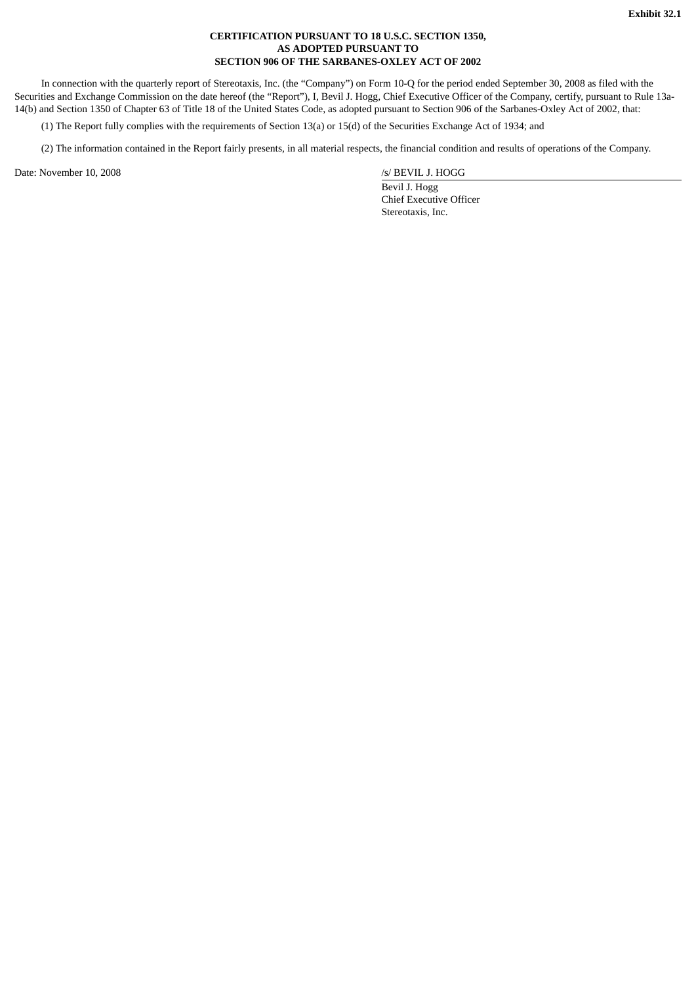# **CERTIFICATION PURSUANT TO 18 U.S.C. SECTION 1350, AS ADOPTED PURSUANT TO SECTION 906 OF THE SARBANES-OXLEY ACT OF 2002**

In connection with the quarterly report of Stereotaxis, Inc. (the "Company") on Form 10-Q for the period ended September 30, 2008 as filed with the Securities and Exchange Commission on the date hereof (the "Report"), I, Bevil J. Hogg, Chief Executive Officer of the Company, certify, pursuant to Rule 13a-14(b) and Section 1350 of Chapter 63 of Title 18 of the United States Code, as adopted pursuant to Section 906 of the Sarbanes-Oxley Act of 2002, that:

(1) The Report fully complies with the requirements of Section 13(a) or 15(d) of the Securities Exchange Act of 1934; and

(2) The information contained in the Report fairly presents, in all material respects, the financial condition and results of operations of the Company.

Date: November 10, 2008

/s/ BEVIL J. HOGG

 Bevil J. Hogg Chief Executive Officer Stereotaxis, Inc.